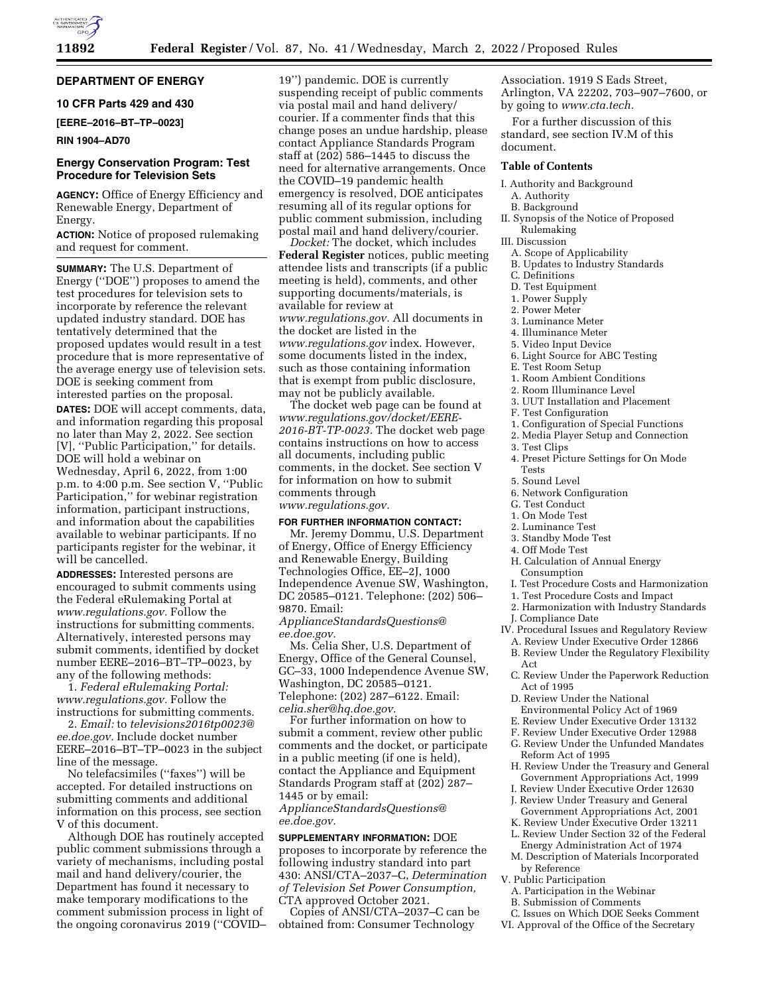# **DEPARTMENT OF ENERGY**

# **10 CFR Parts 429 and 430**

**[EERE–2016–BT–TP–0023]** 

### **RIN 1904–AD70**

## **Energy Conservation Program: Test Procedure for Television Sets**

**AGENCY:** Office of Energy Efficiency and Renewable Energy, Department of Energy.

**ACTION:** Notice of proposed rulemaking and request for comment.

**SUMMARY:** The U.S. Department of Energy (''DOE'') proposes to amend the test procedures for television sets to incorporate by reference the relevant updated industry standard. DOE has tentatively determined that the proposed updates would result in a test procedure that is more representative of the average energy use of television sets. DOE is seeking comment from interested parties on the proposal. **DATES:** DOE will accept comments, data, and information regarding this proposal no later than May 2, 2022. See section [V], ''Public Participation,'' for details. DOE will hold a webinar on Wednesday, April 6, 2022, from 1:00 p.m. to 4:00 p.m. See section V, ''Public Participation," for webinar registration information, participant instructions, and information about the capabilities available to webinar participants. If no participants register for the webinar, it will be cancelled.

**ADDRESSES:** Interested persons are encouraged to submit comments using the Federal eRulemaking Portal at *[www.regulations.gov.](http://www.regulations.gov)* Follow the instructions for submitting comments. Alternatively, interested persons may submit comments, identified by docket number EERE–2016–BT–TP–0023, by any of the following methods:

1. *Federal eRulemaking Portal: [www.regulations.gov.](http://www.regulations.gov)* Follow the instructions for submitting comments.

2. *Email:* to *[televisions2016tp0023@](mailto:televisions2016tp0023@ee.doe.gov) [ee.doe.gov.](mailto:televisions2016tp0023@ee.doe.gov)* Include docket number EERE–2016–BT–TP–0023 in the subject line of the message.

No telefacsimiles (''faxes'') will be accepted. For detailed instructions on submitting comments and additional information on this process, see section V of this document.

Although DOE has routinely accepted public comment submissions through a variety of mechanisms, including postal mail and hand delivery/courier, the Department has found it necessary to make temporary modifications to the comment submission process in light of the ongoing coronavirus 2019 (''COVID– 19'') pandemic. DOE is currently suspending receipt of public comments via postal mail and hand delivery/ courier. If a commenter finds that this change poses an undue hardship, please contact Appliance Standards Program staff at (202) 586–1445 to discuss the need for alternative arrangements. Once the COVID–19 pandemic health emergency is resolved, DOE anticipates resuming all of its regular options for public comment submission, including postal mail and hand delivery/courier.

*Docket:* The docket, which includes **Federal Register** notices, public meeting attendee lists and transcripts (if a public meeting is held), comments, and other supporting documents/materials, is available for review at *[www.regulations.gov.](http://www.regulations.gov)* All documents in the docket are listed in the *[www.regulations.gov](http://www.regulations.gov)* index. However, some documents listed in the index, such as those containing information that is exempt from public disclosure, may not be publicly available.

The docket web page can be found at *[www.regulations.gov/docket/EERE-](http://www.regulations.gov/docket/EERE-2016-BT-TP-0023)[2016-BT-TP-0023.](http://www.regulations.gov/docket/EERE-2016-BT-TP-0023)* The docket web page contains instructions on how to access all documents, including public comments, in the docket. See section V for information on how to submit comments through *[www.regulations.gov.](http://www.regulations.gov)* 

# **FOR FURTHER INFORMATION CONTACT:**

Mr. Jeremy Dommu, U.S. Department of Energy, Office of Energy Efficiency and Renewable Energy, Building Technologies Office, EE–2J, 1000 Independence Avenue SW, Washington, DC 20585–0121. Telephone: (202) 506– 9870. Email:

*[ApplianceStandardsQuestions@](mailto:ApplianceStandardsQuestions@ee.doe.gov) [ee.doe.gov.](mailto:ApplianceStandardsQuestions@ee.doe.gov)* 

Ms. Celia Sher, U.S. Department of Energy, Office of the General Counsel, GC–33, 1000 Independence Avenue SW, Washington, DC 20585–0121. Telephone: (202) 287–6122. Email: *[celia.sher@hq.doe.gov.](mailto:celia.sher@hq.doe.gov)* 

For further information on how to submit a comment, review other public comments and the docket, or participate in a public meeting (if one is held), contact the Appliance and Equipment Standards Program staff at (202) 287– 1445 or by email:

*[ApplianceStandardsQuestions@](mailto:ApplianceStandardsQuestions@ee.doe.gov) [ee.doe.gov.](mailto:ApplianceStandardsQuestions@ee.doe.gov)* 

**SUPPLEMENTARY INFORMATION:** DOE proposes to incorporate by reference the following industry standard into part 430: ANSI/CTA–2037–C, *Determination of Television Set Power Consumption,*  CTA approved October 2021.

Copies of ANSI/CTA–2037–C can be obtained from: Consumer Technology

Association. 1919 S Eads Street, Arlington, VA 22202, 703–907–7600, or by going to *[www.cta.tech.](http://www.cta.tech)* 

For a further discussion of this standard, see section IV.M of this document.

## **Table of Contents**

- I. Authority and Background A. Authority
- B. Background
- II. Synopsis of the Notice of Proposed Rulemaking
- III. Discussion
	- A. Scope of Applicability
	- B. Updates to Industry Standards C. Definitions
- 
- D. Test Equipment
- 1. Power Supply
- 2. Power Meter
- 3. Luminance Meter 4. Illuminance Meter
- 5. Video Input Device
- 6. Light Source for ABC Testing
- E. Test Room Setup
- 1. Room Ambient Conditions
- 2. Room Illuminance Level
- 3. UUT Installation and Placement
- F. Test Configuration
- 1. Configuration of Special Functions
- 2. Media Player Setup and Connection
- 3. Test Clips
- 4. Preset Picture Settings for On Mode Tests
- 5. Sound Level
- 6. Network Configuration
- G. Test Conduct
- 1. On Mode Test
- 2. Luminance Test
- 3. Standby Mode Test
- 4. Off Mode Test
- H. Calculation of Annual Energy Consumption
- I. Test Procedure Costs and Harmonization
- 1. Test Procedure Costs and Impact
- 2. Harmonization with Industry Standards
- J. Compliance Date
- IV. Procedural Issues and Regulatory Review
- A. Review Under Executive Order 12866
- B. Review Under the Regulatory Flexibility Act
- C. Review Under the Paperwork Reduction Act of 1995
- D. Review Under the National
- Environmental Policy Act of 1969
- E. Review Under Executive Order 13132
- F. Review Under Executive Order 12988
- G. Review Under the Unfunded Mandates Reform Act of 1995
- H. Review Under the Treasury and General Government Appropriations Act, 1999
- I. Review Under Executive Order 12630
- J. Review Under Treasury and General
- Government Appropriations Act, 2001
- K. Review Under Executive Order 13211 L. Review Under Section 32 of the Federal
- Energy Administration Act of 1974
- M. Description of Materials Incorporated by Reference
- V. Public Participation
	- A. Participation in the Webinar
	- B. Submission of Comments
- C. Issues on Which DOE Seeks Comment VI. Approval of the Office of the Secretary
-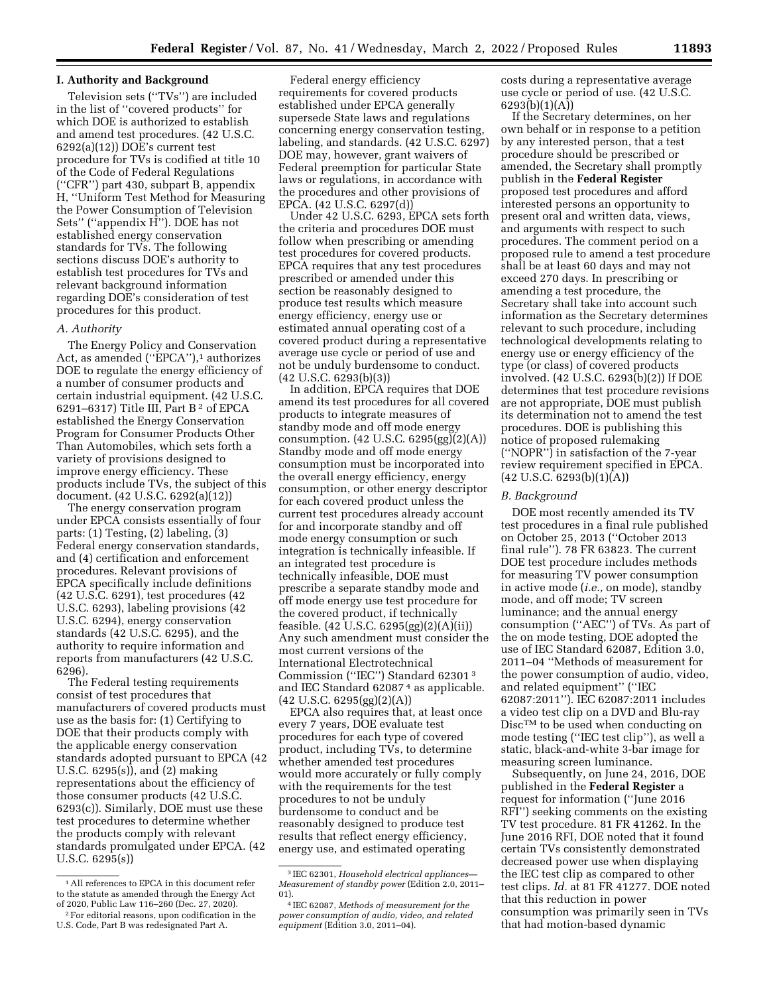### **I. Authority and Background**

Television sets (''TVs'') are included in the list of ''covered products'' for which DOE is authorized to establish and amend test procedures. (42 U.S.C. 6292(a)(12)) DOE's current test procedure for TVs is codified at title 10 of the Code of Federal Regulations (''CFR'') part 430, subpart B, appendix H, ''Uniform Test Method for Measuring the Power Consumption of Television Sets'' (''appendix H''). DOE has not established energy conservation standards for TVs. The following sections discuss DOE's authority to establish test procedures for TVs and relevant background information regarding DOE's consideration of test procedures for this product.

## *A. Authority*

The Energy Policy and Conservation Act, as amended ("EPCA"),<sup>1</sup> authorizes DOE to regulate the energy efficiency of a number of consumer products and certain industrial equipment. (42 U.S.C. 6291–6317) Title III, Part B<sup>2</sup> of EPCA established the Energy Conservation Program for Consumer Products Other Than Automobiles, which sets forth a variety of provisions designed to improve energy efficiency. These products include TVs, the subject of this document. (42 U.S.C. 6292(a)(12))

The energy conservation program under EPCA consists essentially of four parts: (1) Testing, (2) labeling, (3) Federal energy conservation standards, and (4) certification and enforcement procedures. Relevant provisions of EPCA specifically include definitions (42 U.S.C. 6291), test procedures (42 U.S.C. 6293), labeling provisions (42 U.S.C. 6294), energy conservation standards (42 U.S.C. 6295), and the authority to require information and reports from manufacturers (42 U.S.C. 6296).

The Federal testing requirements consist of test procedures that manufacturers of covered products must use as the basis for: (1) Certifying to DOE that their products comply with the applicable energy conservation standards adopted pursuant to EPCA (42 U.S.C. 6295(s)), and (2) making representations about the efficiency of those consumer products (42 U.S.C. 6293(c)). Similarly, DOE must use these test procedures to determine whether the products comply with relevant standards promulgated under EPCA. (42 U.S.C. 6295(s))

Federal energy efficiency requirements for covered products established under EPCA generally supersede State laws and regulations concerning energy conservation testing, labeling, and standards. (42 U.S.C. 6297) DOE may, however, grant waivers of Federal preemption for particular State laws or regulations, in accordance with the procedures and other provisions of EPCA. (42 U.S.C. 6297(d))

Under 42 U.S.C. 6293, EPCA sets forth the criteria and procedures DOE must follow when prescribing or amending test procedures for covered products. EPCA requires that any test procedures prescribed or amended under this section be reasonably designed to produce test results which measure energy efficiency, energy use or estimated annual operating cost of a covered product during a representative average use cycle or period of use and not be unduly burdensome to conduct. (42 U.S.C. 6293(b)(3))

In addition, EPCA requires that DOE amend its test procedures for all covered products to integrate measures of standby mode and off mode energy consumption. (42 U.S.C. 6295(gg)(2)(A)) Standby mode and off mode energy consumption must be incorporated into the overall energy efficiency, energy consumption, or other energy descriptor for each covered product unless the current test procedures already account for and incorporate standby and off mode energy consumption or such integration is technically infeasible. If an integrated test procedure is technically infeasible, DOE must prescribe a separate standby mode and off mode energy use test procedure for the covered product, if technically feasible. (42 U.S.C. 6295(gg)(2)(A)(ii)) Any such amendment must consider the most current versions of the International Electrotechnical Commission (''IEC'') Standard 62301 3 and IEC Standard 62087 4 as applicable. (42 U.S.C. 6295(gg)(2)(A))

EPCA also requires that, at least once every 7 years, DOE evaluate test procedures for each type of covered product, including TVs, to determine whether amended test procedures would more accurately or fully comply with the requirements for the test procedures to not be unduly burdensome to conduct and be reasonably designed to produce test results that reflect energy efficiency, energy use, and estimated operating

costs during a representative average use cycle or period of use. (42 U.S.C. 6293(b)(1)(A))

If the Secretary determines, on her own behalf or in response to a petition by any interested person, that a test procedure should be prescribed or amended, the Secretary shall promptly publish in the **Federal Register**  proposed test procedures and afford interested persons an opportunity to present oral and written data, views, and arguments with respect to such procedures. The comment period on a proposed rule to amend a test procedure shall be at least 60 days and may not exceed 270 days. In prescribing or amending a test procedure, the Secretary shall take into account such information as the Secretary determines relevant to such procedure, including technological developments relating to energy use or energy efficiency of the type (or class) of covered products involved. (42 U.S.C. 6293(b)(2)) If DOE determines that test procedure revisions are not appropriate, DOE must publish its determination not to amend the test procedures. DOE is publishing this notice of proposed rulemaking (''NOPR'') in satisfaction of the 7-year review requirement specified in EPCA.  $(42 \text{ U.S.C. } 6293(b)(1)(A))$ 

### *B. Background*

DOE most recently amended its TV test procedures in a final rule published on October 25, 2013 (''October 2013 final rule''). 78 FR 63823. The current DOE test procedure includes methods for measuring TV power consumption in active mode (*i.e.,* on mode), standby mode, and off mode; TV screen luminance; and the annual energy consumption (''AEC'') of TVs. As part of the on mode testing, DOE adopted the use of IEC Standard 62087, Edition 3.0, 2011–04 ''Methods of measurement for the power consumption of audio, video, and related equipment'' (''IEC 62087:2011''). IEC 62087:2011 includes a video test clip on a DVD and Blu-ray Disc<sup>TM</sup> to be used when conducting on mode testing (''IEC test clip''), as well a static, black-and-white 3-bar image for measuring screen luminance.

Subsequently, on June 24, 2016, DOE published in the **Federal Register** a request for information (''June 2016 RFI'') seeking comments on the existing TV test procedure. 81 FR 41262. In the June 2016 RFI, DOE noted that it found certain TVs consistently demonstrated decreased power use when displaying the IEC test clip as compared to other test clips. *Id.* at 81 FR 41277. DOE noted that this reduction in power consumption was primarily seen in TVs that had motion-based dynamic

<sup>1</sup>All references to EPCA in this document refer to the statute as amended through the Energy Act of 2020, Public Law 116–260 (Dec. 27, 2020).

<sup>2</sup>For editorial reasons, upon codification in the U.S. Code, Part B was redesignated Part A.

<sup>3</sup> IEC 62301, *Household electrical appliances— Measurement of standby power* (Edition 2.0, 2011– 01).

<sup>4</sup> IEC 62087, *Methods of measurement for the power consumption of audio, video, and related equipment* (Edition 3.0, 2011–04).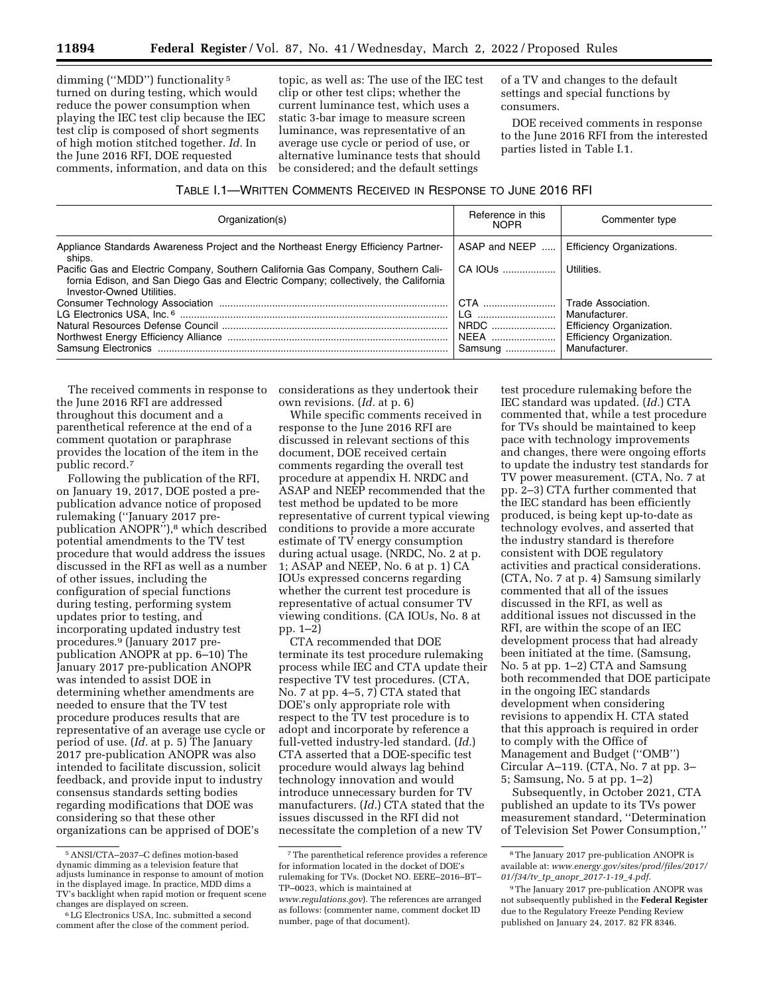dimming (''MDD'') functionality 5 turned on during testing, which would reduce the power consumption when playing the IEC test clip because the IEC test clip is composed of short segments of high motion stitched together. *Id.* In the June 2016 RFI, DOE requested comments, information, and data on this topic, as well as: The use of the IEC test clip or other test clips; whether the current luminance test, which uses a static 3-bar image to measure screen luminance, was representative of an average use cycle or period of use, or alternative luminance tests that should be considered; and the default settings

of a TV and changes to the default settings and special functions by consumers.

DOE received comments in response to the June 2016 RFI from the interested parties listed in Table I.1.

## TABLE I.1—WRITTEN COMMENTS RECEIVED IN RESPONSE TO JUNE 2016 RFI

| Organization(s)                                                                                                                                                                                      | Reference in this<br><b>NOPR</b> | Commenter type                   |
|------------------------------------------------------------------------------------------------------------------------------------------------------------------------------------------------------|----------------------------------|----------------------------------|
| Appliance Standards Awareness Project and the Northeast Energy Efficiency Partner-<br>ships.                                                                                                         | ASAP and NEEP                    | <b>Efficiency Organizations.</b> |
| Pacific Gas and Electric Company, Southern California Gas Company, Southern Cali-<br>fornia Edison, and San Diego Gas and Electric Company; collectively, the California<br>Investor-Owned Utilities | $CA$ IOUs $\ldots$               | Utilities.                       |
|                                                                                                                                                                                                      | CTA                              | Trade Association.               |
|                                                                                                                                                                                                      | LG                               | Manufacturer.                    |
|                                                                                                                                                                                                      | NRDC                             | <b>Efficiency Organization.</b>  |
|                                                                                                                                                                                                      | NEEA                             | Efficiency Organization.         |
|                                                                                                                                                                                                      | Samsung                          | Manufacturer.                    |

the June 2016 RFI are addressed throughout this document and a parenthetical reference at the end of a comment quotation or paraphrase provides the location of the item in the public record.7

Following the publication of the RFI, on January 19, 2017, DOE posted a prepublication advance notice of proposed rulemaking (''January 2017 prepublication ANOPR"),<sup>8</sup> which described potential amendments to the TV test procedure that would address the issues discussed in the RFI as well as a number of other issues, including the configuration of special functions during testing, performing system updates prior to testing, and incorporating updated industry test procedures.9 (January 2017 prepublication ANOPR at pp. 6–10) The January 2017 pre-publication ANOPR was intended to assist DOE in determining whether amendments are needed to ensure that the TV test procedure produces results that are representative of an average use cycle or period of use. (*Id.* at p. 5) The January 2017 pre-publication ANOPR was also intended to facilitate discussion, solicit feedback, and provide input to industry consensus standards setting bodies regarding modifications that DOE was considering so that these other organizations can be apprised of DOE's

The received comments in response to considerations as they undertook their own revisions. (*Id.* at p. 6)

While specific comments received in response to the June 2016 RFI are discussed in relevant sections of this document, DOE received certain comments regarding the overall test procedure at appendix H. NRDC and ASAP and NEEP recommended that the test method be updated to be more representative of current typical viewing conditions to provide a more accurate estimate of TV energy consumption during actual usage. (NRDC, No. 2 at p. 1; ASAP and NEEP, No. 6 at p. 1) CA IOUs expressed concerns regarding whether the current test procedure is representative of actual consumer TV viewing conditions. (CA IOUs, No. 8 at pp. 1–2)

CTA recommended that DOE terminate its test procedure rulemaking process while IEC and CTA update their respective TV test procedures. (CTA, No. 7 at pp. 4–5, 7) CTA stated that DOE's only appropriate role with respect to the TV test procedure is to adopt and incorporate by reference a full-vetted industry-led standard. (*Id.*) CTA asserted that a DOE-specific test procedure would always lag behind technology innovation and would introduce unnecessary burden for TV manufacturers. (*Id.*) CTA stated that the issues discussed in the RFI did not necessitate the completion of a new TV

test procedure rulemaking before the IEC standard was updated. (*Id.*) CTA commented that, while a test procedure for TVs should be maintained to keep pace with technology improvements and changes, there were ongoing efforts to update the industry test standards for TV power measurement. (CTA, No. 7 at pp. 2–3) CTA further commented that the IEC standard has been efficiently produced, is being kept up-to-date as technology evolves, and asserted that the industry standard is therefore consistent with DOE regulatory activities and practical considerations. (CTA, No. 7 at p. 4) Samsung similarly commented that all of the issues discussed in the RFI, as well as additional issues not discussed in the RFI, are within the scope of an IEC development process that had already been initiated at the time. (Samsung, No. 5 at pp. 1–2) CTA and Samsung both recommended that DOE participate in the ongoing IEC standards development when considering revisions to appendix H. CTA stated that this approach is required in order to comply with the Office of Management and Budget (''OMB'') Circular A–119. (CTA, No. 7 at pp. 3– 5; Samsung, No. 5 at pp. 1–2)

Subsequently, in October 2021, CTA published an update to its TVs power measurement standard, ''Determination of Television Set Power Consumption,''

<sup>5</sup>ANSI/CTA–2037–C defines motion-based dynamic dimming as a television feature that adjusts luminance in response to amount of motion in the displayed image. In practice, MDD dims a TV's backlight when rapid motion or frequent scene changes are displayed on screen.

<sup>6</sup>LG Electronics USA, Inc. submitted a second comment after the close of the comment period.

<sup>7</sup>The parenthetical reference provides a reference for information located in the docket of DOE's rulemaking for TVs. (Docket NO. EERE–2016–BT– TP–0023, which is maintained at *[www.regulations.gov](http://www.regulations.gov)*). The references are arranged

as follows: (commenter name, comment docket ID number, page of that document).

<sup>8</sup>The January 2017 pre-publication ANOPR is available at: *[www.energy.gov/sites/prod/files/2017/](http://www.energy.gov/sites/prod/files/2017/01/f34/tv_tp_anopr_2017-1-19_4.pdf) 01/f34/tv*\_*tp*\_*anopr*\_*[2017-1-19](http://www.energy.gov/sites/prod/files/2017/01/f34/tv_tp_anopr_2017-1-19_4.pdf)*\_*4.pdf*.

<sup>9</sup>The January 2017 pre-publication ANOPR was not subsequently published in the **Federal Register**  due to the Regulatory Freeze Pending Review published on January 24, 2017. 82 FR 8346.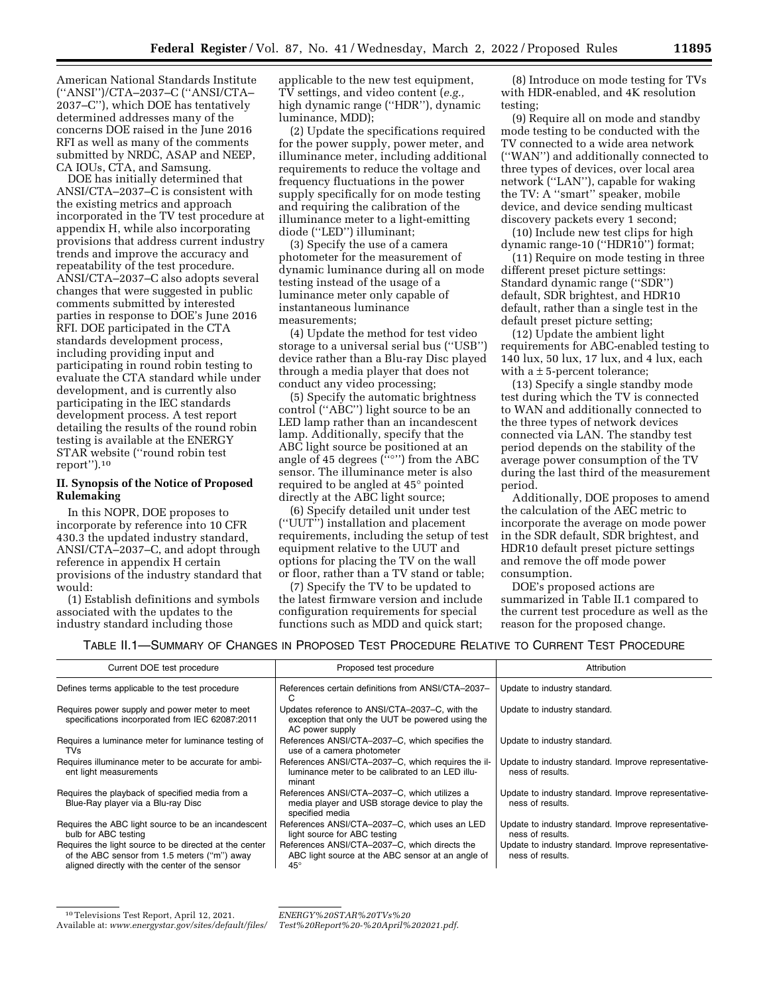American National Standards Institute (''ANSI'')/CTA–2037–C (''ANSI/CTA– 2037–C''), which DOE has tentatively determined addresses many of the concerns DOE raised in the June 2016 RFI as well as many of the comments submitted by NRDC, ASAP and NEEP, CA IOUs, CTA, and Samsung.

DOE has initially determined that ANSI/CTA–2037–C is consistent with the existing metrics and approach incorporated in the TV test procedure at appendix H, while also incorporating provisions that address current industry trends and improve the accuracy and repeatability of the test procedure. ANSI/CTA–2037–C also adopts several changes that were suggested in public comments submitted by interested parties in response to DOE's June 2016 RFI. DOE participated in the CTA standards development process, including providing input and participating in round robin testing to evaluate the CTA standard while under development, and is currently also participating in the IEC standards development process. A test report detailing the results of the round robin testing is available at the ENERGY STAR website (''round robin test report'').10

## **II. Synopsis of the Notice of Proposed Rulemaking**

In this NOPR, DOE proposes to incorporate by reference into 10 CFR 430.3 the updated industry standard, ANSI/CTA–2037–C, and adopt through reference in appendix H certain provisions of the industry standard that would:

(1) Establish definitions and symbols associated with the updates to the industry standard including those

applicable to the new test equipment, TV settings, and video content (*e.g.,*  high dynamic range (''HDR''), dynamic luminance, MDD);

(2) Update the specifications required for the power supply, power meter, and illuminance meter, including additional requirements to reduce the voltage and frequency fluctuations in the power supply specifically for on mode testing and requiring the calibration of the illuminance meter to a light-emitting diode (''LED'') illuminant;

(3) Specify the use of a camera photometer for the measurement of dynamic luminance during all on mode testing instead of the usage of a luminance meter only capable of instantaneous luminance measurements;

(4) Update the method for test video storage to a universal serial bus (''USB'') device rather than a Blu-ray Disc played through a media player that does not conduct any video processing;

(5) Specify the automatic brightness control (''ABC'') light source to be an LED lamp rather than an incandescent lamp. Additionally, specify that the ABC light source be positioned at an angle of 45 degrees  $($ "<sup>o</sup>") from the ABC sensor. The illuminance meter is also required to be angled at 45° pointed directly at the ABC light source;

(6) Specify detailed unit under test (''UUT'') installation and placement requirements, including the setup of test equipment relative to the UUT and options for placing the TV on the wall or floor, rather than a TV stand or table;

(7) Specify the TV to be updated to the latest firmware version and include configuration requirements for special functions such as MDD and quick start;

(8) Introduce on mode testing for TVs with HDR-enabled, and 4K resolution testing;

(9) Require all on mode and standby mode testing to be conducted with the TV connected to a wide area network (''WAN'') and additionally connected to three types of devices, over local area network (''LAN''), capable for waking the TV: A ''smart'' speaker, mobile device, and device sending multicast discovery packets every 1 second;

(10) Include new test clips for high dynamic range-10 (''HDR10'') format;

(11) Require on mode testing in three different preset picture settings: Standard dynamic range (''SDR'') default, SDR brightest, and HDR10 default, rather than a single test in the default preset picture setting;

(12) Update the ambient light requirements for ABC-enabled testing to 140 lux, 50 lux, 17 lux, and 4 lux, each with a  $\pm$  5-percent tolerance;

(13) Specify a single standby mode test during which the TV is connected to WAN and additionally connected to the three types of network devices connected via LAN. The standby test period depends on the stability of the average power consumption of the TV during the last third of the measurement period.

Additionally, DOE proposes to amend the calculation of the AEC metric to incorporate the average on mode power in the SDR default, SDR brightest, and HDR10 default preset picture settings and remove the off mode power consumption.

DOE's proposed actions are summarized in Table II.1 compared to the current test procedure as well as the reason for the proposed change.

### TABLE II.1—SUMMARY OF CHANGES IN PROPOSED TEST PROCEDURE RELATIVE TO CURRENT TEST PROCEDURE

| Current DOE test procedure                                                                                                                               | Proposed test procedure                                                                                               | Attribution                                                              |
|----------------------------------------------------------------------------------------------------------------------------------------------------------|-----------------------------------------------------------------------------------------------------------------------|--------------------------------------------------------------------------|
| Defines terms applicable to the test procedure                                                                                                           | References certain definitions from ANSI/CTA-2037-<br>C                                                               | Update to industry standard.                                             |
| Requires power supply and power meter to meet<br>specifications incorporated from IEC 62087:2011                                                         | Updates reference to ANSI/CTA-2037-C, with the<br>exception that only the UUT be powered using the<br>AC power supply | Update to industry standard.                                             |
| Requires a luminance meter for luminance testing of<br><b>TVs</b>                                                                                        | References ANSI/CTA-2037-C, which specifies the<br>use of a camera photometer                                         | Update to industry standard.                                             |
| Requires illuminance meter to be accurate for ambi-<br>ent light measurements                                                                            | References ANSI/CTA-2037-C, which requires the il-<br>luminance meter to be calibrated to an LED illu-<br>minant      | Update to industry standard. Improve representative-<br>ness of results. |
| Requires the playback of specified media from a<br>Blue-Ray player via a Blu-ray Disc                                                                    | References ANSI/CTA-2037-C, which utilizes a<br>media player and USB storage device to play the<br>specified media    | Update to industry standard. Improve representative-<br>ness of results. |
| Requires the ABC light source to be an incandescent<br>bulb for ABC testing                                                                              | References ANSI/CTA-2037-C, which uses an LED<br>light source for ABC testing                                         | Update to industry standard. Improve representative-<br>ness of results. |
| Requires the light source to be directed at the center<br>of the ABC sensor from 1.5 meters ("m") away<br>aligned directly with the center of the sensor | References ANSI/CTA-2037-C, which directs the<br>ABC light source at the ABC sensor at an angle of<br>$45^{\circ}$    | Update to industry standard. Improve representative-<br>ness of results. |

<sup>10</sup>Televisions Test Report, April 12, 2021. Available at: *[www.energystar.gov/sites/default/files/](http://www.energystar.gov/sites/default/files/ENERGY%20STAR%20TVs%20Test%20Report%20-%20April%202021.pdf)* 

*[ENERGY%20STAR%20TVs%20](http://www.energystar.gov/sites/default/files/ENERGY%20STAR%20TVs%20Test%20Report%20-%20April%202021.pdf) [Test%20Report%20-%20April%202021.pdf](http://www.energystar.gov/sites/default/files/ENERGY%20STAR%20TVs%20Test%20Report%20-%20April%202021.pdf)*.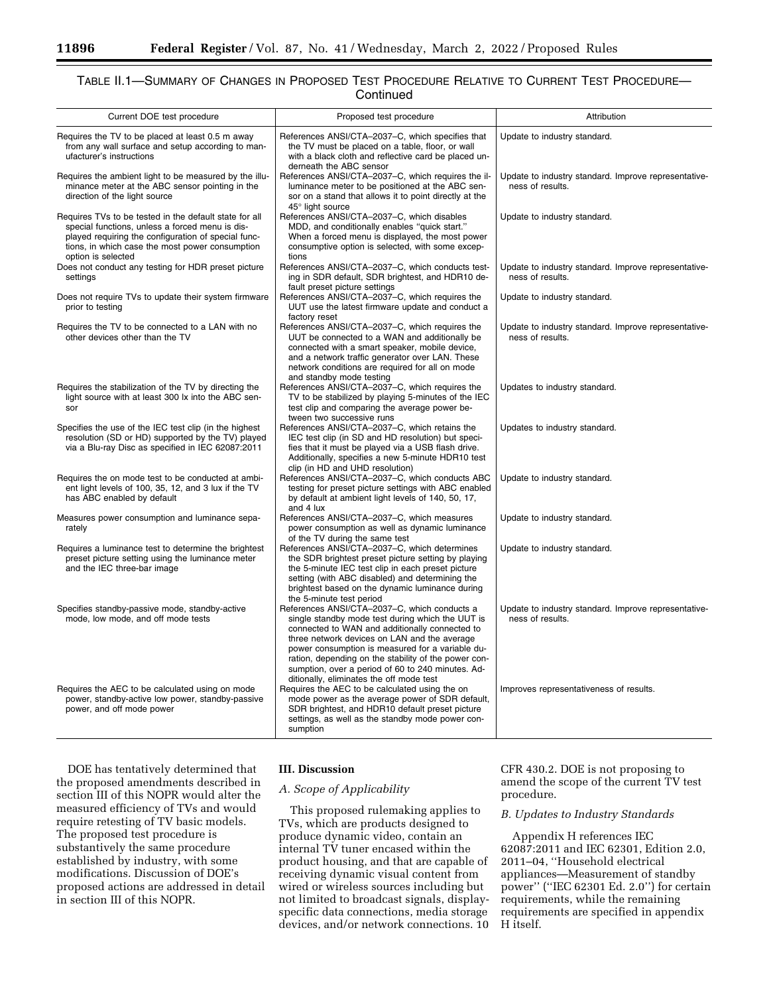# TABLE II.1—SUMMARY OF CHANGES IN PROPOSED TEST PROCEDURE RELATIVE TO CURRENT TEST PROCEDURE— **Continued**

| Current DOE test procedure                                                                                                                                                                                                                | Proposed test procedure                                                                                                                                                                                                                                                                                                                                                                                         | Attribution                                                              |
|-------------------------------------------------------------------------------------------------------------------------------------------------------------------------------------------------------------------------------------------|-----------------------------------------------------------------------------------------------------------------------------------------------------------------------------------------------------------------------------------------------------------------------------------------------------------------------------------------------------------------------------------------------------------------|--------------------------------------------------------------------------|
|                                                                                                                                                                                                                                           |                                                                                                                                                                                                                                                                                                                                                                                                                 |                                                                          |
| Requires the TV to be placed at least 0.5 m away<br>from any wall surface and setup according to man-<br>ufacturer's instructions                                                                                                         | References ANSI/CTA-2037-C, which specifies that<br>the TV must be placed on a table, floor, or wall<br>with a black cloth and reflective card be placed un-<br>derneath the ABC sensor                                                                                                                                                                                                                         | Update to industry standard.                                             |
| Requires the ambient light to be measured by the illu-<br>minance meter at the ABC sensor pointing in the<br>direction of the light source                                                                                                | References ANSI/CTA-2037-C, which requires the il-<br>luminance meter to be positioned at the ABC sen-<br>sor on a stand that allows it to point directly at the<br>45° light source                                                                                                                                                                                                                            | Update to industry standard. Improve representative-<br>ness of results. |
| Requires TVs to be tested in the default state for all<br>special functions, unless a forced menu is dis-<br>played requiring the configuration of special func-<br>tions, in which case the most power consumption<br>option is selected | References ANSI/CTA-2037-C, which disables<br>MDD, and conditionally enables "quick start."<br>When a forced menu is displayed, the most power<br>consumptive option is selected, with some excep-<br>tions                                                                                                                                                                                                     | Update to industry standard.                                             |
| Does not conduct any testing for HDR preset picture<br>settings                                                                                                                                                                           | References ANSI/CTA-2037-C, which conducts test-<br>ing in SDR default, SDR brightest, and HDR10 de-<br>fault preset picture settings                                                                                                                                                                                                                                                                           | Update to industry standard. Improve representative-<br>ness of results. |
| Does not require TVs to update their system firmware<br>prior to testing                                                                                                                                                                  | References ANSI/CTA-2037-C, which requires the<br>UUT use the latest firmware update and conduct a<br>factory reset                                                                                                                                                                                                                                                                                             | Update to industry standard.                                             |
| Requires the TV to be connected to a LAN with no<br>other devices other than the TV                                                                                                                                                       | References ANSI/CTA-2037-C, which requires the<br>UUT be connected to a WAN and additionally be<br>connected with a smart speaker, mobile device,<br>and a network traffic generator over LAN. These<br>network conditions are required for all on mode<br>and standby mode testing                                                                                                                             | Update to industry standard. Improve representative-<br>ness of results. |
| Requires the stabilization of the TV by directing the<br>light source with at least 300 lx into the ABC sen-<br>sor                                                                                                                       | References ANSI/CTA-2037-C, which requires the<br>TV to be stabilized by playing 5-minutes of the IEC<br>test clip and comparing the average power be-<br>tween two successive runs                                                                                                                                                                                                                             | Updates to industry standard.                                            |
| Specifies the use of the IEC test clip (in the highest<br>resolution (SD or HD) supported by the TV) played<br>via a Blu-ray Disc as specified in IEC 62087:2011                                                                          | References ANSI/CTA-2037-C, which retains the<br>IEC test clip (in SD and HD resolution) but speci-<br>fies that it must be played via a USB flash drive.<br>Additionally, specifies a new 5-minute HDR10 test<br>clip (in HD and UHD resolution)                                                                                                                                                               | Updates to industry standard.                                            |
| Requires the on mode test to be conducted at ambi-<br>ent light levels of 100, 35, 12, and 3 lux if the TV<br>has ABC enabled by default                                                                                                  | References ANSI/CTA-2037-C, which conducts ABC<br>testing for preset picture settings with ABC enabled<br>by default at ambient light levels of 140, 50, 17,<br>and 4 lux                                                                                                                                                                                                                                       | Update to industry standard.                                             |
| Measures power consumption and luminance sepa-<br>rately                                                                                                                                                                                  | References ANSI/CTA-2037-C, which measures<br>power consumption as well as dynamic luminance<br>of the TV during the same test                                                                                                                                                                                                                                                                                  | Update to industry standard.                                             |
| Requires a luminance test to determine the brightest<br>preset picture setting using the luminance meter<br>and the IEC three-bar image                                                                                                   | References ANSI/CTA-2037-C, which determines<br>the SDR brightest preset picture setting by playing<br>the 5-minute IEC test clip in each preset picture<br>setting (with ABC disabled) and determining the<br>brightest based on the dynamic luminance during<br>the 5-minute test period                                                                                                                      | Update to industry standard.                                             |
| Specifies standby-passive mode, standby-active<br>mode, low mode, and off mode tests                                                                                                                                                      | References ANSI/CTA-2037-C, which conducts a<br>single standby mode test during which the UUT is<br>connected to WAN and additionally connected to<br>three network devices on LAN and the average<br>power consumption is measured for a variable du-<br>ration, depending on the stability of the power con-<br>sumption, over a period of 60 to 240 minutes. Ad-<br>ditionally, eliminates the off mode test | Update to industry standard. Improve representative-<br>ness of results. |
| Requires the AEC to be calculated using on mode<br>power, standby-active low power, standby-passive<br>power, and off mode power                                                                                                          | Requires the AEC to be calculated using the on<br>mode power as the average power of SDR default,<br>SDR brightest, and HDR10 default preset picture<br>settings, as well as the standby mode power con-<br>sumption                                                                                                                                                                                            | Improves representativeness of results.                                  |

DOE has tentatively determined that the proposed amendments described in section III of this NOPR would alter the measured efficiency of TVs and would require retesting of TV basic models. The proposed test procedure is substantively the same procedure established by industry, with some modifications. Discussion of DOE's proposed actions are addressed in detail in section III of this NOPR.

## **III. Discussion**

# *A. Scope of Applicability*

This proposed rulemaking applies to TVs, which are products designed to produce dynamic video, contain an internal TV tuner encased within the product housing, and that are capable of receiving dynamic visual content from wired or wireless sources including but not limited to broadcast signals, displayspecific data connections, media storage devices, and/or network connections. 10

CFR 430.2. DOE is not proposing to amend the scope of the current TV test procedure.

# *B. Updates to Industry Standards*

Appendix H references IEC 62087:2011 and IEC 62301, Edition 2.0, 2011–04, ''Household electrical appliances—Measurement of standby power'' (''IEC 62301 Ed. 2.0'') for certain requirements, while the remaining requirements are specified in appendix H itself.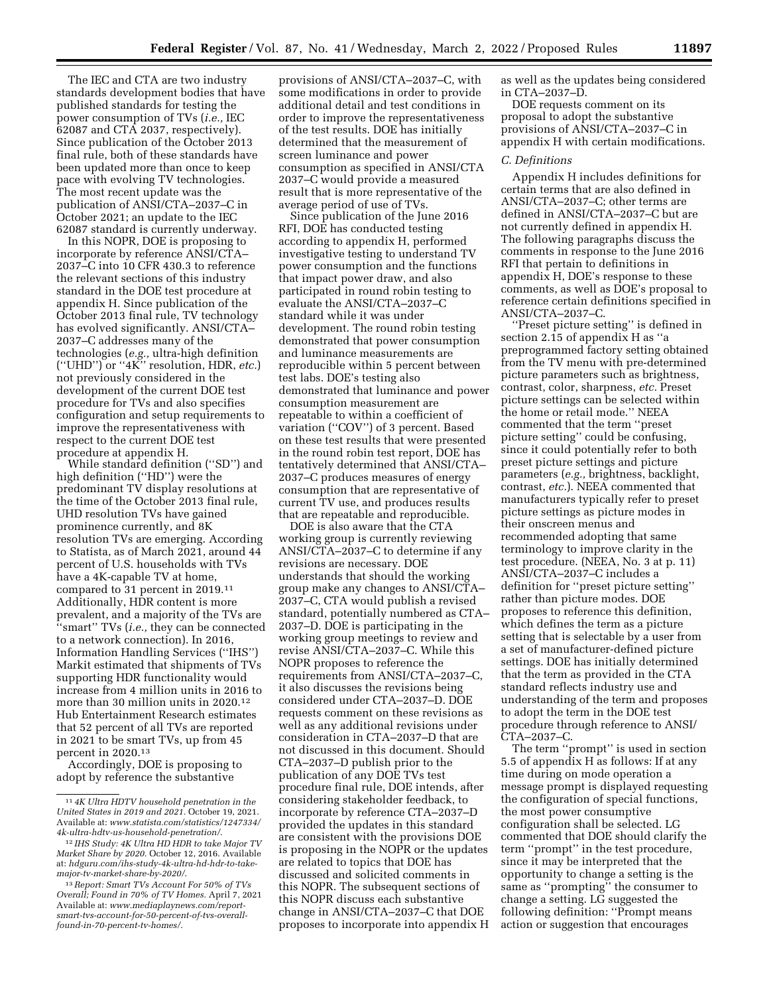The IEC and CTA are two industry standards development bodies that have published standards for testing the power consumption of TVs (*i.e.,* IEC 62087 and CTA 2037, respectively). Since publication of the October 2013 final rule, both of these standards have been updated more than once to keep pace with evolving TV technologies. The most recent update was the publication of ANSI/CTA–2037–C in October 2021; an update to the IEC 62087 standard is currently underway.

In this NOPR, DOE is proposing to incorporate by reference ANSI/CTA– 2037–C into 10 CFR 430.3 to reference the relevant sections of this industry standard in the DOE test procedure at appendix H. Since publication of the October 2013 final rule, TV technology has evolved significantly. ANSI/CTA– 2037–C addresses many of the technologies (*e.g.,* ultra-high definition (''UHD'') or ''4K'' resolution, HDR, *etc.*) not previously considered in the development of the current DOE test procedure for TVs and also specifies configuration and setup requirements to improve the representativeness with respect to the current DOE test procedure at appendix H.

While standard definition ("SD") and high definition (''HD'') were the predominant TV display resolutions at the time of the October 2013 final rule, UHD resolution TVs have gained prominence currently, and 8K resolution TVs are emerging. According to Statista, as of March 2021, around 44 percent of U.S. households with TVs have a 4K-capable TV at home, compared to 31 percent in 2019.11 Additionally, HDR content is more prevalent, and a majority of the TVs are ''smart'' TVs (*i.e.,* they can be connected to a network connection). In 2016, Information Handling Services (''IHS'') Markit estimated that shipments of TVs supporting HDR functionality would increase from 4 million units in 2016 to more than 30 million units in 2020.12 Hub Entertainment Research estimates that 52 percent of all TVs are reported in 2021 to be smart TVs, up from 45 percent in 2020.13

Accordingly, DOE is proposing to adopt by reference the substantive

provisions of ANSI/CTA–2037–C, with some modifications in order to provide additional detail and test conditions in order to improve the representativeness of the test results. DOE has initially determined that the measurement of screen luminance and power consumption as specified in ANSI/CTA 2037–C would provide a measured result that is more representative of the average period of use of TVs.

Since publication of the June 2016 RFI, DOE has conducted testing according to appendix H, performed investigative testing to understand TV power consumption and the functions that impact power draw, and also participated in round robin testing to evaluate the ANSI/CTA–2037–C standard while it was under development. The round robin testing demonstrated that power consumption and luminance measurements are reproducible within 5 percent between test labs. DOE's testing also demonstrated that luminance and power consumption measurement are repeatable to within a coefficient of variation (''COV'') of 3 percent. Based on these test results that were presented in the round robin test report, DOE has tentatively determined that ANSI/CTA– 2037–C produces measures of energy consumption that are representative of current TV use, and produces results that are repeatable and reproducible.

DOE is also aware that the CTA working group is currently reviewing ANSI/CTA–2037–C to determine if any revisions are necessary. DOE understands that should the working group make any changes to ANSI/CTA– 2037–C, CTA would publish a revised standard, potentially numbered as CTA– 2037–D. DOE is participating in the working group meetings to review and revise ANSI/CTA–2037–C. While this NOPR proposes to reference the requirements from ANSI/CTA–2037–C, it also discusses the revisions being considered under CTA–2037–D. DOE requests comment on these revisions as well as any additional revisions under consideration in CTA–2037–D that are not discussed in this document. Should CTA–2037–D publish prior to the publication of any DOE TVs test procedure final rule, DOE intends, after considering stakeholder feedback, to incorporate by reference CTA–2037–D provided the updates in this standard are consistent with the provisions DOE is proposing in the NOPR or the updates are related to topics that DOE has discussed and solicited comments in this NOPR. The subsequent sections of this NOPR discuss each substantive change in ANSI/CTA–2037–C that DOE proposes to incorporate into appendix H as well as the updates being considered in CTA–2037–D.

DOE requests comment on its proposal to adopt the substantive provisions of ANSI/CTA–2037–C in appendix H with certain modifications.

### *C. Definitions*

Appendix H includes definitions for certain terms that are also defined in ANSI/CTA–2037–C; other terms are defined in ANSI/CTA–2037–C but are not currently defined in appendix H. The following paragraphs discuss the comments in response to the June 2016 RFI that pertain to definitions in appendix H, DOE's response to these comments, as well as DOE's proposal to reference certain definitions specified in ANSI/CTA–2037–C.

''Preset picture setting'' is defined in section 2.15 of appendix H as ''a preprogrammed factory setting obtained from the TV menu with pre-determined picture parameters such as brightness, contrast, color, sharpness, *etc.* Preset picture settings can be selected within the home or retail mode.'' NEEA commented that the term ''preset picture setting'' could be confusing, since it could potentially refer to both preset picture settings and picture parameters (*e.g.,* brightness, backlight, contrast, *etc.*). NEEA commented that manufacturers typically refer to preset picture settings as picture modes in their onscreen menus and recommended adopting that same terminology to improve clarity in the test procedure. (NEEA, No. 3 at p. 11) ANSI/CTA–2037–C includes a definition for ''preset picture setting'' rather than picture modes. DOE proposes to reference this definition, which defines the term as a picture setting that is selectable by a user from a set of manufacturer-defined picture settings. DOE has initially determined that the term as provided in the CTA standard reflects industry use and understanding of the term and proposes to adopt the term in the DOE test procedure through reference to ANSI/ CTA–2037–C.

The term ''prompt'' is used in section 5.5 of appendix H as follows: If at any time during on mode operation a message prompt is displayed requesting the configuration of special functions, the most power consumptive configuration shall be selected. LG commented that DOE should clarify the term ''prompt'' in the test procedure, since it may be interpreted that the opportunity to change a setting is the same as ''prompting'' the consumer to change a setting. LG suggested the following definition: ''Prompt means action or suggestion that encourages

<sup>11</sup> *4K Ultra HDTV household penetration in the United States in 2019 and 2021.* October 19, 2021. Available at: *[www.statista.com/statistics/1247334/](http://www.statista.com/statistics/1247334/4k-ultra-hdtv-us-household-penetration/)  [4k-ultra-hdtv-us-household-penetration/](http://www.statista.com/statistics/1247334/4k-ultra-hdtv-us-household-penetration/)*.

<sup>12</sup> *IHS Study: 4K Ultra HD HDR to take Major TV Market Share by 2020.* October 12, 2016. Available at: *[hdguru.com/ihs-study-4k-ultra-hd-hdr-to-take](http://hdguru.com/ihs-study-4k-ultra-hd-hdr-to-take-major-tv-market-share-by-2020/)[major-tv-market-share-by-2020/](http://hdguru.com/ihs-study-4k-ultra-hd-hdr-to-take-major-tv-market-share-by-2020/)*.

<sup>13</sup>*Report: Smart TVs Account For 50% of TVs Overall; Found in 70% of TV Homes.* April 7, 2021 Available at: *[www.mediaplaynews.com/report](http://www.mediaplaynews.com/report-smart-tvs-account-for-50-percent-of-tvs-overall-found-in-70-percent-tv-homes/)[smart-tvs-account-for-50-percent-of-tvs-overall](http://www.mediaplaynews.com/report-smart-tvs-account-for-50-percent-of-tvs-overall-found-in-70-percent-tv-homes/)[found-in-70-percent-tv-homes/](http://www.mediaplaynews.com/report-smart-tvs-account-for-50-percent-of-tvs-overall-found-in-70-percent-tv-homes/)*.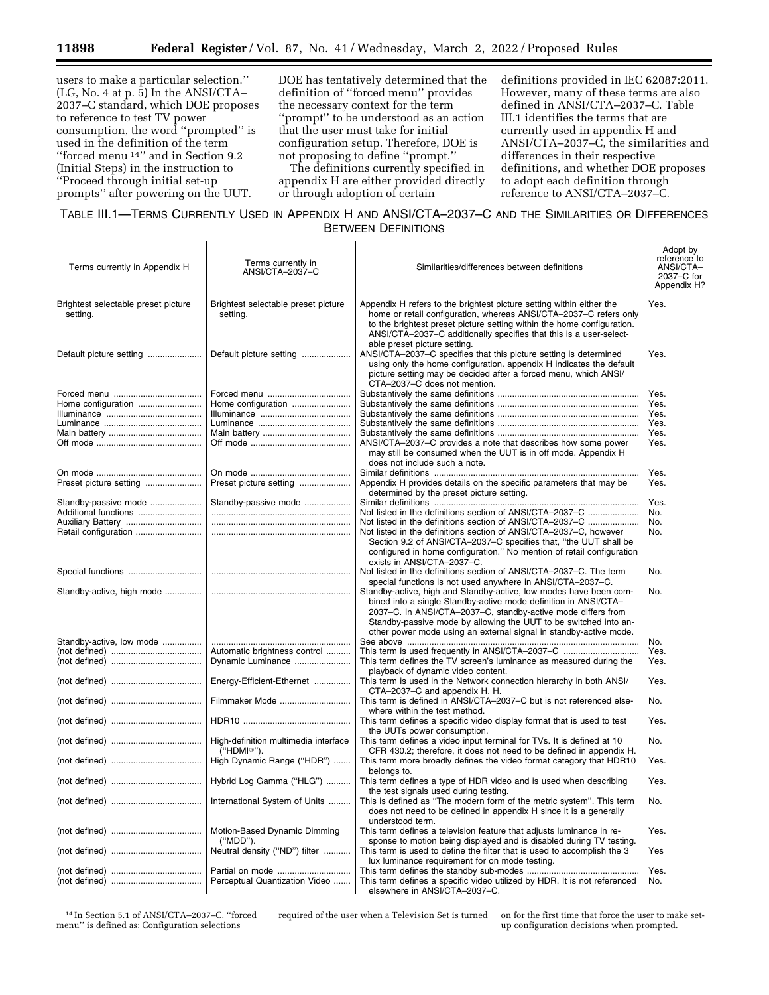users to make a particular selection.'' (LG, No. 4 at p. 5) In the ANSI/CTA– 2037–C standard, which DOE proposes to reference to test TV power consumption, the word ''prompted'' is used in the definition of the term ''forced menu 14'' and in Section 9.2 (Initial Steps) in the instruction to ''Proceed through initial set-up prompts'' after powering on the UUT.

DOE has tentatively determined that the definition of ''forced menu'' provides the necessary context for the term ''prompt'' to be understood as an action that the user must take for initial configuration setup. Therefore, DOE is not proposing to define ''prompt.''

The definitions currently specified in appendix H are either provided directly or through adoption of certain

definitions provided in IEC 62087:2011. However, many of these terms are also defined in ANSI/CTA–2037–C. Table III.1 identifies the terms that are currently used in appendix H and ANSI/CTA–2037–C, the similarities and differences in their respective definitions, and whether DOE proposes to adopt each definition through reference to ANSI/CTA–2037–C.

# TABLE III.1—TERMS CURRENTLY USED IN APPENDIX H AND ANSI/CTA–2037–C AND THE SIMILARITIES OR DIFFERENCES BETWEEN DEFINITIONS

| Terms currently in Appendix H                   | Terms currently in<br>ANSI/CTA-2037-C                           | Similarities/differences between definitions                                                                                                                                                                                                                                                                                                  | Adopt by<br>reference to<br>ANSI/CTA-<br>2037-C for<br>Appendix H? |
|-------------------------------------------------|-----------------------------------------------------------------|-----------------------------------------------------------------------------------------------------------------------------------------------------------------------------------------------------------------------------------------------------------------------------------------------------------------------------------------------|--------------------------------------------------------------------|
| Brightest selectable preset picture<br>setting. | Brightest selectable preset picture<br>setting.                 | Appendix H refers to the brightest picture setting within either the<br>home or retail configuration, whereas ANSI/CTA-2037-C refers only<br>to the brightest preset picture setting within the home configuration.<br>ANSI/CTA-2037-C additionally specifies that this is a user-select-                                                     | Yes.                                                               |
| Default picture setting                         | Default picture setting                                         | able preset picture setting.<br>ANSI/CTA-2037-C specifies that this picture setting is determined<br>using only the home configuration. appendix H indicates the default<br>picture setting may be decided after a forced menu, which ANSI/<br>CTA-2037-C does not mention.                                                                   | Yes.                                                               |
|                                                 |                                                                 |                                                                                                                                                                                                                                                                                                                                               | Yes.                                                               |
|                                                 |                                                                 |                                                                                                                                                                                                                                                                                                                                               | Yes.                                                               |
| Home configuration                              | Home configuration                                              |                                                                                                                                                                                                                                                                                                                                               |                                                                    |
|                                                 |                                                                 |                                                                                                                                                                                                                                                                                                                                               | Yes.                                                               |
|                                                 |                                                                 |                                                                                                                                                                                                                                                                                                                                               | Yes.                                                               |
|                                                 |                                                                 |                                                                                                                                                                                                                                                                                                                                               | Yes.                                                               |
|                                                 |                                                                 | ANSI/CTA-2037-C provides a note that describes how some power<br>may still be consumed when the UUT is in off mode. Appendix H                                                                                                                                                                                                                | Yes.                                                               |
|                                                 |                                                                 | does not include such a note.                                                                                                                                                                                                                                                                                                                 |                                                                    |
|                                                 |                                                                 |                                                                                                                                                                                                                                                                                                                                               | Yes.                                                               |
| Preset picture setting                          | Preset picture setting                                          | Appendix H provides details on the specific parameters that may be                                                                                                                                                                                                                                                                            | Yes.                                                               |
|                                                 |                                                                 | determined by the preset picture setting.                                                                                                                                                                                                                                                                                                     |                                                                    |
| Standby-passive mode                            | Standby-passive mode                                            |                                                                                                                                                                                                                                                                                                                                               | Yes.                                                               |
| Additional functions                            |                                                                 | Not listed in the definitions section of ANSI/CTA-2037-C                                                                                                                                                                                                                                                                                      | No.                                                                |
| Auxiliary Battery                               |                                                                 | Not listed in the definitions section of ANSI/CTA-2037-C                                                                                                                                                                                                                                                                                      | No.                                                                |
| Retail configuration                            |                                                                 | Not listed in the definitions section of ANSI/CTA-2037-C, however                                                                                                                                                                                                                                                                             | No.                                                                |
|                                                 |                                                                 | Section 9.2 of ANSI/CTA-2037-C specifies that, "the UUT shall be<br>configured in home configuration." No mention of retail configuration<br>exists in ANSI/CTA-2037-C.                                                                                                                                                                       |                                                                    |
|                                                 |                                                                 | Not listed in the definitions section of ANSI/CTA-2037-C. The term<br>special functions is not used anywhere in ANSI/CTA-2037-C.                                                                                                                                                                                                              | No.                                                                |
|                                                 |                                                                 | Standby-active, high and Standby-active, low modes have been com-<br>bined into a single Standby-active mode definition in ANSI/CTA-<br>2037-C. In ANSI/CTA-2037-C, standby-active mode differs from<br>Standby-passive mode by allowing the UUT to be switched into an-<br>other power mode using an external signal in standby-active mode. | No.                                                                |
|                                                 |                                                                 |                                                                                                                                                                                                                                                                                                                                               |                                                                    |
| Standby-active, low mode                        |                                                                 |                                                                                                                                                                                                                                                                                                                                               | No.                                                                |
|                                                 | Automatic brightness control                                    | This term is used frequently in ANSI/CTA-2037-C                                                                                                                                                                                                                                                                                               | Yes.                                                               |
|                                                 | Dynamic Luminance                                               | This term defines the TV screen's luminance as measured during the<br>playback of dynamic video content.                                                                                                                                                                                                                                      | Yes.                                                               |
|                                                 | Energy-Efficient-Ethernet                                       | This term is used in the Network connection hierarchy in both ANSI/<br>CTA-2037-C and appendix H. H.                                                                                                                                                                                                                                          | Yes.                                                               |
|                                                 | Filmmaker Mode                                                  | This term is defined in ANSI/CTA-2037-C but is not referenced else-<br>where within the test method.                                                                                                                                                                                                                                          | No.                                                                |
|                                                 |                                                                 | This term defines a specific video display format that is used to test<br>the UUTs power consumption.                                                                                                                                                                                                                                         | Yes.                                                               |
|                                                 | High-definition multimedia interface<br>("HDMI <sup>®"</sup> ). | This term defines a video input terminal for TVs. It is defined at 10<br>CFR 430.2; therefore, it does not need to be defined in appendix H.                                                                                                                                                                                                  | No.                                                                |
|                                                 | High Dynamic Range ("HDR")                                      | This term more broadly defines the video format category that HDR10<br>belongs to.                                                                                                                                                                                                                                                            | Yes.                                                               |
|                                                 | Hybrid Log Gamma ("HLG")                                        | This term defines a type of HDR video and is used when describing<br>the test signals used during testing.                                                                                                                                                                                                                                    | Yes.                                                               |
|                                                 | International System of Units                                   | This is defined as "The modern form of the metric system". This term<br>does not need to be defined in appendix H since it is a generally<br>understood term.                                                                                                                                                                                 | No.                                                                |
|                                                 | Motion-Based Dynamic Dimming<br>("MDD").                        | This term defines a television feature that adjusts luminance in re-<br>sponse to motion being displayed and is disabled during TV testing.                                                                                                                                                                                                   | Yes.                                                               |
|                                                 | Neutral density ("ND") filter                                   | This term is used to define the filter that is used to accomplish the 3<br>lux luminance requirement for on mode testing.                                                                                                                                                                                                                     | Yes                                                                |
|                                                 |                                                                 |                                                                                                                                                                                                                                                                                                                                               | Yes.                                                               |
|                                                 | Perceptual Quantization Video                                   | This term defines a specific video utilized by HDR. It is not referenced<br>elsewhere in ANSI/CTA-2037-C.                                                                                                                                                                                                                                     | No.                                                                |

14 In Section 5.1 of ANSI/CTA–2037–C, ''forced menu'' is defined as: Configuration selections

required of the user when a Television Set is turned on for the first time that force the user to make setup configuration decisions when prompted.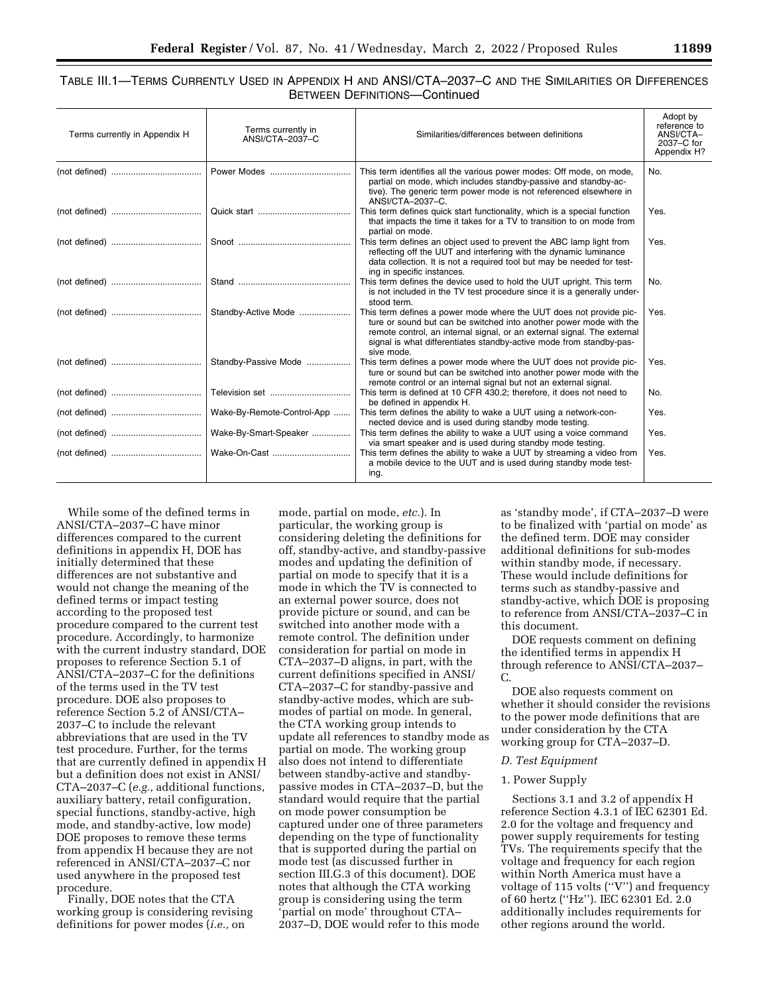| TABLE III.1—TERMS CURRENTLY USED IN APPENDIX H AND ANSI/CTA-2037-C AND THE SIMILARITIES OR DIFFERENCES |                                      |  |  |
|--------------------------------------------------------------------------------------------------------|--------------------------------------|--|--|
|                                                                                                        | <b>BETWEEN DEFINITIONS-Continued</b> |  |  |

| Terms currently in Appendix H | Terms currently in<br>ANSI/CTA-2037-C | Similarities/differences between definitions                                                                                                                                                                                                                                                             | Adopt by<br>reference to<br>ANSI/CTA-<br>2037-C for<br>Appendix H? |
|-------------------------------|---------------------------------------|----------------------------------------------------------------------------------------------------------------------------------------------------------------------------------------------------------------------------------------------------------------------------------------------------------|--------------------------------------------------------------------|
|                               | Power Modes                           | This term identifies all the various power modes: Off mode, on mode,<br>partial on mode, which includes standby-passive and standby-ac-<br>tive). The generic term power mode is not referenced elsewhere in<br>ANSI/CTA-2037-C.                                                                         | No.                                                                |
|                               |                                       | This term defines quick start functionality, which is a special function<br>that impacts the time it takes for a TV to transition to on mode from<br>partial on mode.                                                                                                                                    | Yes.                                                               |
|                               |                                       | This term defines an object used to prevent the ABC lamp light from<br>reflecting off the UUT and interfering with the dynamic luminance<br>data collection. It is not a required tool but may be needed for test-<br>ing in specific instances.                                                         | Yes.                                                               |
|                               |                                       | This term defines the device used to hold the UUT upright. This term<br>is not included in the TV test procedure since it is a generally under-<br>stood term.                                                                                                                                           | No.                                                                |
|                               | Standby-Active Mode                   | This term defines a power mode where the UUT does not provide pic-<br>ture or sound but can be switched into another power mode with the<br>remote control, an internal signal, or an external signal. The external<br>signal is what differentiates standby-active mode from standby-pas-<br>sive mode. | Yes.                                                               |
|                               | Standby-Passive Mode                  | This term defines a power mode where the UUT does not provide pic-<br>ture or sound but can be switched into another power mode with the<br>remote control or an internal signal but not an external signal.                                                                                             | Yes.                                                               |
|                               |                                       | This term is defined at 10 CFR 430.2: therefore, it does not need to<br>be defined in appendix H.                                                                                                                                                                                                        | No.                                                                |
|                               | Wake-By-Remote-Control-App            | This term defines the ability to wake a UUT using a network-con-<br>nected device and is used during standby mode testing.                                                                                                                                                                               | Yes.                                                               |
|                               | Wake-By-Smart-Speaker                 | This term defines the ability to wake a UUT using a voice command<br>via smart speaker and is used during standby mode testing.                                                                                                                                                                          | Yes.                                                               |
|                               | Wake-On-Cast                          | This term defines the ability to wake a UUT by streaming a video from<br>a mobile device to the UUT and is used during standby mode test-<br>ing.                                                                                                                                                        | Yes.                                                               |

While some of the defined terms in ANSI/CTA–2037–C have minor differences compared to the current definitions in appendix H, DOE has initially determined that these differences are not substantive and would not change the meaning of the defined terms or impact testing according to the proposed test procedure compared to the current test procedure. Accordingly, to harmonize with the current industry standard, DOE proposes to reference Section 5.1 of ANSI/CTA–2037–C for the definitions of the terms used in the TV test procedure. DOE also proposes to reference Section 5.2 of ANSI/CTA– 2037–C to include the relevant abbreviations that are used in the TV test procedure. Further, for the terms that are currently defined in appendix H but a definition does not exist in ANSI/ CTA–2037–C (*e.g.,* additional functions, auxiliary battery, retail configuration, special functions, standby-active, high mode, and standby-active, low mode) DOE proposes to remove these terms from appendix H because they are not referenced in ANSI/CTA–2037–C nor used anywhere in the proposed test procedure.

Finally, DOE notes that the CTA working group is considering revising definitions for power modes (*i.e.,* on

mode, partial on mode, *etc.*). In particular, the working group is considering deleting the definitions for off, standby-active, and standby-passive modes and updating the definition of partial on mode to specify that it is a mode in which the TV is connected to an external power source, does not provide picture or sound, and can be switched into another mode with a remote control. The definition under consideration for partial on mode in CTA–2037–D aligns, in part, with the current definitions specified in ANSI/ CTA–2037–C for standby-passive and standby-active modes, which are submodes of partial on mode. In general, the CTA working group intends to update all references to standby mode as partial on mode. The working group also does not intend to differentiate between standby-active and standbypassive modes in CTA–2037–D, but the standard would require that the partial on mode power consumption be captured under one of three parameters depending on the type of functionality that is supported during the partial on mode test (as discussed further in section III.G.3 of this document). DOE notes that although the CTA working group is considering using the term 'partial on mode' throughout CTA– 2037–D, DOE would refer to this mode

as 'standby mode', if CTA–2037–D were to be finalized with 'partial on mode' as the defined term. DOE may consider additional definitions for sub-modes within standby mode, if necessary. These would include definitions for terms such as standby-passive and standby-active, which DOE is proposing to reference from ANSI/CTA–2037–C in this document.

DOE requests comment on defining the identified terms in appendix H through reference to ANSI/CTA–2037– C.

DOE also requests comment on whether it should consider the revisions to the power mode definitions that are under consideration by the CTA working group for CTA–2037–D.

### *D. Test Equipment*

### 1. Power Supply

Sections 3.1 and 3.2 of appendix H reference Section 4.3.1 of IEC 62301 Ed. 2.0 for the voltage and frequency and power supply requirements for testing TVs. The requirements specify that the voltage and frequency for each region within North America must have a voltage of 115 volts (''V'') and frequency of 60 hertz (''Hz''). IEC 62301 Ed. 2.0 additionally includes requirements for other regions around the world.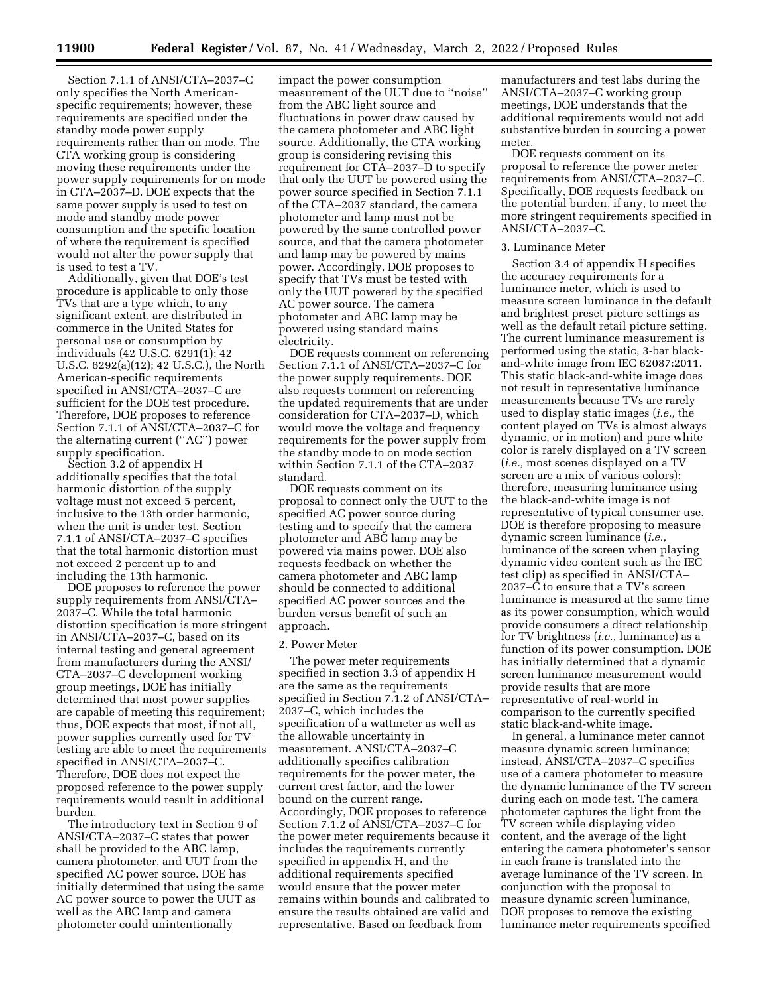Section 7.1.1 of ANSI/CTA–2037–C only specifies the North Americanspecific requirements; however, these requirements are specified under the standby mode power supply requirements rather than on mode. The CTA working group is considering moving these requirements under the power supply requirements for on mode in CTA–2037–D. DOE expects that the same power supply is used to test on mode and standby mode power consumption and the specific location of where the requirement is specified would not alter the power supply that is used to test a TV.

Additionally, given that DOE's test procedure is applicable to only those TVs that are a type which, to any significant extent, are distributed in commerce in the United States for personal use or consumption by individuals (42 U.S.C. 6291(1); 42 U.S.C. 6292(a)(12); 42 U.S.C.), the North American-specific requirements specified in ANSI/CTA–2037–C are sufficient for the DOE test procedure. Therefore, DOE proposes to reference Section 7.1.1 of ANSI/CTA–2037–C for the alternating current (''AC'') power supply specification.

Section 3.2 of appendix H additionally specifies that the total harmonic distortion of the supply voltage must not exceed 5 percent, inclusive to the 13th order harmonic, when the unit is under test. Section 7.1.1 of ANSI/CTA–2037–C specifies that the total harmonic distortion must not exceed 2 percent up to and including the 13th harmonic.

DOE proposes to reference the power supply requirements from ANSI/CTA– 2037–C. While the total harmonic distortion specification is more stringent in ANSI/CTA–2037–C, based on its internal testing and general agreement from manufacturers during the ANSI/ CTA–2037–C development working group meetings, DOE has initially determined that most power supplies are capable of meeting this requirement; thus, DOE expects that most, if not all, power supplies currently used for TV testing are able to meet the requirements specified in ANSI/CTA–2037–C. Therefore, DOE does not expect the proposed reference to the power supply requirements would result in additional burden.

The introductory text in Section 9 of ANSI/CTA–2037–C states that power shall be provided to the ABC lamp, camera photometer, and UUT from the specified AC power source. DOE has initially determined that using the same AC power source to power the UUT as well as the ABC lamp and camera photometer could unintentionally

impact the power consumption measurement of the UUT due to ''noise'' from the ABC light source and fluctuations in power draw caused by the camera photometer and ABC light source. Additionally, the CTA working group is considering revising this requirement for CTA–2037–D to specify that only the UUT be powered using the power source specified in Section 7.1.1 of the CTA–2037 standard, the camera photometer and lamp must not be powered by the same controlled power source, and that the camera photometer and lamp may be powered by mains power. Accordingly, DOE proposes to specify that TVs must be tested with only the UUT powered by the specified AC power source. The camera photometer and ABC lamp may be powered using standard mains electricity.

DOE requests comment on referencing Section 7.1.1 of ANSI/CTA–2037–C for the power supply requirements. DOE also requests comment on referencing the updated requirements that are under consideration for CTA–2037–D, which would move the voltage and frequency requirements for the power supply from the standby mode to on mode section within Section 7.1.1 of the CTA–2037 standard.

DOE requests comment on its proposal to connect only the UUT to the specified AC power source during testing and to specify that the camera photometer and ABC lamp may be powered via mains power. DOE also requests feedback on whether the camera photometer and ABC lamp should be connected to additional specified AC power sources and the burden versus benefit of such an approach.

#### 2. Power Meter

The power meter requirements specified in section 3.3 of appendix H are the same as the requirements specified in Section 7.1.2 of ANSI/CTA– 2037–C, which includes the specification of a wattmeter as well as the allowable uncertainty in measurement. ANSI/CTA–2037–C additionally specifies calibration requirements for the power meter, the current crest factor, and the lower bound on the current range. Accordingly, DOE proposes to reference Section 7.1.2 of ANSI/CTA–2037–C for the power meter requirements because it includes the requirements currently specified in appendix H, and the additional requirements specified would ensure that the power meter remains within bounds and calibrated to ensure the results obtained are valid and representative. Based on feedback from

manufacturers and test labs during the ANSI/CTA–2037–C working group meetings, DOE understands that the additional requirements would not add substantive burden in sourcing a power meter.

DOE requests comment on its proposal to reference the power meter requirements from ANSI/CTA–2037–C. Specifically, DOE requests feedback on the potential burden, if any, to meet the more stringent requirements specified in ANSI/CTA–2037–C.

## 3. Luminance Meter

Section 3.4 of appendix H specifies the accuracy requirements for a luminance meter, which is used to measure screen luminance in the default and brightest preset picture settings as well as the default retail picture setting. The current luminance measurement is performed using the static, 3-bar blackand-white image from IEC 62087:2011. This static black-and-white image does not result in representative luminance measurements because TVs are rarely used to display static images (*i.e.,* the content played on TVs is almost always dynamic, or in motion) and pure white color is rarely displayed on a TV screen (*i.e.,* most scenes displayed on a TV screen are a mix of various colors); therefore, measuring luminance using the black-and-white image is not representative of typical consumer use. DOE is therefore proposing to measure dynamic screen luminance (*i.e.,*  luminance of the screen when playing dynamic video content such as the IEC test clip) as specified in ANSI/CTA– 2037–C to ensure that a TV's screen luminance is measured at the same time as its power consumption, which would provide consumers a direct relationship for TV brightness (*i.e.,* luminance) as a function of its power consumption. DOE has initially determined that a dynamic screen luminance measurement would provide results that are more representative of real-world in comparison to the currently specified static black-and-white image.

In general, a luminance meter cannot measure dynamic screen luminance; instead, ANSI/CTA–2037–C specifies use of a camera photometer to measure the dynamic luminance of the TV screen during each on mode test. The camera photometer captures the light from the TV screen while displaying video content, and the average of the light entering the camera photometer's sensor in each frame is translated into the average luminance of the TV screen. In conjunction with the proposal to measure dynamic screen luminance, DOE proposes to remove the existing luminance meter requirements specified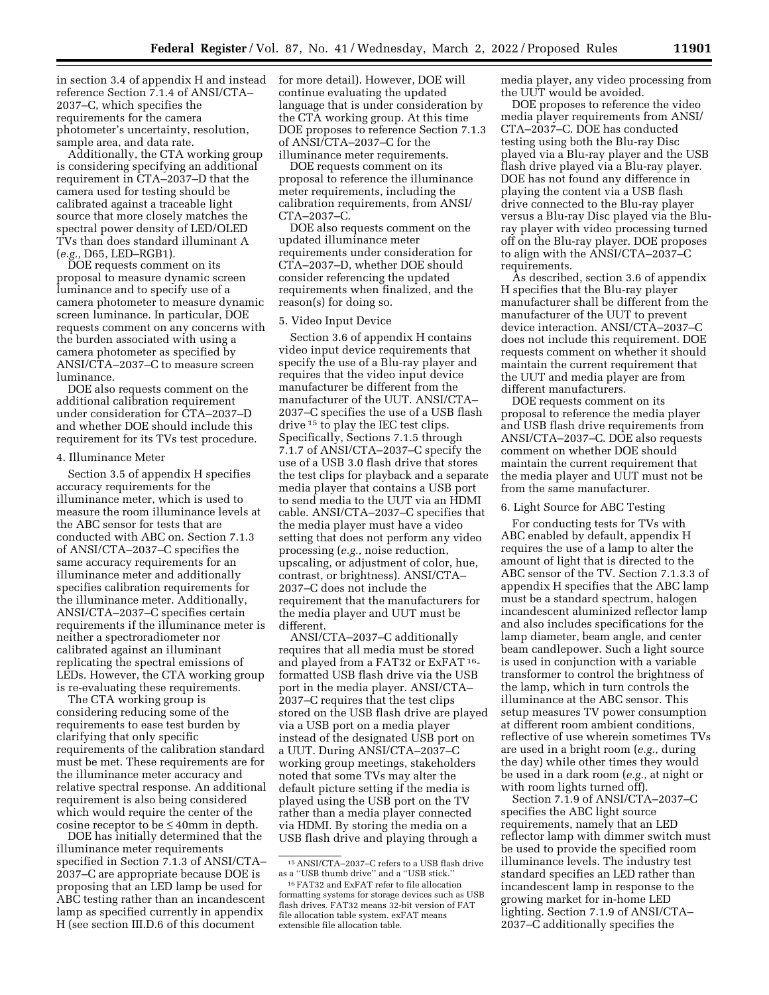in section 3.4 of appendix H and instead reference Section 7.1.4 of ANSI/CTA– 2037–C, which specifies the requirements for the camera photometer's uncertainty, resolution, sample area, and data rate.

Additionally, the CTA working group is considering specifying an additional requirement in CTA–2037–D that the camera used for testing should be calibrated against a traceable light source that more closely matches the spectral power density of LED/OLED TVs than does standard illuminant A (*e.g.,* D65, LED–RGB1).

DOE requests comment on its proposal to measure dynamic screen luminance and to specify use of a camera photometer to measure dynamic screen luminance. In particular, DOE requests comment on any concerns with the burden associated with using a camera photometer as specified by ANSI/CTA–2037–C to measure screen luminance.

DOE also requests comment on the additional calibration requirement under consideration for CTA–2037–D and whether DOE should include this requirement for its TVs test procedure.

#### 4. Illuminance Meter

Section 3.5 of appendix H specifies accuracy requirements for the illuminance meter, which is used to measure the room illuminance levels at the ABC sensor for tests that are conducted with ABC on. Section 7.1.3 of ANSI/CTA–2037–C specifies the same accuracy requirements for an illuminance meter and additionally specifies calibration requirements for the illuminance meter. Additionally, ANSI/CTA–2037–C specifies certain requirements if the illuminance meter is neither a spectroradiometer nor calibrated against an illuminant replicating the spectral emissions of LEDs. However, the CTA working group is re-evaluating these requirements.

The CTA working group is considering reducing some of the requirements to ease test burden by clarifying that only specific requirements of the calibration standard must be met. These requirements are for the illuminance meter accuracy and relative spectral response. An additional requirement is also being considered which would require the center of the cosine receptor to be  $\leq 40$ mm in depth.

DOE has initially determined that the illuminance meter requirements specified in Section 7.1.3 of ANSI/CTA– 2037–C are appropriate because DOE is proposing that an LED lamp be used for ABC testing rather than an incandescent lamp as specified currently in appendix H (see section III.D.6 of this document

for more detail). However, DOE will continue evaluating the updated language that is under consideration by the CTA working group. At this time DOE proposes to reference Section 7.1.3 of ANSI/CTA–2037–C for the illuminance meter requirements.

DOE requests comment on its proposal to reference the illuminance meter requirements, including the calibration requirements, from ANSI/ CTA–2037–C.

DOE also requests comment on the updated illuminance meter requirements under consideration for CTA–2037–D, whether DOE should consider referencing the updated requirements when finalized, and the reason(s) for doing so.

### 5. Video Input Device

Section 3.6 of appendix H contains video input device requirements that specify the use of a Blu-ray player and requires that the video input device manufacturer be different from the manufacturer of the UUT. ANSI/CTA– 2037–C specifies the use of a USB flash drive 15 to play the IEC test clips. Specifically, Sections 7.1.5 through 7.1.7 of ANSI/CTA–2037–C specify the use of a USB 3.0 flash drive that stores the test clips for playback and a separate media player that contains a USB port to send media to the UUT via an HDMI cable. ANSI/CTA–2037–C specifies that the media player must have a video setting that does not perform any video processing (*e.g.,* noise reduction, upscaling, or adjustment of color, hue, contrast, or brightness). ANSI/CTA– 2037–C does not include the requirement that the manufacturers for the media player and UUT must be different.

ANSI/CTA–2037–C additionally requires that all media must be stored and played from a FAT32 or ExFAT<sup>16</sup>formatted USB flash drive via the USB port in the media player. ANSI/CTA– 2037–C requires that the test clips stored on the USB flash drive are played via a USB port on a media player instead of the designated USB port on a UUT. During ANSI/CTA–2037–C working group meetings, stakeholders noted that some TVs may alter the default picture setting if the media is played using the USB port on the TV rather than a media player connected via HDMI. By storing the media on a USB flash drive and playing through a

media player, any video processing from the UUT would be avoided.

DOE proposes to reference the video media player requirements from ANSI/ CTA–2037–C. DOE has conducted testing using both the Blu-ray Disc played via a Blu-ray player and the USB flash drive played via a Blu-ray player. DOE has not found any difference in playing the content via a USB flash drive connected to the Blu-ray player versus a Blu-ray Disc played via the Bluray player with video processing turned off on the Blu-ray player. DOE proposes to align with the ANSI/CTA–2037–C requirements.

As described, section 3.6 of appendix H specifies that the Blu-ray player manufacturer shall be different from the manufacturer of the UUT to prevent device interaction. ANSI/CTA–2037–C does not include this requirement. DOE requests comment on whether it should maintain the current requirement that the UUT and media player are from different manufacturers.

DOE requests comment on its proposal to reference the media player and USB flash drive requirements from ANSI/CTA–2037–C. DOE also requests comment on whether DOE should maintain the current requirement that the media player and UUT must not be from the same manufacturer.

## 6. Light Source for ABC Testing

For conducting tests for TVs with ABC enabled by default, appendix H requires the use of a lamp to alter the amount of light that is directed to the ABC sensor of the TV. Section 7.1.3.3 of appendix H specifies that the ABC lamp must be a standard spectrum, halogen incandescent aluminized reflector lamp and also includes specifications for the lamp diameter, beam angle, and center beam candlepower. Such a light source is used in conjunction with a variable transformer to control the brightness of the lamp, which in turn controls the illuminance at the ABC sensor. This setup measures TV power consumption at different room ambient conditions, reflective of use wherein sometimes TVs are used in a bright room (*e.g.,* during the day) while other times they would be used in a dark room (*e.g.,* at night or with room lights turned off).

Section 7.1.9 of ANSI/CTA–2037–C specifies the ABC light source requirements, namely that an LED reflector lamp with dimmer switch must be used to provide the specified room illuminance levels. The industry test standard specifies an LED rather than incandescent lamp in response to the growing market for in-home LED lighting. Section 7.1.9 of ANSI/CTA– 2037–C additionally specifies the

<sup>15</sup>ANSI/CTA–2037–C refers to a USB flash drive as a ''USB thumb drive'' and a ''USB stick.''

<sup>16</sup>FAT32 and ExFAT refer to file allocation formatting systems for storage devices such as USB flash drives. FAT32 means 32-bit version of FAT file allocation table system. exFAT means extensible file allocation table.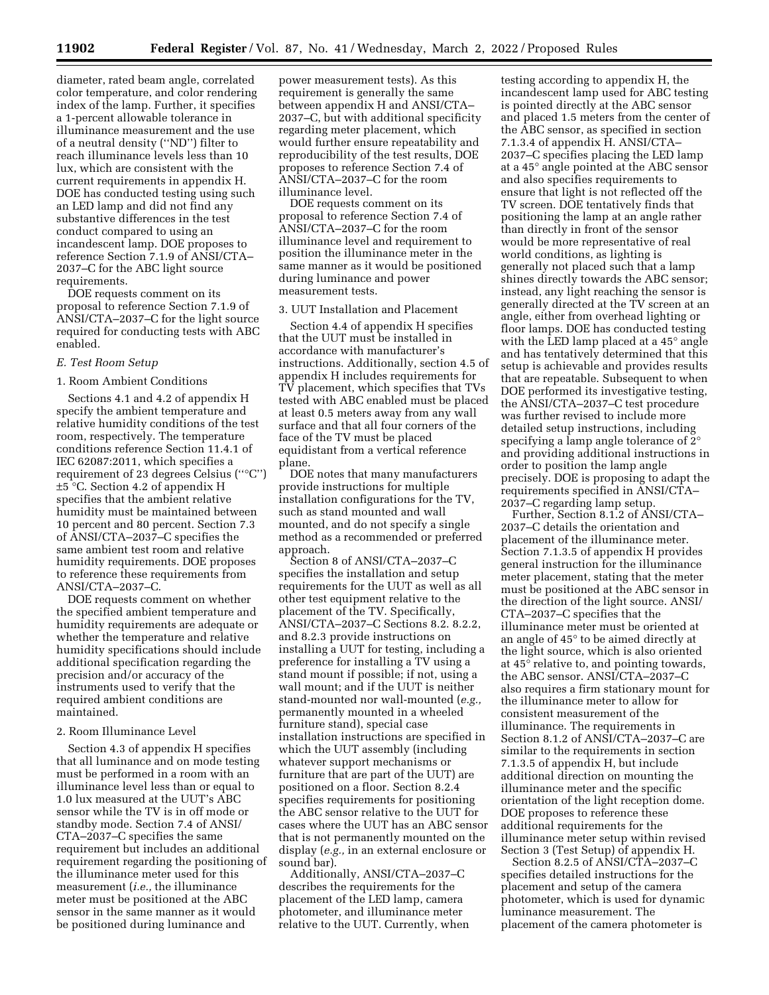diameter, rated beam angle, correlated color temperature, and color rendering index of the lamp. Further, it specifies a 1-percent allowable tolerance in illuminance measurement and the use of a neutral density (''ND'') filter to reach illuminance levels less than 10 lux, which are consistent with the current requirements in appendix H. DOE has conducted testing using such an LED lamp and did not find any substantive differences in the test conduct compared to using an incandescent lamp. DOE proposes to reference Section 7.1.9 of ANSI/CTA– 2037–C for the ABC light source requirements.

DOE requests comment on its proposal to reference Section 7.1.9 of ANSI/CTA–2037–C for the light source required for conducting tests with ABC enabled.

### *E. Test Room Setup*

## 1. Room Ambient Conditions

Sections 4.1 and 4.2 of appendix H specify the ambient temperature and relative humidity conditions of the test room, respectively. The temperature conditions reference Section 11.4.1 of IEC 62087:2011, which specifies a requirement of 23 degrees Celsius (''°C'') ±5 °C. Section 4.2 of appendix H specifies that the ambient relative humidity must be maintained between 10 percent and 80 percent. Section 7.3 of ANSI/CTA–2037–C specifies the same ambient test room and relative humidity requirements. DOE proposes to reference these requirements from ANSI/CTA–2037–C.

DOE requests comment on whether the specified ambient temperature and humidity requirements are adequate or whether the temperature and relative humidity specifications should include additional specification regarding the precision and/or accuracy of the instruments used to verify that the required ambient conditions are maintained.

### 2. Room Illuminance Level

Section 4.3 of appendix H specifies that all luminance and on mode testing must be performed in a room with an illuminance level less than or equal to 1.0 lux measured at the UUT's ABC sensor while the TV is in off mode or standby mode. Section 7.4 of ANSI/ CTA–2037–C specifies the same requirement but includes an additional requirement regarding the positioning of the illuminance meter used for this measurement (*i.e.,* the illuminance meter must be positioned at the ABC sensor in the same manner as it would be positioned during luminance and

power measurement tests). As this requirement is generally the same between appendix H and ANSI/CTA– 2037–C, but with additional specificity regarding meter placement, which would further ensure repeatability and reproducibility of the test results, DOE proposes to reference Section 7.4 of ANSI/CTA–2037–C for the room illuminance level.

DOE requests comment on its proposal to reference Section 7.4 of ANSI/CTA–2037–C for the room illuminance level and requirement to position the illuminance meter in the same manner as it would be positioned during luminance and power measurement tests.

## 3. UUT Installation and Placement

Section 4.4 of appendix H specifies that the UUT must be installed in accordance with manufacturer's instructions. Additionally, section 4.5 of appendix H includes requirements for TV placement, which specifies that TVs tested with ABC enabled must be placed at least 0.5 meters away from any wall surface and that all four corners of the face of the TV must be placed equidistant from a vertical reference plane.

DOE notes that many manufacturers provide instructions for multiple installation configurations for the TV, such as stand mounted and wall mounted, and do not specify a single method as a recommended or preferred approach.

Section 8 of ANSI/CTA–2037–C specifies the installation and setup requirements for the UUT as well as all other test equipment relative to the placement of the TV. Specifically, ANSI/CTA–2037–C Sections 8.2. 8.2.2, and 8.2.3 provide instructions on installing a UUT for testing, including a preference for installing a TV using a stand mount if possible; if not, using a wall mount; and if the UUT is neither stand-mounted nor wall-mounted (*e.g.,*  permanently mounted in a wheeled furniture stand), special case installation instructions are specified in which the UUT assembly (including whatever support mechanisms or furniture that are part of the UUT) are positioned on a floor. Section 8.2.4 specifies requirements for positioning the ABC sensor relative to the UUT for cases where the UUT has an ABC sensor that is not permanently mounted on the display (*e.g.,* in an external enclosure or sound bar).

Additionally, ANSI/CTA–2037–C describes the requirements for the placement of the LED lamp, camera photometer, and illuminance meter relative to the UUT. Currently, when

testing according to appendix H, the incandescent lamp used for ABC testing is pointed directly at the ABC sensor and placed 1.5 meters from the center of the ABC sensor, as specified in section 7.1.3.4 of appendix H. ANSI/CTA– 2037–C specifies placing the LED lamp at a 45° angle pointed at the ABC sensor and also specifies requirements to ensure that light is not reflected off the TV screen. DOE tentatively finds that positioning the lamp at an angle rather than directly in front of the sensor would be more representative of real world conditions, as lighting is generally not placed such that a lamp shines directly towards the ABC sensor; instead, any light reaching the sensor is generally directed at the TV screen at an angle, either from overhead lighting or floor lamps. DOE has conducted testing with the LED lamp placed at a 45° angle and has tentatively determined that this setup is achievable and provides results that are repeatable. Subsequent to when DOE performed its investigative testing, the ANSI/CTA–2037–C test procedure was further revised to include more detailed setup instructions, including specifying a lamp angle tolerance of  $2^{\circ}$ and providing additional instructions in order to position the lamp angle precisely. DOE is proposing to adapt the requirements specified in ANSI/CTA– 2037–C regarding lamp setup.

Further, Section 8.1.2 of ANSI/CTA– 2037–C details the orientation and placement of the illuminance meter. Section 7.1.3.5 of appendix H provides general instruction for the illuminance meter placement, stating that the meter must be positioned at the ABC sensor in the direction of the light source. ANSI/ CTA–2037–C specifies that the illuminance meter must be oriented at an angle of 45° to be aimed directly at the light source, which is also oriented at 45° relative to, and pointing towards, the ABC sensor. ANSI/CTA–2037–C also requires a firm stationary mount for the illuminance meter to allow for consistent measurement of the illuminance. The requirements in Section 8.1.2 of ANSI/CTA–2037–C are similar to the requirements in section 7.1.3.5 of appendix H, but include additional direction on mounting the illuminance meter and the specific orientation of the light reception dome. DOE proposes to reference these additional requirements for the illuminance meter setup within revised Section 3 (Test Setup) of appendix H.

Section 8.2.5 of ANSI/CTA–2037–C specifies detailed instructions for the placement and setup of the camera photometer, which is used for dynamic luminance measurement. The placement of the camera photometer is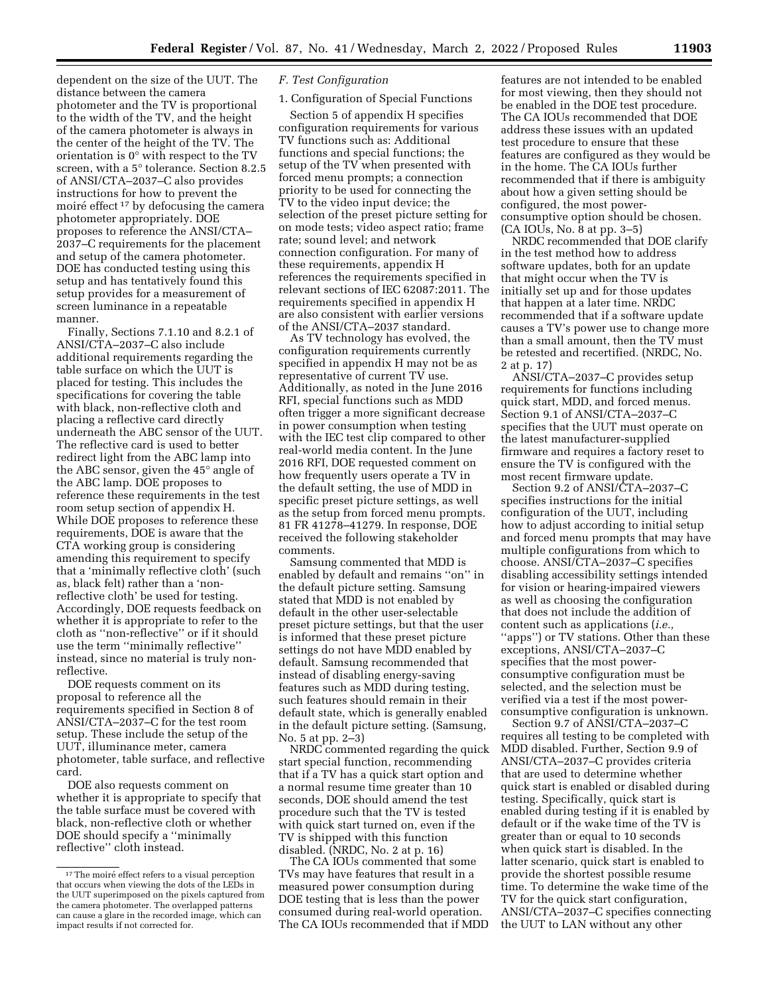dependent on the size of the UUT. The distance between the camera photometer and the TV is proportional to the width of the TV, and the height of the camera photometer is always in the center of the height of the TV. The orientation is 0° with respect to the TV screen, with a 5° tolerance. Section 8.2.5 of ANSI/CTA–2037–C also provides instructions for how to prevent the moiré effect <sup>17</sup> by defocusing the camera photometer appropriately. DOE proposes to reference the ANSI/CTA– 2037–C requirements for the placement and setup of the camera photometer. DOE has conducted testing using this setup and has tentatively found this setup provides for a measurement of screen luminance in a repeatable manner.

Finally, Sections 7.1.10 and 8.2.1 of ANSI/CTA–2037–C also include additional requirements regarding the table surface on which the UUT is placed for testing. This includes the specifications for covering the table with black, non-reflective cloth and placing a reflective card directly underneath the ABC sensor of the UUT. The reflective card is used to better redirect light from the ABC lamp into the ABC sensor, given the 45° angle of the ABC lamp. DOE proposes to reference these requirements in the test room setup section of appendix H. While DOE proposes to reference these requirements, DOE is aware that the CTA working group is considering amending this requirement to specify that a 'minimally reflective cloth' (such as, black felt) rather than a 'nonreflective cloth' be used for testing. Accordingly, DOE requests feedback on whether it is appropriate to refer to the cloth as ''non-reflective'' or if it should use the term ''minimally reflective'' instead, since no material is truly nonreflective.

DOE requests comment on its proposal to reference all the requirements specified in Section 8 of ANSI/CTA–2037–C for the test room setup. These include the setup of the UUT, illuminance meter, camera photometer, table surface, and reflective card.

DOE also requests comment on whether it is appropriate to specify that the table surface must be covered with black, non-reflective cloth or whether DOE should specify a ''minimally reflective'' cloth instead.

## *F. Test Configuration*

## 1. Configuration of Special Functions

Section 5 of appendix H specifies configuration requirements for various TV functions such as: Additional functions and special functions; the setup of the TV when presented with forced menu prompts; a connection priority to be used for connecting the TV to the video input device; the selection of the preset picture setting for on mode tests; video aspect ratio; frame rate; sound level; and network connection configuration. For many of these requirements, appendix H references the requirements specified in relevant sections of IEC 62087:2011. The requirements specified in appendix H are also consistent with earlier versions of the ANSI/CTA–2037 standard.

As TV technology has evolved, the configuration requirements currently specified in appendix H may not be as representative of current TV use. Additionally, as noted in the June 2016 RFI, special functions such as MDD often trigger a more significant decrease in power consumption when testing with the IEC test clip compared to other real-world media content. In the June 2016 RFI, DOE requested comment on how frequently users operate a TV in the default setting, the use of MDD in specific preset picture settings, as well as the setup from forced menu prompts. 81 FR 41278–41279. In response, DOE received the following stakeholder comments.

Samsung commented that MDD is enabled by default and remains ''on'' in the default picture setting. Samsung stated that MDD is not enabled by default in the other user-selectable preset picture settings, but that the user is informed that these preset picture settings do not have MDD enabled by default. Samsung recommended that instead of disabling energy-saving features such as MDD during testing, such features should remain in their default state, which is generally enabled in the default picture setting. (Samsung, No. 5 at pp. 2–3)

NRDC commented regarding the quick start special function, recommending that if a TV has a quick start option and a normal resume time greater than 10 seconds, DOE should amend the test procedure such that the TV is tested with quick start turned on, even if the TV is shipped with this function disabled. (NRDC, No. 2 at p. 16)

The CA IOUs commented that some TVs may have features that result in a measured power consumption during DOE testing that is less than the power consumed during real-world operation. The CA IOUs recommended that if MDD

features are not intended to be enabled for most viewing, then they should not be enabled in the DOE test procedure. The CA IOUs recommended that DOE address these issues with an updated test procedure to ensure that these features are configured as they would be in the home. The CA IOUs further recommended that if there is ambiguity about how a given setting should be configured, the most powerconsumptive option should be chosen. (CA IOUs, No. 8 at pp. 3–5)

NRDC recommended that DOE clarify in the test method how to address software updates, both for an update that might occur when the TV is initially set up and for those updates that happen at a later time. NRDC recommended that if a software update causes a TV's power use to change more than a small amount, then the TV must be retested and recertified. (NRDC, No. 2 at p. 17)

ANSI/CTA–2037–C provides setup requirements for functions including quick start, MDD, and forced menus. Section 9.1 of ANSI/CTA–2037–C specifies that the UUT must operate on the latest manufacturer-supplied firmware and requires a factory reset to ensure the TV is configured with the most recent firmware update.

Section 9.2 of ANSI/CTA–2037–C specifies instructions for the initial configuration of the UUT, including how to adjust according to initial setup and forced menu prompts that may have multiple configurations from which to choose. ANSI/CTA–2037–C specifies disabling accessibility settings intended for vision or hearing-impaired viewers as well as choosing the configuration that does not include the addition of content such as applications (*i.e.,*  "apps") or TV stations. Other than these exceptions, ANSI/CTA–2037–C specifies that the most powerconsumptive configuration must be selected, and the selection must be verified via a test if the most powerconsumptive configuration is unknown.

Section 9.7 of ANSI/CTA–2037–C requires all testing to be completed with MDD disabled. Further, Section 9.9 of ANSI/CTA–2037–C provides criteria that are used to determine whether quick start is enabled or disabled during testing. Specifically, quick start is enabled during testing if it is enabled by default or if the wake time of the TV is greater than or equal to 10 seconds when quick start is disabled. In the latter scenario, quick start is enabled to provide the shortest possible resume time. To determine the wake time of the TV for the quick start configuration, ANSI/CTA–2037–C specifies connecting the UUT to LAN without any other

<sup>&</sup>lt;sup>17</sup>The moiré effect refers to a visual perception that occurs when viewing the dots of the LEDs in the UUT superimposed on the pixels captured from the camera photometer. The overlapped patterns can cause a glare in the recorded image, which can impact results if not corrected for.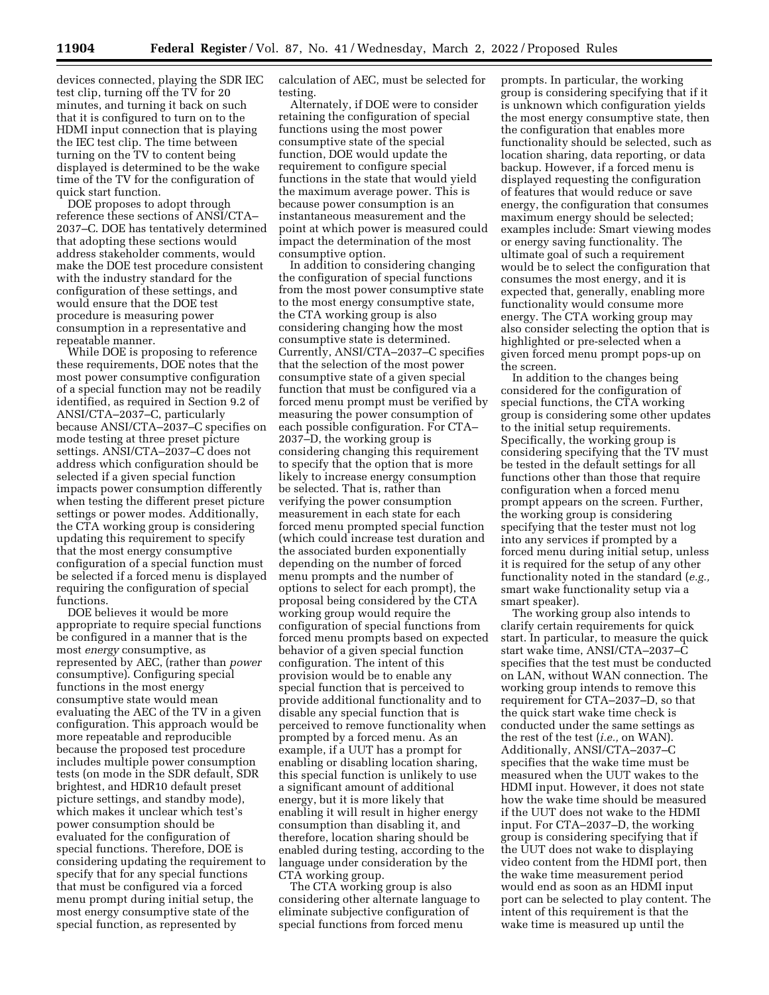devices connected, playing the SDR IEC test clip, turning off the TV for 20 minutes, and turning it back on such that it is configured to turn on to the HDMI input connection that is playing the IEC test clip. The time between turning on the TV to content being displayed is determined to be the wake time of the TV for the configuration of quick start function.

DOE proposes to adopt through reference these sections of ANSI/CTA– 2037–C. DOE has tentatively determined that adopting these sections would address stakeholder comments, would make the DOE test procedure consistent with the industry standard for the configuration of these settings, and would ensure that the DOE test procedure is measuring power consumption in a representative and repeatable manner.

While DOE is proposing to reference these requirements, DOE notes that the most power consumptive configuration of a special function may not be readily identified, as required in Section 9.2 of ANSI/CTA–2037–C, particularly because ANSI/CTA–2037–C specifies on mode testing at three preset picture settings. ANSI/CTA–2037–C does not address which configuration should be selected if a given special function impacts power consumption differently when testing the different preset picture settings or power modes. Additionally, the CTA working group is considering updating this requirement to specify that the most energy consumptive configuration of a special function must be selected if a forced menu is displayed requiring the configuration of special functions.

DOE believes it would be more appropriate to require special functions be configured in a manner that is the most *energy* consumptive, as represented by AEC, (rather than *power*  consumptive). Configuring special functions in the most energy consumptive state would mean evaluating the AEC of the TV in a given configuration. This approach would be more repeatable and reproducible because the proposed test procedure includes multiple power consumption tests (on mode in the SDR default, SDR brightest, and HDR10 default preset picture settings, and standby mode), which makes it unclear which test's power consumption should be evaluated for the configuration of special functions. Therefore, DOE is considering updating the requirement to specify that for any special functions that must be configured via a forced menu prompt during initial setup, the most energy consumptive state of the special function, as represented by

calculation of AEC, must be selected for testing.

Alternately, if DOE were to consider retaining the configuration of special functions using the most power consumptive state of the special function, DOE would update the requirement to configure special functions in the state that would yield the maximum average power. This is because power consumption is an instantaneous measurement and the point at which power is measured could impact the determination of the most consumptive option.

In addition to considering changing the configuration of special functions from the most power consumptive state to the most energy consumptive state, the CTA working group is also considering changing how the most consumptive state is determined. Currently, ANSI/CTA–2037–C specifies that the selection of the most power consumptive state of a given special function that must be configured via a forced menu prompt must be verified by measuring the power consumption of each possible configuration. For CTA– 2037–D, the working group is considering changing this requirement to specify that the option that is more likely to increase energy consumption be selected. That is, rather than verifying the power consumption measurement in each state for each forced menu prompted special function (which could increase test duration and the associated burden exponentially depending on the number of forced menu prompts and the number of options to select for each prompt), the proposal being considered by the CTA working group would require the configuration of special functions from forced menu prompts based on expected behavior of a given special function configuration. The intent of this provision would be to enable any special function that is perceived to provide additional functionality and to disable any special function that is perceived to remove functionality when prompted by a forced menu. As an example, if a UUT has a prompt for enabling or disabling location sharing, this special function is unlikely to use a significant amount of additional energy, but it is more likely that enabling it will result in higher energy consumption than disabling it, and therefore, location sharing should be enabled during testing, according to the language under consideration by the CTA working group.

The CTA working group is also considering other alternate language to eliminate subjective configuration of special functions from forced menu

prompts. In particular, the working group is considering specifying that if it is unknown which configuration yields the most energy consumptive state, then the configuration that enables more functionality should be selected, such as location sharing, data reporting, or data backup. However, if a forced menu is displayed requesting the configuration of features that would reduce or save energy, the configuration that consumes maximum energy should be selected; examples include: Smart viewing modes or energy saving functionality. The ultimate goal of such a requirement would be to select the configuration that consumes the most energy, and it is expected that, generally, enabling more functionality would consume more energy. The CTA working group may also consider selecting the option that is highlighted or pre-selected when a given forced menu prompt pops-up on the screen.

In addition to the changes being considered for the configuration of special functions, the CTA working group is considering some other updates to the initial setup requirements. Specifically, the working group is considering specifying that the TV must be tested in the default settings for all functions other than those that require configuration when a forced menu prompt appears on the screen. Further, the working group is considering specifying that the tester must not log into any services if prompted by a forced menu during initial setup, unless it is required for the setup of any other functionality noted in the standard (*e.g.,*  smart wake functionality setup via a smart speaker).

The working group also intends to clarify certain requirements for quick start. In particular, to measure the quick start wake time, ANSI/CTA–2037–C specifies that the test must be conducted on LAN, without WAN connection. The working group intends to remove this requirement for CTA–2037–D, so that the quick start wake time check is conducted under the same settings as the rest of the test (*i.e.,* on WAN). Additionally, ANSI/CTA–2037–C specifies that the wake time must be measured when the UUT wakes to the HDMI input. However, it does not state how the wake time should be measured if the UUT does not wake to the HDMI input. For CTA–2037–D, the working group is considering specifying that if the UUT does not wake to displaying video content from the HDMI port, then the wake time measurement period would end as soon as an HDMI input port can be selected to play content. The intent of this requirement is that the wake time is measured up until the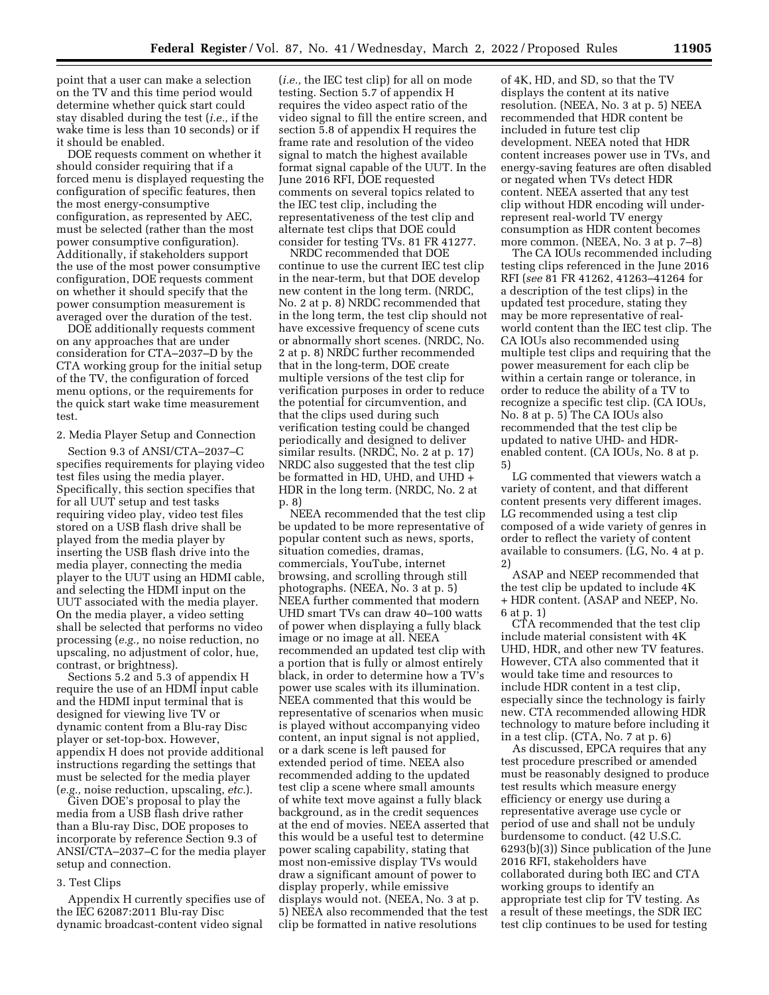point that a user can make a selection on the TV and this time period would determine whether quick start could stay disabled during the test (*i.e.,* if the wake time is less than 10 seconds) or if it should be enabled.

DOE requests comment on whether it should consider requiring that if a forced menu is displayed requesting the configuration of specific features, then the most energy-consumptive configuration, as represented by AEC, must be selected (rather than the most power consumptive configuration). Additionally, if stakeholders support the use of the most power consumptive configuration, DOE requests comment on whether it should specify that the power consumption measurement is averaged over the duration of the test.

DOE additionally requests comment on any approaches that are under consideration for CTA–2037–D by the CTA working group for the initial setup of the TV, the configuration of forced menu options, or the requirements for the quick start wake time measurement test.

2. Media Player Setup and Connection

Section 9.3 of ANSI/CTA–2037–C specifies requirements for playing video test files using the media player. Specifically, this section specifies that for all UUT setup and test tasks requiring video play, video test files stored on a USB flash drive shall be played from the media player by inserting the USB flash drive into the media player, connecting the media player to the UUT using an HDMI cable, and selecting the HDMI input on the UUT associated with the media player. On the media player, a video setting shall be selected that performs no video processing (*e.g.,* no noise reduction, no upscaling, no adjustment of color, hue, contrast, or brightness).

Sections 5.2 and 5.3 of appendix H require the use of an HDMI input cable and the HDMI input terminal that is designed for viewing live TV or dynamic content from a Blu-ray Disc player or set-top-box. However, appendix H does not provide additional instructions regarding the settings that must be selected for the media player (*e.g.,* noise reduction, upscaling, *etc.*).

Given DOE's proposal to play the media from a USB flash drive rather than a Blu-ray Disc, DOE proposes to incorporate by reference Section 9.3 of ANSI/CTA–2037–C for the media player setup and connection.

## 3. Test Clips

Appendix H currently specifies use of the IEC 62087:2011 Blu-ray Disc dynamic broadcast-content video signal

(*i.e.,* the IEC test clip) for all on mode testing. Section 5.7 of appendix H requires the video aspect ratio of the video signal to fill the entire screen, and section 5.8 of appendix H requires the frame rate and resolution of the video signal to match the highest available format signal capable of the UUT. In the June 2016 RFI, DOE requested comments on several topics related to the IEC test clip, including the representativeness of the test clip and alternate test clips that DOE could consider for testing TVs. 81 FR 41277.

NRDC recommended that DOE continue to use the current IEC test clip in the near-term, but that DOE develop new content in the long term. (NRDC, No. 2 at p. 8) NRDC recommended that in the long term, the test clip should not have excessive frequency of scene cuts or abnormally short scenes. (NRDC, No. 2 at p. 8) NRDC further recommended that in the long-term, DOE create multiple versions of the test clip for verification purposes in order to reduce the potential for circumvention, and that the clips used during such verification testing could be changed periodically and designed to deliver similar results. (NRDC, No. 2 at p. 17) NRDC also suggested that the test clip be formatted in HD, UHD, and UHD + HDR in the long term. (NRDC, No. 2 at p. 8)

NEEA recommended that the test clip be updated to be more representative of popular content such as news, sports, situation comedies, dramas, commercials, YouTube, internet browsing, and scrolling through still photographs. (NEEA, No. 3 at p. 5) NEEA further commented that modern UHD smart TVs can draw 40–100 watts of power when displaying a fully black image or no image at all. NEEA recommended an updated test clip with a portion that is fully or almost entirely black, in order to determine how a TV's power use scales with its illumination. NEEA commented that this would be representative of scenarios when music is played without accompanying video content, an input signal is not applied, or a dark scene is left paused for extended period of time. NEEA also recommended adding to the updated test clip a scene where small amounts of white text move against a fully black background, as in the credit sequences at the end of movies. NEEA asserted that this would be a useful test to determine power scaling capability, stating that most non-emissive display TVs would draw a significant amount of power to display properly, while emissive displays would not. (NEEA, No. 3 at p. 5) NEEA also recommended that the test clip be formatted in native resolutions

of 4K, HD, and SD, so that the TV displays the content at its native resolution. (NEEA, No. 3 at p. 5) NEEA recommended that HDR content be included in future test clip development. NEEA noted that HDR content increases power use in TVs, and energy-saving features are often disabled or negated when TVs detect HDR content. NEEA asserted that any test clip without HDR encoding will underrepresent real-world TV energy consumption as HDR content becomes more common. (NEEA, No. 3 at p. 7–8)

The CA IOUs recommended including testing clips referenced in the June 2016 RFI (*see* 81 FR 41262, 41263–41264 for a description of the test clips) in the updated test procedure, stating they may be more representative of realworld content than the IEC test clip. The CA IOUs also recommended using multiple test clips and requiring that the power measurement for each clip be within a certain range or tolerance, in order to reduce the ability of a TV to recognize a specific test clip. (CA IOUs, No. 8 at p. 5) The CA IOUs also recommended that the test clip be updated to native UHD- and HDRenabled content. (CA IOUs, No. 8 at p. 5)

LG commented that viewers watch a variety of content, and that different content presents very different images. LG recommended using a test clip composed of a wide variety of genres in order to reflect the variety of content available to consumers. (LG, No. 4 at p. 2)

ASAP and NEEP recommended that the test clip be updated to include 4K + HDR content. (ASAP and NEEP, No. 6 at p. 1)

CTA recommended that the test clip include material consistent with 4K UHD, HDR, and other new TV features. However, CTA also commented that it would take time and resources to include HDR content in a test clip, especially since the technology is fairly new. CTA recommended allowing HDR technology to mature before including it in a test clip. (CTA, No. 7 at p. 6)

As discussed, EPCA requires that any test procedure prescribed or amended must be reasonably designed to produce test results which measure energy efficiency or energy use during a representative average use cycle or period of use and shall not be unduly burdensome to conduct. (42 U.S.C. 6293(b)(3)) Since publication of the June 2016 RFI, stakeholders have collaborated during both IEC and CTA working groups to identify an appropriate test clip for TV testing. As a result of these meetings, the SDR IEC test clip continues to be used for testing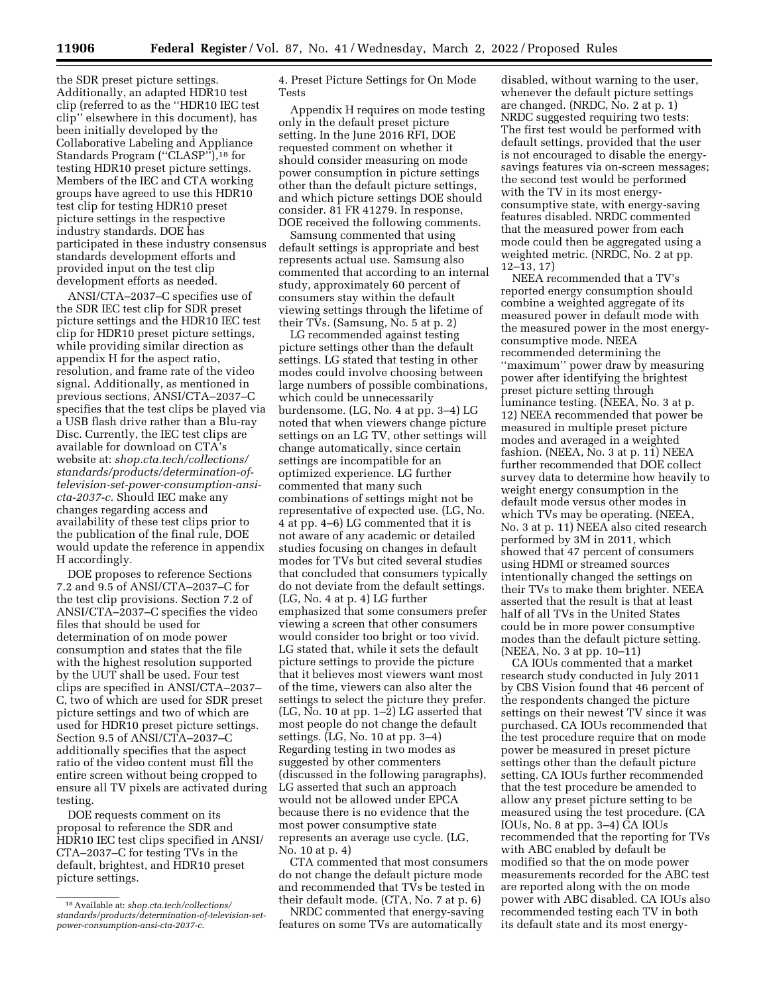the SDR preset picture settings. Additionally, an adapted HDR10 test clip (referred to as the ''HDR10 IEC test clip'' elsewhere in this document), has been initially developed by the Collaborative Labeling and Appliance Standards Program ("CLASP"),<sup>18</sup> for testing HDR10 preset picture settings. Members of the IEC and CTA working groups have agreed to use this HDR10 test clip for testing HDR10 preset picture settings in the respective industry standards. DOE has participated in these industry consensus standards development efforts and provided input on the test clip development efforts as needed.

ANSI/CTA–2037–C specifies use of the SDR IEC test clip for SDR preset picture settings and the HDR10 IEC test clip for HDR10 preset picture settings, while providing similar direction as appendix H for the aspect ratio, resolution, and frame rate of the video signal. Additionally, as mentioned in previous sections, ANSI/CTA–2037–C specifies that the test clips be played via a USB flash drive rather than a Blu-ray Disc. Currently, the IEC test clips are available for download on CTA's website at: *shop.cta.tech/collections/ standards/products/determination-oftelevision-set-power-consumption-ansicta-2037-c.* Should IEC make any changes regarding access and availability of these test clips prior to the publication of the final rule, DOE would update the reference in appendix H accordingly.

DOE proposes to reference Sections 7.2 and 9.5 of ANSI/CTA–2037–C for the test clip provisions. Section 7.2 of ANSI/CTA–2037–C specifies the video files that should be used for determination of on mode power consumption and states that the file with the highest resolution supported by the UUT shall be used. Four test clips are specified in ANSI/CTA–2037– C, two of which are used for SDR preset picture settings and two of which are used for HDR10 preset picture settings. Section 9.5 of ANSI/CTA–2037–C additionally specifies that the aspect ratio of the video content must fill the entire screen without being cropped to ensure all TV pixels are activated during testing.

DOE requests comment on its proposal to reference the SDR and HDR10 IEC test clips specified in ANSI/ CTA–2037–C for testing TVs in the default, brightest, and HDR10 preset picture settings.

4. Preset Picture Settings for On Mode Tests

Appendix H requires on mode testing only in the default preset picture setting. In the June 2016 RFI, DOE requested comment on whether it should consider measuring on mode power consumption in picture settings other than the default picture settings, and which picture settings DOE should consider. 81 FR 41279. In response, DOE received the following comments.

Samsung commented that using default settings is appropriate and best represents actual use. Samsung also commented that according to an internal study, approximately 60 percent of consumers stay within the default viewing settings through the lifetime of their TVs. (Samsung, No. 5 at p. 2)

LG recommended against testing picture settings other than the default settings. LG stated that testing in other modes could involve choosing between large numbers of possible combinations, which could be unnecessarily burdensome. (LG, No. 4 at pp. 3–4) LG noted that when viewers change picture settings on an LG TV, other settings will change automatically, since certain settings are incompatible for an optimized experience. LG further commented that many such combinations of settings might not be representative of expected use. (LG, No. 4 at pp. 4–6) LG commented that it is not aware of any academic or detailed studies focusing on changes in default modes for TVs but cited several studies that concluded that consumers typically do not deviate from the default settings. (LG, No. 4 at p. 4) LG further emphasized that some consumers prefer viewing a screen that other consumers would consider too bright or too vivid. LG stated that, while it sets the default picture settings to provide the picture that it believes most viewers want most of the time, viewers can also alter the settings to select the picture they prefer. (LG, No. 10 at pp. 1–2) LG asserted that most people do not change the default settings. (LG, No. 10 at pp. 3–4) Regarding testing in two modes as suggested by other commenters (discussed in the following paragraphs), LG asserted that such an approach would not be allowed under EPCA because there is no evidence that the most power consumptive state represents an average use cycle. (LG, No. 10 at p. 4)

CTA commented that most consumers do not change the default picture mode and recommended that TVs be tested in their default mode. (CTA, No. 7 at p. 6)

NRDC commented that energy-saving features on some TVs are automatically

disabled, without warning to the user, whenever the default picture settings are changed. (NRDC, No. 2 at p. 1) NRDC suggested requiring two tests: The first test would be performed with default settings, provided that the user is not encouraged to disable the energysavings features via on-screen messages; the second test would be performed with the TV in its most energyconsumptive state, with energy-saving features disabled. NRDC commented that the measured power from each mode could then be aggregated using a weighted metric. (NRDC, No. 2 at pp. 12–13, 17)

NEEA recommended that a TV's reported energy consumption should combine a weighted aggregate of its measured power in default mode with the measured power in the most energyconsumptive mode. NEEA recommended determining the ''maximum'' power draw by measuring power after identifying the brightest preset picture setting through luminance testing. (NEEA, No. 3 at p. 12) NEEA recommended that power be measured in multiple preset picture modes and averaged in a weighted fashion. (NEEA, No. 3 at p. 11) NEEA further recommended that DOE collect survey data to determine how heavily to weight energy consumption in the default mode versus other modes in which TVs may be operating. (NEEA, No. 3 at p. 11) NEEA also cited research performed by 3M in 2011, which showed that 47 percent of consumers using HDMI or streamed sources intentionally changed the settings on their TVs to make them brighter. NEEA asserted that the result is that at least half of all TVs in the United States could be in more power consumptive modes than the default picture setting. (NEEA, No. 3 at pp. 10–11)

CA IOUs commented that a market research study conducted in July 2011 by CBS Vision found that 46 percent of the respondents changed the picture settings on their newest TV since it was purchased. CA IOUs recommended that the test procedure require that on mode power be measured in preset picture settings other than the default picture setting. CA IOUs further recommended that the test procedure be amended to allow any preset picture setting to be measured using the test procedure. (CA IOUs, No. 8 at pp. 3–4) CA IOUs recommended that the reporting for TVs with ABC enabled by default be modified so that the on mode power measurements recorded for the ABC test are reported along with the on mode power with ABC disabled. CA IOUs also recommended testing each TV in both its default state and its most energy-

<sup>18</sup>Available at: *shop.cta.tech/collections/ standards/products/determination-of-television-setpower-consumption-ansi-cta-2037-c*.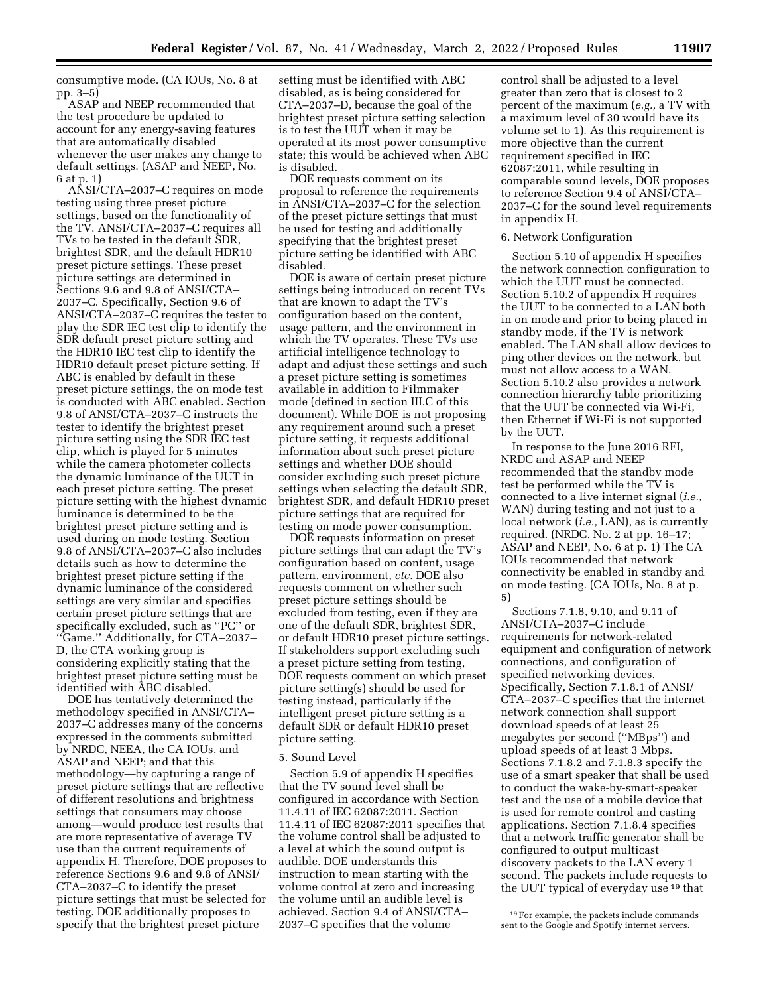consumptive mode. (CA IOUs, No. 8 at pp. 3–5)

ASAP and NEEP recommended that the test procedure be updated to account for any energy-saving features that are automatically disabled whenever the user makes any change to default settings. (ASAP and NEEP, No. 6 at p. 1)

ANSI/CTA–2037–C requires on mode testing using three preset picture settings, based on the functionality of the TV. ANSI/CTA–2037–C requires all TVs to be tested in the default SDR, brightest SDR, and the default HDR10 preset picture settings. These preset picture settings are determined in Sections 9.6 and 9.8 of ANSI/CTA– 2037–C. Specifically, Section 9.6 of ANSI/CTA–2037–C requires the tester to play the SDR IEC test clip to identify the SDR default preset picture setting and the HDR10 IEC test clip to identify the HDR10 default preset picture setting. If ABC is enabled by default in these preset picture settings, the on mode test is conducted with ABC enabled. Section 9.8 of ANSI/CTA–2037–C instructs the tester to identify the brightest preset picture setting using the SDR IEC test clip, which is played for 5 minutes while the camera photometer collects the dynamic luminance of the UUT in each preset picture setting. The preset picture setting with the highest dynamic luminance is determined to be the brightest preset picture setting and is used during on mode testing. Section 9.8 of ANSI/CTA–2037–C also includes details such as how to determine the brightest preset picture setting if the dynamic luminance of the considered settings are very similar and specifies certain preset picture settings that are specifically excluded, such as ''PC'' or ''Game.'' Additionally, for CTA–2037– D, the CTA working group is considering explicitly stating that the brightest preset picture setting must be identified with ABC disabled.

DOE has tentatively determined the methodology specified in ANSI/CTA– 2037–C addresses many of the concerns expressed in the comments submitted by NRDC, NEEA, the CA IOUs, and ASAP and NEEP; and that this methodology—by capturing a range of preset picture settings that are reflective of different resolutions and brightness settings that consumers may choose among—would produce test results that are more representative of average TV use than the current requirements of appendix H. Therefore, DOE proposes to reference Sections 9.6 and 9.8 of ANSI/ CTA–2037–C to identify the preset picture settings that must be selected for testing. DOE additionally proposes to specify that the brightest preset picture

setting must be identified with ABC disabled, as is being considered for CTA–2037–D, because the goal of the brightest preset picture setting selection is to test the UUT when it may be operated at its most power consumptive state; this would be achieved when ABC is disabled.

DOE requests comment on its proposal to reference the requirements in ANSI/CTA–2037–C for the selection of the preset picture settings that must be used for testing and additionally specifying that the brightest preset picture setting be identified with ABC disabled.

DOE is aware of certain preset picture settings being introduced on recent TVs that are known to adapt the TV's configuration based on the content, usage pattern, and the environment in which the TV operates. These TVs use artificial intelligence technology to adapt and adjust these settings and such a preset picture setting is sometimes available in addition to Filmmaker mode (defined in section III.C of this document). While DOE is not proposing any requirement around such a preset picture setting, it requests additional information about such preset picture settings and whether DOE should consider excluding such preset picture settings when selecting the default SDR, brightest SDR, and default HDR10 preset picture settings that are required for testing on mode power consumption.

DOE requests information on preset picture settings that can adapt the TV's configuration based on content, usage pattern, environment, *etc.* DOE also requests comment on whether such preset picture settings should be excluded from testing, even if they are one of the default SDR, brightest SDR, or default HDR10 preset picture settings. If stakeholders support excluding such a preset picture setting from testing, DOE requests comment on which preset picture setting(s) should be used for testing instead, particularly if the intelligent preset picture setting is a default SDR or default HDR10 preset picture setting.

# 5. Sound Level

Section 5.9 of appendix H specifies that the TV sound level shall be configured in accordance with Section 11.4.11 of IEC 62087:2011. Section 11.4.11 of IEC 62087:2011 specifies that the volume control shall be adjusted to a level at which the sound output is audible. DOE understands this instruction to mean starting with the volume control at zero and increasing the volume until an audible level is achieved. Section 9.4 of ANSI/CTA– 2037–C specifies that the volume

control shall be adjusted to a level greater than zero that is closest to 2 percent of the maximum (*e.g.,* a TV with a maximum level of 30 would have its volume set to 1). As this requirement is more objective than the current requirement specified in IEC 62087:2011, while resulting in comparable sound levels, DOE proposes to reference Section 9.4 of ANSI/CTA– 2037–C for the sound level requirements in appendix H.

### 6. Network Configuration

Section 5.10 of appendix H specifies the network connection configuration to which the UUT must be connected. Section 5.10.2 of appendix H requires the UUT to be connected to a LAN both in on mode and prior to being placed in standby mode, if the TV is network enabled. The LAN shall allow devices to ping other devices on the network, but must not allow access to a WAN. Section 5.10.2 also provides a network connection hierarchy table prioritizing that the UUT be connected via Wi-Fi, then Ethernet if Wi-Fi is not supported by the UUT.

In response to the June 2016 RFI, NRDC and ASAP and NEEP recommended that the standby mode test be performed while the TV is connected to a live internet signal (*i.e.,*  WAN) during testing and not just to a local network (*i.e.,* LAN), as is currently required. (NRDC, No. 2 at pp. 16–17; ASAP and NEEP, No. 6 at p. 1) The CA IOUs recommended that network connectivity be enabled in standby and on mode testing. (CA IOUs, No. 8 at p. 5)

Sections 7.1.8, 9.10, and 9.11 of ANSI/CTA–2037–C include requirements for network-related equipment and configuration of network connections, and configuration of specified networking devices. Specifically, Section 7.1.8.1 of ANSI/ CTA–2037–C specifies that the internet network connection shall support download speeds of at least 25 megabytes per second (''MBps'') and upload speeds of at least 3 Mbps. Sections 7.1.8.2 and 7.1.8.3 specify the use of a smart speaker that shall be used to conduct the wake-by-smart-speaker test and the use of a mobile device that is used for remote control and casting applications. Section 7.1.8.4 specifies that a network traffic generator shall be configured to output multicast discovery packets to the LAN every 1 second. The packets include requests to the UUT typical of everyday use 19 that

<sup>19</sup>For example, the packets include commands sent to the Google and Spotify internet servers.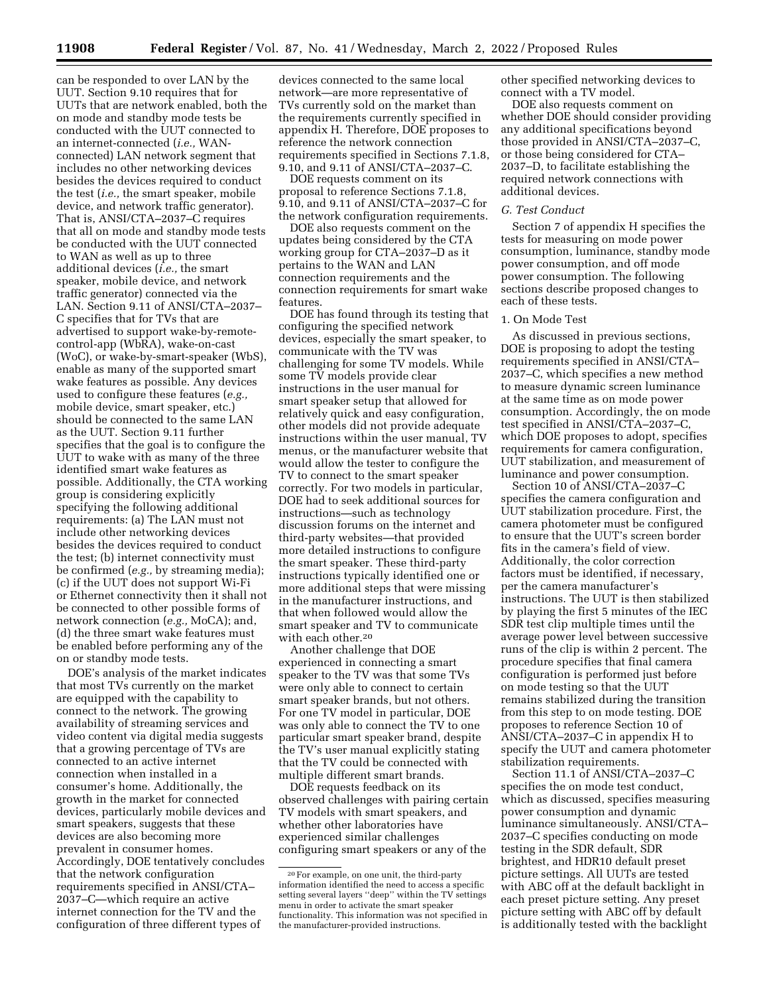can be responded to over LAN by the UUT. Section 9.10 requires that for UUTs that are network enabled, both the on mode and standby mode tests be conducted with the UUT connected to an internet-connected (*i.e.,* WANconnected) LAN network segment that includes no other networking devices besides the devices required to conduct the test (*i.e.,* the smart speaker, mobile device, and network traffic generator). That is, ANSI/CTA–2037–C requires that all on mode and standby mode tests be conducted with the UUT connected to WAN as well as up to three additional devices (*i.e.,* the smart speaker, mobile device, and network traffic generator) connected via the LAN. Section 9.11 of ANSI/CTA–2037– C specifies that for TVs that are advertised to support wake-by-remotecontrol-app (WbRA), wake-on-cast (WoC), or wake-by-smart-speaker (WbS), enable as many of the supported smart wake features as possible. Any devices used to configure these features (*e.g.,*  mobile device, smart speaker, etc.) should be connected to the same LAN as the UUT. Section 9.11 further specifies that the goal is to configure the UUT to wake with as many of the three identified smart wake features as possible. Additionally, the CTA working group is considering explicitly specifying the following additional requirements: (a) The LAN must not include other networking devices besides the devices required to conduct the test; (b) internet connectivity must be confirmed (*e.g.,* by streaming media); (c) if the UUT does not support Wi-Fi or Ethernet connectivity then it shall not be connected to other possible forms of network connection (*e.g.,* MoCA); and, (d) the three smart wake features must be enabled before performing any of the on or standby mode tests.

DOE's analysis of the market indicates that most TVs currently on the market are equipped with the capability to connect to the network. The growing availability of streaming services and video content via digital media suggests that a growing percentage of TVs are connected to an active internet connection when installed in a consumer's home. Additionally, the growth in the market for connected devices, particularly mobile devices and smart speakers, suggests that these devices are also becoming more prevalent in consumer homes. Accordingly, DOE tentatively concludes that the network configuration requirements specified in ANSI/CTA– 2037–C—which require an active internet connection for the TV and the configuration of three different types of

devices connected to the same local network—are more representative of TVs currently sold on the market than the requirements currently specified in appendix H. Therefore, DOE proposes to reference the network connection requirements specified in Sections 7.1.8, 9.10, and 9.11 of ANSI/CTA–2037–C.

DOE requests comment on its proposal to reference Sections 7.1.8, 9.10, and 9.11 of ANSI/CTA–2037–C for the network configuration requirements.

DOE also requests comment on the updates being considered by the CTA working group for CTA–2037–D as it pertains to the WAN and LAN connection requirements and the connection requirements for smart wake features.

DOE has found through its testing that configuring the specified network devices, especially the smart speaker, to communicate with the TV was challenging for some TV models. While some TV models provide clear instructions in the user manual for smart speaker setup that allowed for relatively quick and easy configuration, other models did not provide adequate instructions within the user manual, TV menus, or the manufacturer website that would allow the tester to configure the TV to connect to the smart speaker correctly. For two models in particular, DOE had to seek additional sources for instructions—such as technology discussion forums on the internet and third-party websites—that provided more detailed instructions to configure the smart speaker. These third-party instructions typically identified one or more additional steps that were missing in the manufacturer instructions, and that when followed would allow the smart speaker and TV to communicate with each other.20

Another challenge that DOE experienced in connecting a smart speaker to the TV was that some TVs were only able to connect to certain smart speaker brands, but not others. For one TV model in particular, DOE was only able to connect the TV to one particular smart speaker brand, despite the TV's user manual explicitly stating that the TV could be connected with multiple different smart brands.

DOE requests feedback on its observed challenges with pairing certain TV models with smart speakers, and whether other laboratories have experienced similar challenges configuring smart speakers or any of the

other specified networking devices to connect with a TV model.

DOE also requests comment on whether DOE should consider providing any additional specifications beyond those provided in ANSI/CTA–2037–C, or those being considered for CTA– 2037–D, to facilitate establishing the required network connections with additional devices.

### *G. Test Conduct*

Section 7 of appendix H specifies the tests for measuring on mode power consumption, luminance, standby mode power consumption, and off mode power consumption. The following sections describe proposed changes to each of these tests.

### 1. On Mode Test

As discussed in previous sections, DOE is proposing to adopt the testing requirements specified in ANSI/CTA– 2037–C, which specifies a new method to measure dynamic screen luminance at the same time as on mode power consumption. Accordingly, the on mode test specified in ANSI/CTA–2037–C, which DOE proposes to adopt, specifies requirements for camera configuration, UUT stabilization, and measurement of luminance and power consumption.

Section 10 of ANSI/CTA–2037–C specifies the camera configuration and UUT stabilization procedure. First, the camera photometer must be configured to ensure that the UUT's screen border fits in the camera's field of view. Additionally, the color correction factors must be identified, if necessary, per the camera manufacturer's instructions. The UUT is then stabilized by playing the first 5 minutes of the IEC SDR test clip multiple times until the average power level between successive runs of the clip is within 2 percent. The procedure specifies that final camera configuration is performed just before on mode testing so that the UUT remains stabilized during the transition from this step to on mode testing. DOE proposes to reference Section 10 of ANSI/CTA–2037–C in appendix H to specify the UUT and camera photometer stabilization requirements.

Section 11.1 of ANSI/CTA–2037–C specifies the on mode test conduct, which as discussed, specifies measuring power consumption and dynamic luminance simultaneously. ANSI/CTA– 2037–C specifies conducting on mode testing in the SDR default, SDR brightest, and HDR10 default preset picture settings. All UUTs are tested with ABC off at the default backlight in each preset picture setting. Any preset picture setting with ABC off by default is additionally tested with the backlight

<sup>20</sup>For example, on one unit, the third-party information identified the need to access a specific setting several layers ''deep'' within the TV settings menu in order to activate the smart speaker functionality. This information was not specified in the manufacturer-provided instructions.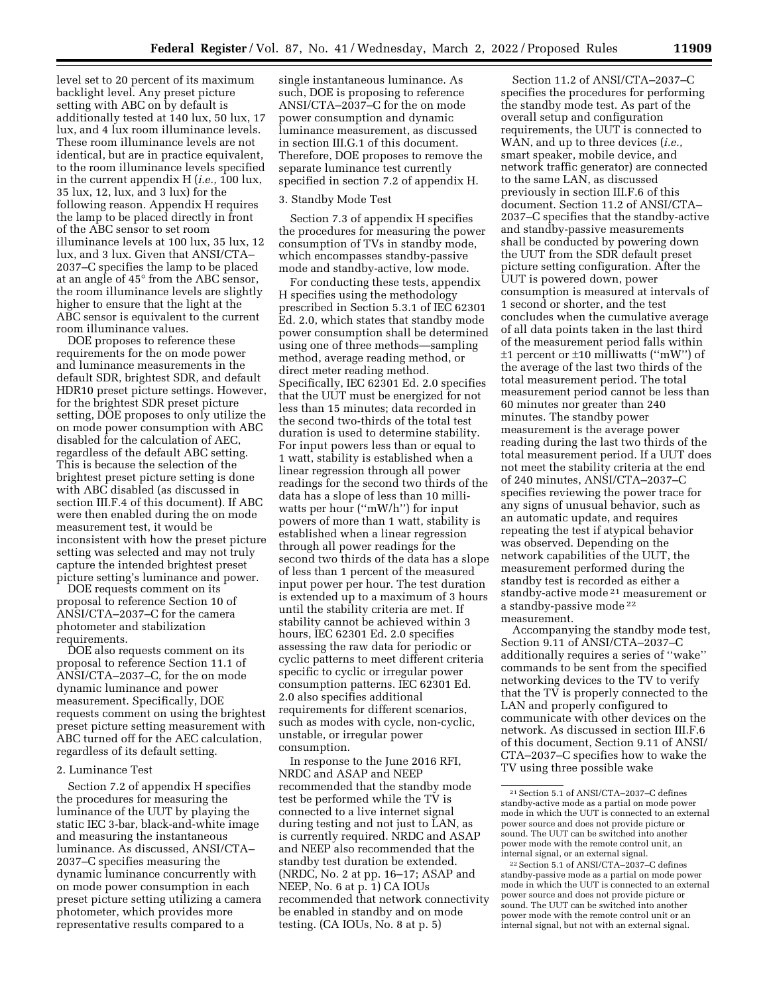level set to 20 percent of its maximum backlight level. Any preset picture setting with ABC on by default is additionally tested at 140 lux, 50 lux, 17 lux, and 4 lux room illuminance levels. These room illuminance levels are not identical, but are in practice equivalent, to the room illuminance levels specified in the current appendix H (*i.e.,* 100 lux, 35 lux, 12, lux, and 3 lux) for the following reason. Appendix H requires the lamp to be placed directly in front of the ABC sensor to set room illuminance levels at 100 lux, 35 lux, 12 lux, and 3 lux. Given that ANSI/CTA– 2037–C specifies the lamp to be placed at an angle of 45° from the ABC sensor, the room illuminance levels are slightly higher to ensure that the light at the ABC sensor is equivalent to the current room illuminance values.

DOE proposes to reference these requirements for the on mode power and luminance measurements in the default SDR, brightest SDR, and default HDR10 preset picture settings. However, for the brightest SDR preset picture setting, DOE proposes to only utilize the on mode power consumption with ABC disabled for the calculation of AEC, regardless of the default ABC setting. This is because the selection of the brightest preset picture setting is done with ABC disabled (as discussed in section III.F.4 of this document). If ABC were then enabled during the on mode measurement test, it would be inconsistent with how the preset picture setting was selected and may not truly capture the intended brightest preset picture setting's luminance and power.

DOE requests comment on its proposal to reference Section 10 of ANSI/CTA–2037–C for the camera photometer and stabilization requirements.

DOE also requests comment on its proposal to reference Section 11.1 of ANSI/CTA–2037–C, for the on mode dynamic luminance and power measurement. Specifically, DOE requests comment on using the brightest preset picture setting measurement with ABC turned off for the AEC calculation, regardless of its default setting.

#### 2. Luminance Test

Section 7.2 of appendix H specifies the procedures for measuring the luminance of the UUT by playing the static IEC 3-bar, black-and-white image and measuring the instantaneous luminance. As discussed, ANSI/CTA– 2037–C specifies measuring the dynamic luminance concurrently with on mode power consumption in each preset picture setting utilizing a camera photometer, which provides more representative results compared to a

single instantaneous luminance. As such, DOE is proposing to reference ANSI/CTA–2037–C for the on mode power consumption and dynamic luminance measurement, as discussed in section III.G.1 of this document. Therefore, DOE proposes to remove the separate luminance test currently specified in section 7.2 of appendix H.

### 3. Standby Mode Test

Section 7.3 of appendix H specifies the procedures for measuring the power consumption of TVs in standby mode, which encompasses standby-passive mode and standby-active, low mode.

For conducting these tests, appendix H specifies using the methodology prescribed in Section 5.3.1 of IEC 62301 Ed. 2.0, which states that standby mode power consumption shall be determined using one of three methods—sampling method, average reading method, or direct meter reading method. Specifically, IEC 62301 Ed. 2.0 specifies that the UUT must be energized for not less than 15 minutes; data recorded in the second two-thirds of the total test duration is used to determine stability. For input powers less than or equal to 1 watt, stability is established when a linear regression through all power readings for the second two thirds of the data has a slope of less than 10 milliwatts per hour ("mW/h") for input powers of more than 1 watt, stability is established when a linear regression through all power readings for the second two thirds of the data has a slope of less than 1 percent of the measured input power per hour. The test duration is extended up to a maximum of 3 hours until the stability criteria are met. If stability cannot be achieved within 3 hours, IEC 62301 Ed. 2.0 specifies assessing the raw data for periodic or cyclic patterns to meet different criteria specific to cyclic or irregular power consumption patterns. IEC 62301 Ed. 2.0 also specifies additional requirements for different scenarios, such as modes with cycle, non-cyclic, unstable, or irregular power consumption.

In response to the June 2016 RFI, NRDC and ASAP and NEEP recommended that the standby mode test be performed while the TV is connected to a live internet signal during testing and not just to LAN, as is currently required. NRDC and ASAP and NEEP also recommended that the standby test duration be extended. (NRDC, No. 2 at pp. 16–17; ASAP and NEEP, No. 6 at p. 1) CA IOUs recommended that network connectivity be enabled in standby and on mode testing. (CA IOUs, No. 8 at p. 5)

Section 11.2 of ANSI/CTA–2037–C specifies the procedures for performing the standby mode test. As part of the overall setup and configuration requirements, the UUT is connected to WAN, and up to three devices (*i.e.,*  smart speaker, mobile device, and network traffic generator) are connected to the same LAN, as discussed previously in section III.F.6 of this document. Section 11.2 of ANSI/CTA– 2037–C specifies that the standby-active and standby-passive measurements shall be conducted by powering down the UUT from the SDR default preset picture setting configuration. After the UUT is powered down, power consumption is measured at intervals of 1 second or shorter, and the test concludes when the cumulative average of all data points taken in the last third of the measurement period falls within  $\pm 1$  percent or  $\pm 10$  milliwatts ("mW") of the average of the last two thirds of the total measurement period. The total measurement period cannot be less than 60 minutes nor greater than 240 minutes. The standby power measurement is the average power reading during the last two thirds of the total measurement period. If a UUT does not meet the stability criteria at the end of 240 minutes, ANSI/CTA–2037–C specifies reviewing the power trace for any signs of unusual behavior, such as an automatic update, and requires repeating the test if atypical behavior was observed. Depending on the network capabilities of the UUT, the measurement performed during the standby test is recorded as either a standby-active mode 21 measurement or a standby-passive mode 22 measurement.

Accompanying the standby mode test, Section 9.11 of ANSI/CTA–2037–C additionally requires a series of ''wake'' commands to be sent from the specified networking devices to the TV to verify that the TV is properly connected to the LAN and properly configured to communicate with other devices on the network. As discussed in section III.F.6 of this document, Section 9.11 of ANSI/ CTA–2037–C specifies how to wake the TV using three possible wake

<sup>21</sup>Section 5.1 of ANSI/CTA–2037–C defines standby-active mode as a partial on mode power mode in which the UUT is connected to an external power source and does not provide picture or sound. The UUT can be switched into another power mode with the remote control unit, an internal signal, or an external signal.

<sup>22</sup>Section 5.1 of ANSI/CTA–2037–C defines standby-passive mode as a partial on mode power mode in which the UUT is connected to an external power source and does not provide picture or sound. The UUT can be switched into another power mode with the remote control unit or an internal signal, but not with an external signal.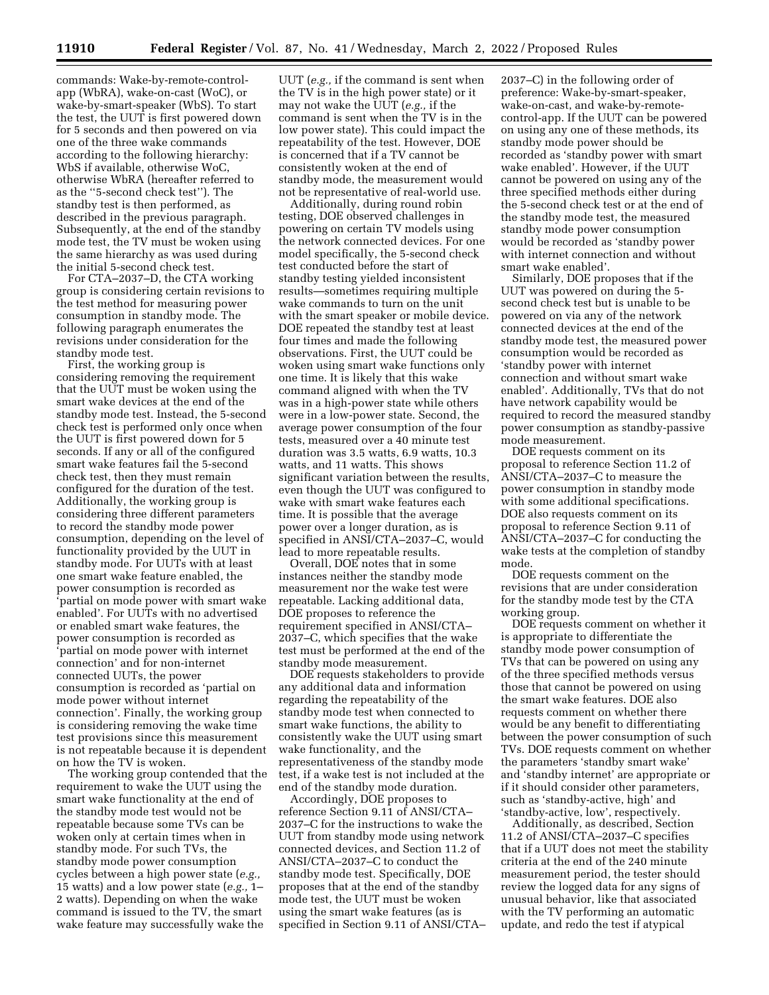commands: Wake-by-remote-controlapp (WbRA), wake-on-cast (WoC), or wake-by-smart-speaker (WbS). To start the test, the UUT is first powered down for 5 seconds and then powered on via one of the three wake commands according to the following hierarchy: WbS if available, otherwise WoC, otherwise WbRA (hereafter referred to as the ''5-second check test''). The standby test is then performed, as described in the previous paragraph. Subsequently, at the end of the standby mode test, the TV must be woken using the same hierarchy as was used during the initial 5-second check test.

For CTA–2037–D, the CTA working group is considering certain revisions to the test method for measuring power consumption in standby mode. The following paragraph enumerates the revisions under consideration for the standby mode test.

First, the working group is considering removing the requirement that the UUT must be woken using the smart wake devices at the end of the standby mode test. Instead, the 5-second check test is performed only once when the UUT is first powered down for 5 seconds. If any or all of the configured smart wake features fail the 5-second check test, then they must remain configured for the duration of the test. Additionally, the working group is considering three different parameters to record the standby mode power consumption, depending on the level of functionality provided by the UUT in standby mode. For UUTs with at least one smart wake feature enabled, the power consumption is recorded as 'partial on mode power with smart wake enabled'. For UUTs with no advertised or enabled smart wake features, the power consumption is recorded as 'partial on mode power with internet connection' and for non-internet connected UUTs, the power consumption is recorded as 'partial on mode power without internet connection'. Finally, the working group is considering removing the wake time test provisions since this measurement is not repeatable because it is dependent on how the TV is woken.

The working group contended that the requirement to wake the UUT using the smart wake functionality at the end of the standby mode test would not be repeatable because some TVs can be woken only at certain times when in standby mode. For such TVs, the standby mode power consumption cycles between a high power state (*e.g.,*  15 watts) and a low power state (*e.g.,* 1– 2 watts). Depending on when the wake command is issued to the TV, the smart wake feature may successfully wake the

UUT (*e.g.,* if the command is sent when the TV is in the high power state) or it may not wake the UUT (*e.g.,* if the command is sent when the TV is in the low power state). This could impact the repeatability of the test. However, DOE is concerned that if a TV cannot be consistently woken at the end of standby mode, the measurement would not be representative of real-world use.

Additionally, during round robin testing, DOE observed challenges in powering on certain TV models using the network connected devices. For one model specifically, the 5-second check test conducted before the start of standby testing yielded inconsistent results—sometimes requiring multiple wake commands to turn on the unit with the smart speaker or mobile device. DOE repeated the standby test at least four times and made the following observations. First, the UUT could be woken using smart wake functions only one time. It is likely that this wake command aligned with when the TV was in a high-power state while others were in a low-power state. Second, the average power consumption of the four tests, measured over a 40 minute test duration was 3.5 watts, 6.9 watts, 10.3 watts, and 11 watts. This shows significant variation between the results, even though the UUT was configured to wake with smart wake features each time. It is possible that the average power over a longer duration, as is specified in ANSI/CTA–2037–C, would lead to more repeatable results.

Overall, DOE notes that in some instances neither the standby mode measurement nor the wake test were repeatable. Lacking additional data, DOE proposes to reference the requirement specified in ANSI/CTA– 2037–C, which specifies that the wake test must be performed at the end of the standby mode measurement.

DOE requests stakeholders to provide any additional data and information regarding the repeatability of the standby mode test when connected to smart wake functions, the ability to consistently wake the UUT using smart wake functionality, and the representativeness of the standby mode test, if a wake test is not included at the end of the standby mode duration.

Accordingly, DOE proposes to reference Section 9.11 of ANSI/CTA– 2037–C for the instructions to wake the UUT from standby mode using network connected devices, and Section 11.2 of ANSI/CTA–2037–C to conduct the standby mode test. Specifically, DOE proposes that at the end of the standby mode test, the UUT must be woken using the smart wake features (as is specified in Section 9.11 of ANSI/CTA– 2037–C) in the following order of preference: Wake-by-smart-speaker, wake-on-cast, and wake-by-remotecontrol-app. If the UUT can be powered on using any one of these methods, its standby mode power should be recorded as 'standby power with smart wake enabled'. However, if the UUT cannot be powered on using any of the three specified methods either during the 5-second check test or at the end of the standby mode test, the measured standby mode power consumption would be recorded as 'standby power with internet connection and without smart wake enabled'.

Similarly, DOE proposes that if the UUT was powered on during the 5 second check test but is unable to be powered on via any of the network connected devices at the end of the standby mode test, the measured power consumption would be recorded as 'standby power with internet connection and without smart wake enabled'. Additionally, TVs that do not have network capability would be required to record the measured standby power consumption as standby-passive mode measurement.

DOE requests comment on its proposal to reference Section 11.2 of ANSI/CTA–2037–C to measure the power consumption in standby mode with some additional specifications. DOE also requests comment on its proposal to reference Section 9.11 of ANSI/CTA–2037–C for conducting the wake tests at the completion of standby mode.

DOE requests comment on the revisions that are under consideration for the standby mode test by the CTA working group.

DOE requests comment on whether it is appropriate to differentiate the standby mode power consumption of TVs that can be powered on using any of the three specified methods versus those that cannot be powered on using the smart wake features. DOE also requests comment on whether there would be any benefit to differentiating between the power consumption of such TVs. DOE requests comment on whether the parameters 'standby smart wake' and 'standby internet' are appropriate or if it should consider other parameters, such as 'standby-active, high' and 'standby-active, low', respectively.

Additionally, as described, Section 11.2 of ANSI/CTA–2037–C specifies that if a UUT does not meet the stability criteria at the end of the 240 minute measurement period, the tester should review the logged data for any signs of unusual behavior, like that associated with the TV performing an automatic update, and redo the test if atypical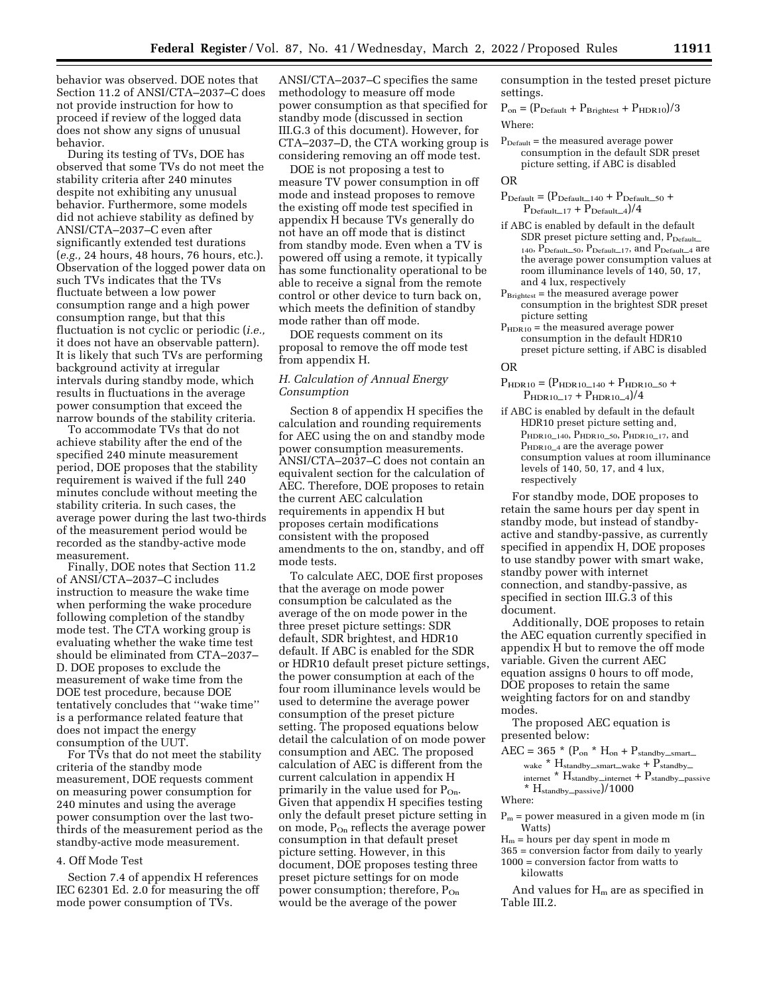behavior was observed. DOE notes that Section 11.2 of ANSI/CTA–2037–C does not provide instruction for how to proceed if review of the logged data does not show any signs of unusual behavior.

During its testing of TVs, DOE has observed that some TVs do not meet the stability criteria after 240 minutes despite not exhibiting any unusual behavior. Furthermore, some models did not achieve stability as defined by ANSI/CTA–2037–C even after significantly extended test durations (*e.g.,* 24 hours, 48 hours, 76 hours, etc.). Observation of the logged power data on such TVs indicates that the TVs fluctuate between a low power consumption range and a high power consumption range, but that this fluctuation is not cyclic or periodic (*i.e.,*  it does not have an observable pattern). It is likely that such TVs are performing background activity at irregular intervals during standby mode, which results in fluctuations in the average power consumption that exceed the narrow bounds of the stability criteria.

To accommodate TVs that do not achieve stability after the end of the specified 240 minute measurement period, DOE proposes that the stability requirement is waived if the full 240 minutes conclude without meeting the stability criteria. In such cases, the average power during the last two-thirds of the measurement period would be recorded as the standby-active mode measurement.

Finally, DOE notes that Section 11.2 of ANSI/CTA–2037–C includes instruction to measure the wake time when performing the wake procedure following completion of the standby mode test. The CTA working group is evaluating whether the wake time test should be eliminated from CTA–2037– D. DOE proposes to exclude the measurement of wake time from the DOE test procedure, because DOE tentatively concludes that ''wake time'' is a performance related feature that does not impact the energy consumption of the UUT.

For TVs that do not meet the stability criteria of the standby mode measurement, DOE requests comment on measuring power consumption for 240 minutes and using the average power consumption over the last twothirds of the measurement period as the standby-active mode measurement.

## 4. Off Mode Test

Section 7.4 of appendix H references IEC 62301 Ed. 2.0 for measuring the off mode power consumption of TVs.

ANSI/CTA–2037–C specifies the same methodology to measure off mode power consumption as that specified for standby mode (discussed in section III.G.3 of this document). However, for CTA–2037–D, the CTA working group is considering removing an off mode test.

DOE is not proposing a test to measure TV power consumption in off mode and instead proposes to remove the existing off mode test specified in appendix H because TVs generally do not have an off mode that is distinct from standby mode. Even when a TV is powered off using a remote, it typically has some functionality operational to be able to receive a signal from the remote control or other device to turn back on, which meets the definition of standby mode rather than off mode.

DOE requests comment on its proposal to remove the off mode test from appendix H.

## *H. Calculation of Annual Energy Consumption*

Section 8 of appendix H specifies the calculation and rounding requirements for AEC using the on and standby mode power consumption measurements. ANSI/CTA–2037–C does not contain an equivalent section for the calculation of AEC. Therefore, DOE proposes to retain the current AEC calculation requirements in appendix H but proposes certain modifications consistent with the proposed amendments to the on, standby, and off mode tests.

To calculate AEC, DOE first proposes that the average on mode power consumption be calculated as the average of the on mode power in the three preset picture settings: SDR default, SDR brightest, and HDR10 default. If ABC is enabled for the SDR or HDR10 default preset picture settings, the power consumption at each of the four room illuminance levels would be used to determine the average power consumption of the preset picture setting. The proposed equations below detail the calculation of on mode power consumption and AEC. The proposed calculation of AEC is different from the current calculation in appendix H primarily in the value used for P<sub>On</sub>. Given that appendix H specifies testing only the default preset picture setting in on mode,  $P_{On}$  reflects the average power consumption in that default preset picture setting. However, in this document, DOE proposes testing three preset picture settings for on mode power consumption; therefore, P<sub>On</sub> would be the average of the power

consumption in the tested preset picture settings.

 $P_{on} = (P_{\text{Default}} + P_{\text{Brightest}} + P_{\text{HDR10}})/3$ Where:

 $P_{\text{Default}} =$  the measured average power consumption in the default SDR preset picture setting, if ABC is disabled

OR

 $P_{\text{Default}} = (P_{\text{Default}\_140} + P_{\text{Default}\_50} +$  $\rm P_{Default\_17}$  +  $\rm P_{Default\_4})/4$ 

- if ABC is enabled by default in the default SDR preset picture setting and,  $P_{\rm Default\_}$ 140,  $\overline{P}_{\text{Default}\_\text{50}}$ ,  $P_{\text{Default}\_\text{17}}$ , and  $P_{\text{Default}\_\text{4}}$  are the average power consumption values at room illuminance levels of 140, 50, 17, and 4 lux, respectively
- $P_{Brightest}$  = the measured average power consumption in the brightest SDR preset picture setting
- $P_{HDR10}$  = the measured average power consumption in the default HDR10 preset picture setting, if ABC is disabled

OR

- $\label{eq:ppr} \text{P}_{\text{HDR10}} = \text{(P}_{\text{HDR10}\_140} + \text{P}_{\text{HDR10}\_50} +$  $P_{\text{HDR10}\_17} + P_{\text{HDR10}\_4})/4$
- if ABC is enabled by default in the default HDR10 preset picture setting and,  $P_{\rm HDR10\_140}, P_{\rm HDR10\_50}, P_{\rm HDR10\_17},$  and P<sub>HDR10</sub><sub>4</sub> are the average power consumption values at room illuminance levels of 140, 50, 17, and 4 lux, respectively

For standby mode, DOE proposes to retain the same hours per day spent in standby mode, but instead of standbyactive and standby-passive, as currently specified in appendix H, DOE proposes to use standby power with smart wake, standby power with internet connection, and standby-passive, as specified in section III.G.3 of this document.

Additionally, DOE proposes to retain the AEC equation currently specified in appendix H but to remove the off mode variable. Given the current AEC equation assigns 0 hours to off mode, DOE proposes to retain the same weighting factors for on and standby modes.

The proposed AEC equation is presented below:

 $AEC = 365$  \*  $(P_{on}$  \*  $H_{on} + P_{standby\_smart\_}$ wake \*  $H_{\text{standby\_smart\_wake}} + P_{\text{standby\_}}$ internet \*  $H_{\text{standby}\_ \text{internet}} + P_{\text{standby}\_ \text{passive}}$  $*$  H<sub>standby</sub>\_passive)/1000

Where:

 $P_m$  = power measured in a given mode m (in Watts)

 $H_m$  = hours per day spent in mode m

365 = conversion factor from daily to yearly 1000 = conversion factor from watts to kilowatts

And values for  $H_m$  are as specified in Table III.2.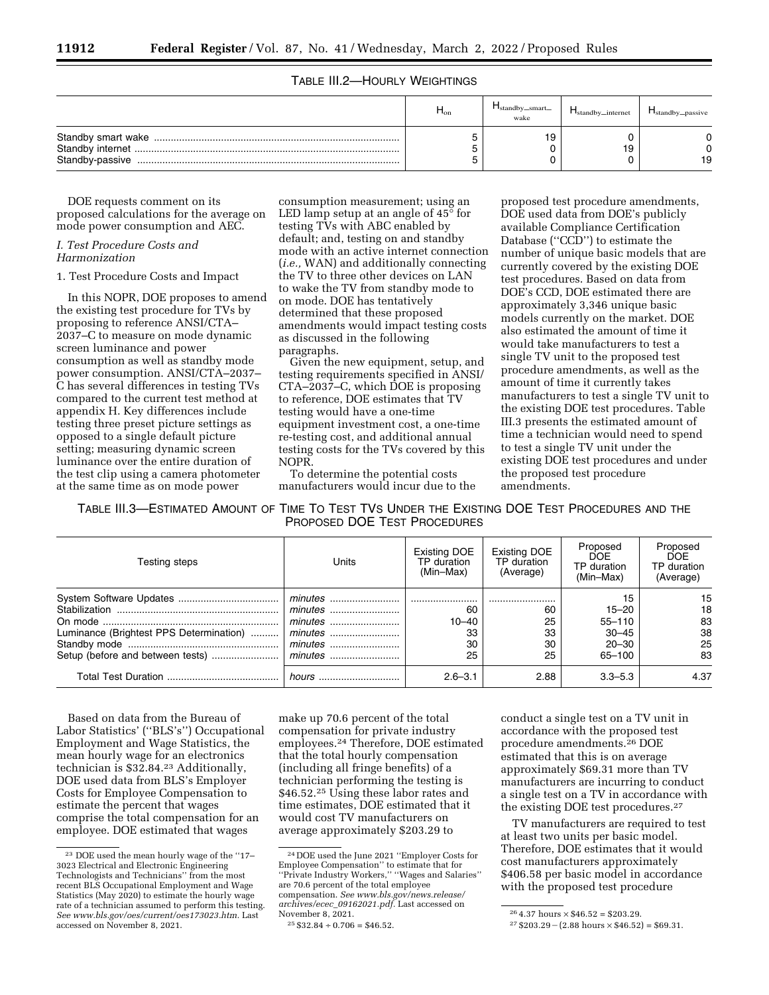# TABLE III.2—HOURLY WEIGHTINGS

| $H_{on}$ | $\blacksquare$ standby_smart<br>wake | $H_{\text{standby}\_internet}$ | $H_{\text{standby}$ passive |
|----------|--------------------------------------|--------------------------------|-----------------------------|
|          | 19                                   | ۰9                             | 19                          |

DOE requests comment on its proposed calculations for the average on mode power consumption and AEC.

# *I. Test Procedure Costs and Harmonization*

## 1. Test Procedure Costs and Impact

In this NOPR, DOE proposes to amend the existing test procedure for TVs by proposing to reference ANSI/CTA– 2037–C to measure on mode dynamic screen luminance and power consumption as well as standby mode power consumption. ANSI/CTA–2037– C has several differences in testing TVs compared to the current test method at appendix H. Key differences include testing three preset picture settings as opposed to a single default picture setting; measuring dynamic screen luminance over the entire duration of the test clip using a camera photometer at the same time as on mode power

consumption measurement; using an LED lamp setup at an angle of 45° for testing TVs with ABC enabled by default; and, testing on and standby mode with an active internet connection (*i.e.,* WAN) and additionally connecting the TV to three other devices on LAN to wake the TV from standby mode to on mode. DOE has tentatively determined that these proposed amendments would impact testing costs as discussed in the following paragraphs.

Given the new equipment, setup, and testing requirements specified in ANSI/ CTA–2037–C, which DOE is proposing to reference, DOE estimates that TV testing would have a one-time equipment investment cost, a one-time re-testing cost, and additional annual testing costs for the TVs covered by this NOPR.

To determine the potential costs manufacturers would incur due to the

proposed test procedure amendments, DOE used data from DOE's publicly available Compliance Certification Database (''CCD'') to estimate the number of unique basic models that are currently covered by the existing DOE test procedures. Based on data from DOE's CCD, DOE estimated there are approximately 3,346 unique basic models currently on the market. DOE also estimated the amount of time it would take manufacturers to test a single TV unit to the proposed test procedure amendments, as well as the amount of time it currently takes manufacturers to test a single TV unit to the existing DOE test procedures. Table III.3 presents the estimated amount of time a technician would need to spend to test a single TV unit under the existing DOE test procedures and under the proposed test procedure amendments.

TABLE III.3—ESTIMATED AMOUNT OF TIME TO TEST TVS UNDER THE EXISTING DOE TEST PROCEDURES AND THE PROPOSED DOE TEST PROCEDURES

| Testing steps                           | Units   | Existing DOE<br>TP duration<br>(Min-Max) | Existing DOE<br>TP duration<br>(Average) | Proposed<br><b>DOE</b><br>TP duration<br>(Min-Max)                | Proposed<br><b>DOF</b><br>TP duration<br>(Average) |
|-----------------------------------------|---------|------------------------------------------|------------------------------------------|-------------------------------------------------------------------|----------------------------------------------------|
| Luminance (Brightest PPS Determination) | minutes | 60<br>$10 - 40$<br>33<br>30<br>25        | 60<br>25<br>33<br>30<br>25               | 15<br>$15 - 20$<br>$55 - 110$<br>$30 - 45$<br>$20 - 30$<br>65-100 | 15<br>18<br>83<br>38<br>25<br>83                   |
|                                         |         | $2.6 - 3.1$                              | 2.88                                     | $3.3 - 5.3$                                                       | 4.37                                               |

Based on data from the Bureau of Labor Statistics' (''BLS's'') Occupational Employment and Wage Statistics, the mean hourly wage for an electronics technician is \$32.84.23 Additionally, DOE used data from BLS's Employer Costs for Employee Compensation to estimate the percent that wages comprise the total compensation for an employee. DOE estimated that wages

make up 70.6 percent of the total compensation for private industry employees.24 Therefore, DOE estimated that the total hourly compensation (including all fringe benefits) of a technician performing the testing is \$46.52.<sup>25</sup> Using these labor rates and time estimates, DOE estimated that it would cost TV manufacturers on average approximately \$203.29 to

conduct a single test on a TV unit in accordance with the proposed test procedure amendments.26 DOE estimated that this is on average approximately \$69.31 more than TV manufacturers are incurring to conduct a single test on a TV in accordance with the existing DOE test procedures.27

TV manufacturers are required to test at least two units per basic model. Therefore, DOE estimates that it would cost manufacturers approximately \$406.58 per basic model in accordance with the proposed test procedure

<sup>23</sup> DOE used the mean hourly wage of the ''17– 3023 Electrical and Electronic Engineering Technologists and Technicians'' from the most recent BLS Occupational Employment and Wage Statistics (May 2020) to estimate the hourly wage rate of a technician assumed to perform this testing. *See [www.bls.gov/oes/current/oes173023.htm.](http://www.bls.gov/oes/current/oes173023.htm)* Last accessed on November 8, 2021.

<sup>24</sup> DOE used the June 2021 ''Employer Costs for Employee Compensation'' to estimate that for ''Private Industry Workers,'' ''Wages and Salaries'' are 70.6 percent of the total employee compensation. *See [www.bls.gov/news.release/](http://www.bls.gov/news.release/archives/ecec_09162021.pdf) archives/ecec*\_*[09162021.pdf.](http://www.bls.gov/news.release/archives/ecec_09162021.pdf)* Last accessed on

 $25 \$32.84 \div 0.706 = \$46.52.$ 

 $264.37$  hours  $\times$  \$46.52 = \$203.29.

 $27 $203.29 - (2.88 \text{ hours} \times $46.52) = $69.31.$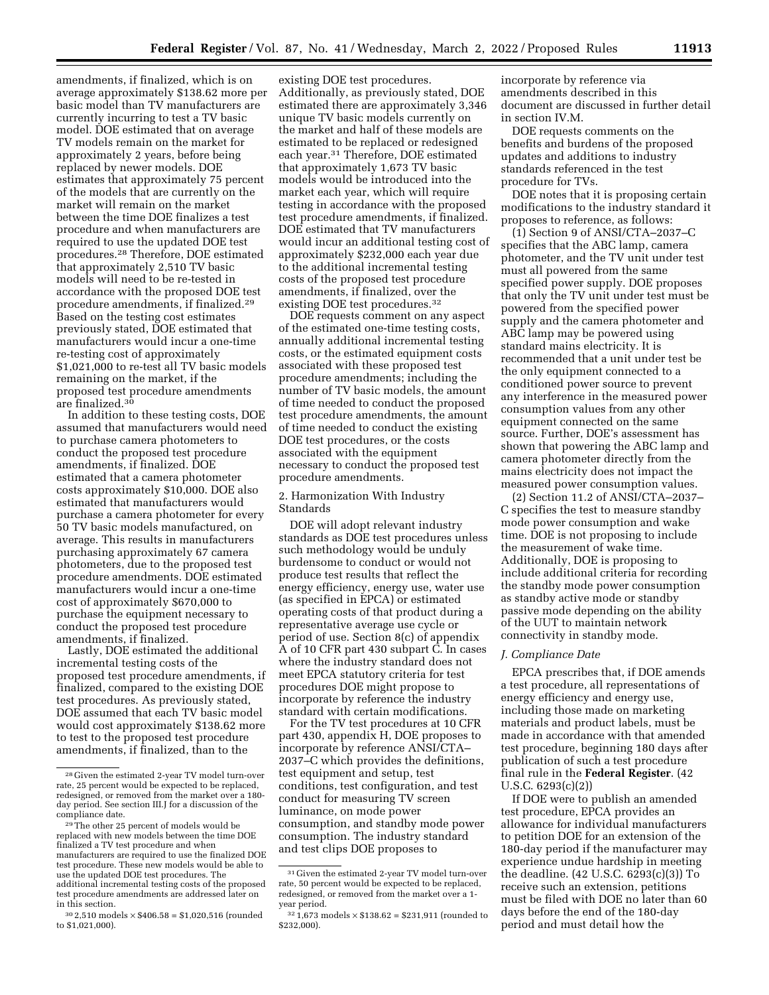amendments, if finalized, which is on average approximately \$138.62 more per basic model than TV manufacturers are currently incurring to test a TV basic model. DOE estimated that on average TV models remain on the market for approximately 2 years, before being replaced by newer models. DOE estimates that approximately 75 percent of the models that are currently on the market will remain on the market between the time DOE finalizes a test procedure and when manufacturers are required to use the updated DOE test procedures.28 Therefore, DOE estimated that approximately 2,510 TV basic models will need to be re-tested in accordance with the proposed DOE test procedure amendments, if finalized.29 Based on the testing cost estimates previously stated, DOE estimated that manufacturers would incur a one-time re-testing cost of approximately \$1,021,000 to re-test all TV basic models remaining on the market, if the proposed test procedure amendments are finalized.30

In addition to these testing costs, DOE assumed that manufacturers would need to purchase camera photometers to conduct the proposed test procedure amendments, if finalized. DOE estimated that a camera photometer costs approximately \$10,000. DOE also estimated that manufacturers would purchase a camera photometer for every 50 TV basic models manufactured, on average. This results in manufacturers purchasing approximately 67 camera photometers, due to the proposed test procedure amendments. DOE estimated manufacturers would incur a one-time cost of approximately \$670,000 to purchase the equipment necessary to conduct the proposed test procedure amendments, if finalized.

Lastly, DOE estimated the additional incremental testing costs of the proposed test procedure amendments, if finalized, compared to the existing DOE test procedures. As previously stated, DOE assumed that each TV basic model would cost approximately \$138.62 more to test to the proposed test procedure amendments, if finalized, than to the

existing DOE test procedures. Additionally, as previously stated, DOE estimated there are approximately 3,346 unique TV basic models currently on the market and half of these models are estimated to be replaced or redesigned each year.31 Therefore, DOE estimated that approximately 1,673 TV basic models would be introduced into the market each year, which will require testing in accordance with the proposed test procedure amendments, if finalized. DOE estimated that TV manufacturers would incur an additional testing cost of approximately \$232,000 each year due to the additional incremental testing costs of the proposed test procedure amendments, if finalized, over the existing DOE test procedures.32

DOE requests comment on any aspect of the estimated one-time testing costs, annually additional incremental testing costs, or the estimated equipment costs associated with these proposed test procedure amendments; including the number of TV basic models, the amount of time needed to conduct the proposed test procedure amendments, the amount of time needed to conduct the existing DOE test procedures, or the costs associated with the equipment necessary to conduct the proposed test procedure amendments.

2. Harmonization With Industry Standards

DOE will adopt relevant industry standards as DOE test procedures unless such methodology would be unduly burdensome to conduct or would not produce test results that reflect the energy efficiency, energy use, water use (as specified in EPCA) or estimated operating costs of that product during a representative average use cycle or period of use. Section 8(c) of appendix A of 10 CFR part 430 subpart C. In cases where the industry standard does not meet EPCA statutory criteria for test procedures DOE might propose to incorporate by reference the industry standard with certain modifications.

For the TV test procedures at 10 CFR part 430, appendix H, DOE proposes to incorporate by reference ANSI/CTA– 2037–C which provides the definitions, test equipment and setup, test conditions, test configuration, and test conduct for measuring TV screen luminance, on mode power consumption, and standby mode power consumption. The industry standard and test clips DOE proposes to

incorporate by reference via amendments described in this document are discussed in further detail in section IV.M.

DOE requests comments on the benefits and burdens of the proposed updates and additions to industry standards referenced in the test procedure for TVs.

DOE notes that it is proposing certain modifications to the industry standard it proposes to reference, as follows:

(1) Section 9 of ANSI/CTA–2037–C specifies that the ABC lamp, camera photometer, and the TV unit under test must all powered from the same specified power supply. DOE proposes that only the TV unit under test must be powered from the specified power supply and the camera photometer and ABC lamp may be powered using standard mains electricity. It is recommended that a unit under test be the only equipment connected to a conditioned power source to prevent any interference in the measured power consumption values from any other equipment connected on the same source. Further, DOE's assessment has shown that powering the ABC lamp and camera photometer directly from the mains electricity does not impact the measured power consumption values.

(2) Section 11.2 of ANSI/CTA–2037– C specifies the test to measure standby mode power consumption and wake time. DOE is not proposing to include the measurement of wake time. Additionally, DOE is proposing to include additional criteria for recording the standby mode power consumption as standby active mode or standby passive mode depending on the ability of the UUT to maintain network connectivity in standby mode.

## *J. Compliance Date*

EPCA prescribes that, if DOE amends a test procedure, all representations of energy efficiency and energy use, including those made on marketing materials and product labels, must be made in accordance with that amended test procedure, beginning 180 days after publication of such a test procedure final rule in the **Federal Register**. (42 U.S.C. 6293(c)(2))

If DOE were to publish an amended test procedure, EPCA provides an allowance for individual manufacturers to petition DOE for an extension of the 180-day period if the manufacturer may experience undue hardship in meeting the deadline. (42 U.S.C. 6293(c)(3)) To receive such an extension, petitions must be filed with DOE no later than 60 days before the end of the 180-day period and must detail how the

<sup>28</sup> Given the estimated 2-year TV model turn-over rate, 25 percent would be expected to be replaced, redesigned, or removed from the market over a 180 day period. See section III.J for a discussion of the compliance date. 29The other 25 percent of models would be

replaced with new models between the time DOE finalized a TV test procedure and when manufacturers are required to use the finalized DOE test procedure. These new models would be able to use the updated DOE test procedures. The additional incremental testing costs of the proposed test procedure amendments are addressed later on in this section.

 $30$  2,510 models  $\times$  \$406.58 = \$1,020,516 (rounded to \$1,021,000).

<sup>31</sup> Given the estimated 2-year TV model turn-over rate, 50 percent would be expected to be replaced, redesigned, or removed from the market over a 1 year period.

 $32$  1,673 models  $\times$  \$138.62 = \$231,911 (rounded to \$232,000).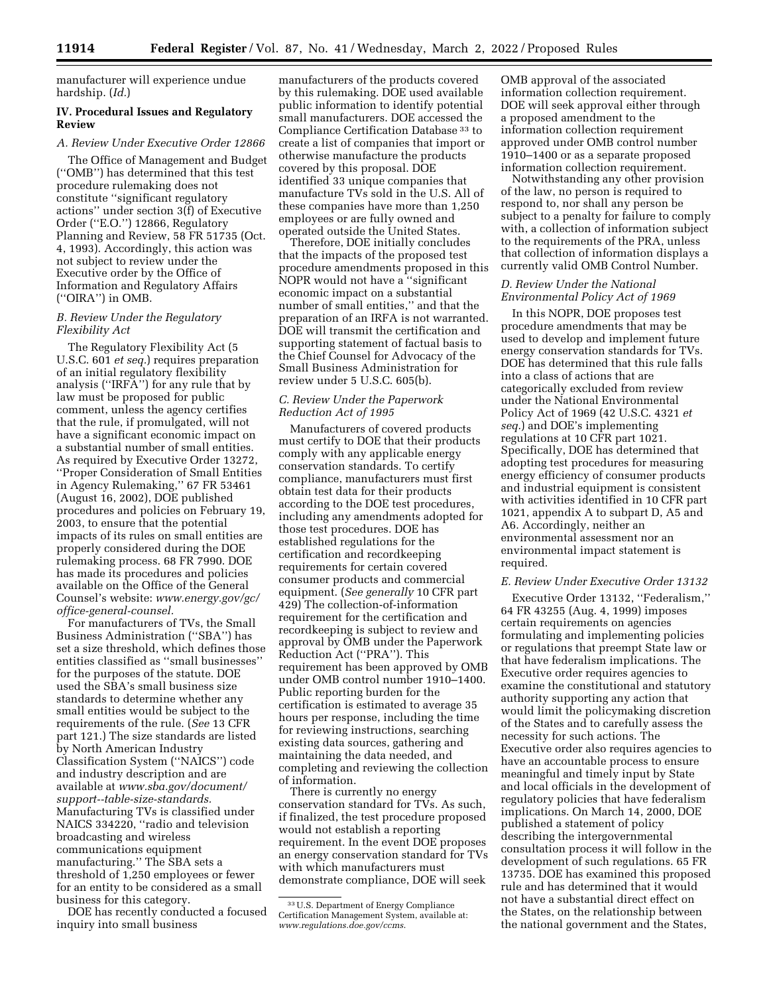manufacturer will experience undue hardship. (*Id.*)

# **IV. Procedural Issues and Regulatory Review**

# *A. Review Under Executive Order 12866*

The Office of Management and Budget (''OMB'') has determined that this test procedure rulemaking does not constitute ''significant regulatory actions'' under section 3(f) of Executive Order (''E.O.'') 12866, Regulatory Planning and Review, 58 FR 51735 (Oct. 4, 1993). Accordingly, this action was not subject to review under the Executive order by the Office of Information and Regulatory Affairs (''OIRA'') in OMB.

## *B. Review Under the Regulatory Flexibility Act*

The Regulatory Flexibility Act (5 U.S.C. 601 *et seq.*) requires preparation of an initial regulatory flexibility analysis (''IRFA'') for any rule that by law must be proposed for public comment, unless the agency certifies that the rule, if promulgated, will not have a significant economic impact on a substantial number of small entities. As required by Executive Order 13272, ''Proper Consideration of Small Entities in Agency Rulemaking,'' 67 FR 53461 (August 16, 2002), DOE published procedures and policies on February 19, 2003, to ensure that the potential impacts of its rules on small entities are properly considered during the DOE rulemaking process. 68 FR 7990. DOE has made its procedures and policies available on the Office of the General Counsel's website: *[www.energy.gov/gc/](http://www.energy.gov/gc/office-general-counsel)  [office-general-counsel.](http://www.energy.gov/gc/office-general-counsel)* 

For manufacturers of TVs, the Small Business Administration (''SBA'') has set a size threshold, which defines those entities classified as ''small businesses'' for the purposes of the statute. DOE used the SBA's small business size standards to determine whether any small entities would be subject to the requirements of the rule. (*See* 13 CFR part 121.) The size standards are listed by North American Industry Classification System (''NAICS'') code and industry description and are available at *[www.sba.gov/document/](http://www.sba.gov/document/support--table-size-standards)  [support--table-size-standards.](http://www.sba.gov/document/support--table-size-standards)*  Manufacturing TVs is classified under NAICS 334220, ''radio and television broadcasting and wireless communications equipment manufacturing.'' The SBA sets a threshold of 1,250 employees or fewer for an entity to be considered as a small business for this category.

DOE has recently conducted a focused inquiry into small business

manufacturers of the products covered by this rulemaking. DOE used available public information to identify potential small manufacturers. DOE accessed the Compliance Certification Database 33 to create a list of companies that import or otherwise manufacture the products covered by this proposal. DOE identified 33 unique companies that manufacture TVs sold in the U.S. All of these companies have more than 1,250 employees or are fully owned and operated outside the United States.

Therefore, DOE initially concludes that the impacts of the proposed test procedure amendments proposed in this NOPR would not have a ''significant economic impact on a substantial number of small entities,'' and that the preparation of an IRFA is not warranted. DOE will transmit the certification and supporting statement of factual basis to the Chief Counsel for Advocacy of the Small Business Administration for review under 5 U.S.C. 605(b).

## *C. Review Under the Paperwork Reduction Act of 1995*

Manufacturers of covered products must certify to DOE that their products comply with any applicable energy conservation standards. To certify compliance, manufacturers must first obtain test data for their products according to the DOE test procedures, including any amendments adopted for those test procedures. DOE has established regulations for the certification and recordkeeping requirements for certain covered consumer products and commercial equipment. (*See generally* 10 CFR part 429) The collection-of-information requirement for the certification and recordkeeping is subject to review and approval by OMB under the Paperwork Reduction Act (''PRA''). This requirement has been approved by OMB under OMB control number 1910–1400. Public reporting burden for the certification is estimated to average 35 hours per response, including the time for reviewing instructions, searching existing data sources, gathering and maintaining the data needed, and completing and reviewing the collection of information.

There is currently no energy conservation standard for TVs. As such, if finalized, the test procedure proposed would not establish a reporting requirement. In the event DOE proposes an energy conservation standard for TVs with which manufacturers must demonstrate compliance, DOE will seek

OMB approval of the associated information collection requirement. DOE will seek approval either through a proposed amendment to the information collection requirement approved under OMB control number 1910–1400 or as a separate proposed information collection requirement.

Notwithstanding any other provision of the law, no person is required to respond to, nor shall any person be subject to a penalty for failure to comply with, a collection of information subject to the requirements of the PRA, unless that collection of information displays a currently valid OMB Control Number.

# *D. Review Under the National Environmental Policy Act of 1969*

In this NOPR, DOE proposes test procedure amendments that may be used to develop and implement future energy conservation standards for TVs. DOE has determined that this rule falls into a class of actions that are categorically excluded from review under the National Environmental Policy Act of 1969 (42 U.S.C. 4321 *et seq.*) and DOE's implementing regulations at 10 CFR part 1021. Specifically, DOE has determined that adopting test procedures for measuring energy efficiency of consumer products and industrial equipment is consistent with activities identified in 10 CFR part 1021, appendix A to subpart D, A5 and A6. Accordingly, neither an environmental assessment nor an environmental impact statement is required.

## *E. Review Under Executive Order 13132*

Executive Order 13132, ''Federalism,'' 64 FR 43255 (Aug. 4, 1999) imposes certain requirements on agencies formulating and implementing policies or regulations that preempt State law or that have federalism implications. The Executive order requires agencies to examine the constitutional and statutory authority supporting any action that would limit the policymaking discretion of the States and to carefully assess the necessity for such actions. The Executive order also requires agencies to have an accountable process to ensure meaningful and timely input by State and local officials in the development of regulatory policies that have federalism implications. On March 14, 2000, DOE published a statement of policy describing the intergovernmental consultation process it will follow in the development of such regulations. 65 FR 13735. DOE has examined this proposed rule and has determined that it would not have a substantial direct effect on the States, on the relationship between the national government and the States,

<sup>33</sup>U.S. Department of Energy Compliance Certification Management System, available at: *[www.regulations.doe.gov/ccms](http://www.regulations.doe.gov/ccms)*.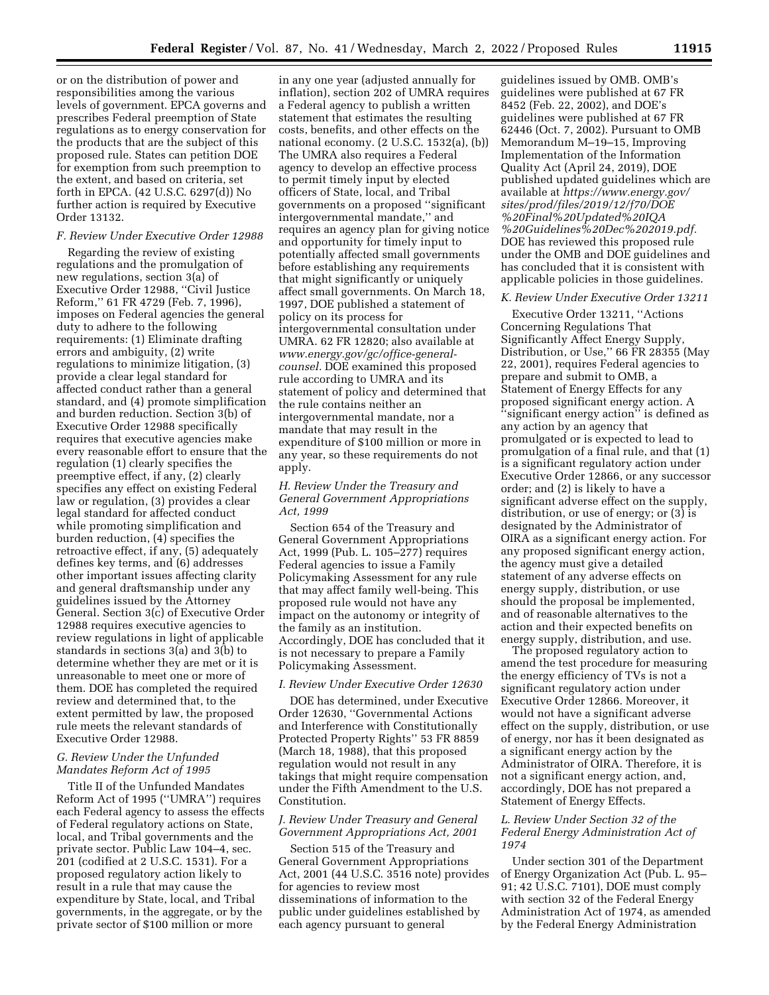or on the distribution of power and responsibilities among the various levels of government. EPCA governs and prescribes Federal preemption of State regulations as to energy conservation for the products that are the subject of this proposed rule. States can petition DOE for exemption from such preemption to the extent, and based on criteria, set forth in EPCA. (42 U.S.C. 6297(d)) No further action is required by Executive Order 13132.

## *F. Review Under Executive Order 12988*

Regarding the review of existing regulations and the promulgation of new regulations, section 3(a) of Executive Order 12988, ''Civil Justice Reform,'' 61 FR 4729 (Feb. 7, 1996), imposes on Federal agencies the general duty to adhere to the following requirements: (1) Eliminate drafting errors and ambiguity, (2) write regulations to minimize litigation, (3) provide a clear legal standard for affected conduct rather than a general standard, and (4) promote simplification and burden reduction. Section 3(b) of Executive Order 12988 specifically requires that executive agencies make every reasonable effort to ensure that the regulation (1) clearly specifies the preemptive effect, if any, (2) clearly specifies any effect on existing Federal law or regulation, (3) provides a clear legal standard for affected conduct while promoting simplification and burden reduction, (4) specifies the retroactive effect, if any, (5) adequately defines key terms, and (6) addresses other important issues affecting clarity and general draftsmanship under any guidelines issued by the Attorney General. Section 3(c) of Executive Order 12988 requires executive agencies to review regulations in light of applicable standards in sections 3(a) and 3(b) to determine whether they are met or it is unreasonable to meet one or more of them. DOE has completed the required review and determined that, to the extent permitted by law, the proposed rule meets the relevant standards of Executive Order 12988.

## *G. Review Under the Unfunded Mandates Reform Act of 1995*

Title II of the Unfunded Mandates Reform Act of 1995 (''UMRA'') requires each Federal agency to assess the effects of Federal regulatory actions on State, local, and Tribal governments and the private sector. Public Law 104–4, sec. 201 (codified at 2 U.S.C. 1531). For a proposed regulatory action likely to result in a rule that may cause the expenditure by State, local, and Tribal governments, in the aggregate, or by the private sector of \$100 million or more

in any one year (adjusted annually for inflation), section 202 of UMRA requires a Federal agency to publish a written statement that estimates the resulting costs, benefits, and other effects on the national economy. (2 U.S.C. 1532(a), (b)) The UMRA also requires a Federal agency to develop an effective process to permit timely input by elected officers of State, local, and Tribal governments on a proposed ''significant intergovernmental mandate,'' and requires an agency plan for giving notice and opportunity for timely input to potentially affected small governments before establishing any requirements that might significantly or uniquely affect small governments. On March 18, 1997, DOE published a statement of policy on its process for intergovernmental consultation under UMRA. 62 FR 12820; also available at *[www.energy.gov/gc/office-general](http://www.energy.gov/gc/office-general-counsel)[counsel.](http://www.energy.gov/gc/office-general-counsel)* DOE examined this proposed rule according to UMRA and its statement of policy and determined that the rule contains neither an intergovernmental mandate, nor a mandate that may result in the expenditure of \$100 million or more in any year, so these requirements do not apply.

## *H. Review Under the Treasury and General Government Appropriations Act, 1999*

Section 654 of the Treasury and General Government Appropriations Act, 1999 (Pub. L. 105–277) requires Federal agencies to issue a Family Policymaking Assessment for any rule that may affect family well-being. This proposed rule would not have any impact on the autonomy or integrity of the family as an institution. Accordingly, DOE has concluded that it is not necessary to prepare a Family Policymaking Assessment.

## *I. Review Under Executive Order 12630*

DOE has determined, under Executive Order 12630, ''Governmental Actions and Interference with Constitutionally Protected Property Rights'' 53 FR 8859 (March 18, 1988), that this proposed regulation would not result in any takings that might require compensation under the Fifth Amendment to the U.S. Constitution.

## *J. Review Under Treasury and General Government Appropriations Act, 2001*

Section 515 of the Treasury and General Government Appropriations Act, 2001 (44 U.S.C. 3516 note) provides for agencies to review most disseminations of information to the public under guidelines established by each agency pursuant to general

guidelines issued by OMB. OMB's guidelines were published at 67 FR 8452 (Feb. 22, 2002), and DOE's guidelines were published at 67 FR 62446 (Oct. 7, 2002). Pursuant to OMB Memorandum M–19–15, Improving Implementation of the Information Quality Act (April 24, 2019), DOE published updated guidelines which are available at *[https://www.energy.gov/](https://www.energy.gov/sites/prod/files/2019/12/f70/DOE%20Final%20Updated%20IQA%20Guidelines%20Dec%202019.pdf) [sites/prod/files/2019/12/f70/DOE](https://www.energy.gov/sites/prod/files/2019/12/f70/DOE%20Final%20Updated%20IQA%20Guidelines%20Dec%202019.pdf) [%20Final%20Updated%20IQA](https://www.energy.gov/sites/prod/files/2019/12/f70/DOE%20Final%20Updated%20IQA%20Guidelines%20Dec%202019.pdf) [%20Guidelines%20Dec%202019.pdf.](https://www.energy.gov/sites/prod/files/2019/12/f70/DOE%20Final%20Updated%20IQA%20Guidelines%20Dec%202019.pdf)*  DOE has reviewed this proposed rule under the OMB and DOE guidelines and has concluded that it is consistent with applicable policies in those guidelines.

### *K. Review Under Executive Order 13211*

Executive Order 13211, ''Actions Concerning Regulations That Significantly Affect Energy Supply, Distribution, or Use,'' 66 FR 28355 (May 22, 2001), requires Federal agencies to prepare and submit to OMB, a Statement of Energy Effects for any proposed significant energy action. A ''significant energy action'' is defined as any action by an agency that promulgated or is expected to lead to promulgation of a final rule, and that (1) is a significant regulatory action under Executive Order 12866, or any successor order; and (2) is likely to have a significant adverse effect on the supply, distribution, or use of energy; or (3) is designated by the Administrator of OIRA as a significant energy action. For any proposed significant energy action, the agency must give a detailed statement of any adverse effects on energy supply, distribution, or use should the proposal be implemented, and of reasonable alternatives to the action and their expected benefits on energy supply, distribution, and use.

The proposed regulatory action to amend the test procedure for measuring the energy efficiency of TVs is not a significant regulatory action under Executive Order 12866. Moreover, it would not have a significant adverse effect on the supply, distribution, or use of energy, nor has it been designated as a significant energy action by the Administrator of OIRA. Therefore, it is not a significant energy action, and, accordingly, DOE has not prepared a Statement of Energy Effects.

## *L. Review Under Section 32 of the Federal Energy Administration Act of 1974*

Under section 301 of the Department of Energy Organization Act (Pub. L. 95– 91; 42 U.S.C. 7101), DOE must comply with section 32 of the Federal Energy Administration Act of 1974, as amended by the Federal Energy Administration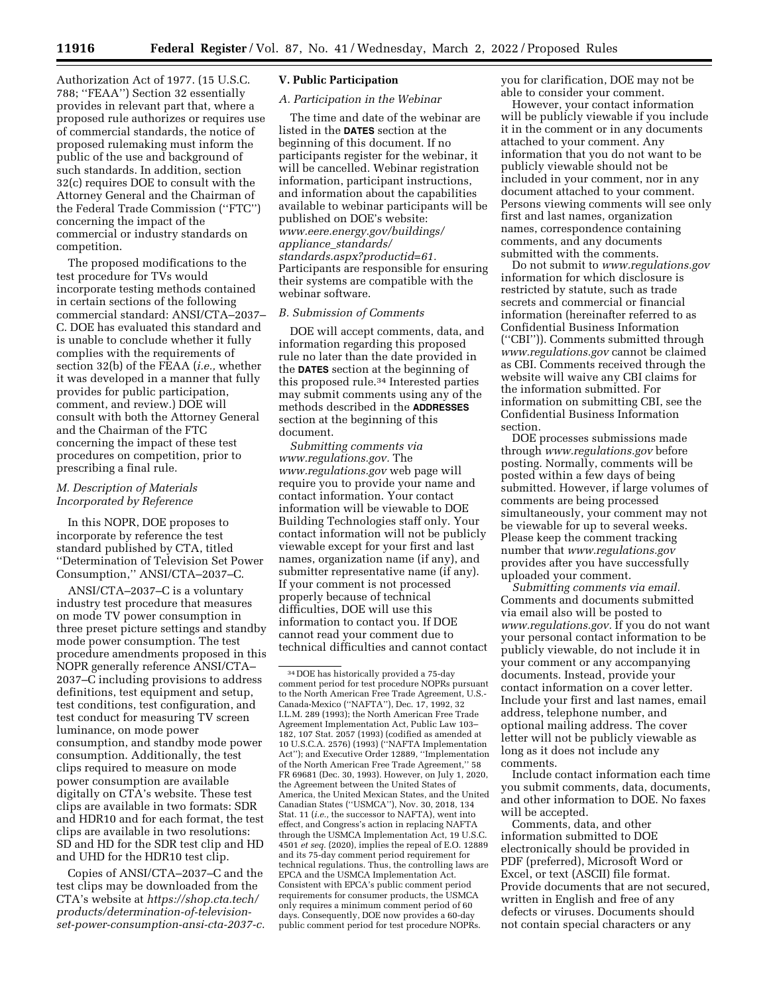Authorization Act of 1977. (15 U.S.C. 788; ''FEAA'') Section 32 essentially provides in relevant part that, where a proposed rule authorizes or requires use of commercial standards, the notice of proposed rulemaking must inform the public of the use and background of such standards. In addition, section 32(c) requires DOE to consult with the Attorney General and the Chairman of the Federal Trade Commission (''FTC'') concerning the impact of the commercial or industry standards on competition.

The proposed modifications to the test procedure for TVs would incorporate testing methods contained in certain sections of the following commercial standard: ANSI/CTA–2037– C. DOE has evaluated this standard and is unable to conclude whether it fully complies with the requirements of section 32(b) of the FEAA (*i.e.,* whether it was developed in a manner that fully provides for public participation, comment, and review.) DOE will consult with both the Attorney General and the Chairman of the FTC concerning the impact of these test procedures on competition, prior to prescribing a final rule.

## *M. Description of Materials Incorporated by Reference*

In this NOPR, DOE proposes to incorporate by reference the test standard published by CTA, titled ''Determination of Television Set Power Consumption,'' ANSI/CTA–2037–C.

ANSI/CTA–2037–C is a voluntary industry test procedure that measures on mode TV power consumption in three preset picture settings and standby mode power consumption. The test procedure amendments proposed in this NOPR generally reference ANSI/CTA– 2037–C including provisions to address definitions, test equipment and setup, test conditions, test configuration, and test conduct for measuring TV screen luminance, on mode power consumption, and standby mode power consumption. Additionally, the test clips required to measure on mode power consumption are available digitally on CTA's website. These test clips are available in two formats: SDR and HDR10 and for each format, the test clips are available in two resolutions: SD and HD for the SDR test clip and HD and UHD for the HDR10 test clip.

Copies of ANSI/CTA–2037–C and the test clips may be downloaded from the CTA's website at *[https://shop.cta.tech/](https://shop.cta.tech/products/determination-of-television-set-power-consumption-ansi-cta-2037-c)  [products/determination-of-television](https://shop.cta.tech/products/determination-of-television-set-power-consumption-ansi-cta-2037-c)[set-power-consumption-ansi-cta-2037-c.](https://shop.cta.tech/products/determination-of-television-set-power-consumption-ansi-cta-2037-c)* 

## **V. Public Participation**

# *A. Participation in the Webinar*

The time and date of the webinar are listed in the **DATES** section at the beginning of this document. If no participants register for the webinar, it will be cancelled. Webinar registration information, participant instructions, and information about the capabilities available to webinar participants will be published on DOE's website: *[www.eere.energy.gov/buildings/](http://www.eere.energy.gov/buildings/appliance_standards/standards.aspx?productid=61)  appliance*\_*[standards/](http://www.eere.energy.gov/buildings/appliance_standards/standards.aspx?productid=61) [standards.aspx?productid=61.](http://www.eere.energy.gov/buildings/appliance_standards/standards.aspx?productid=61)*  Participants are responsible for ensuring their systems are compatible with the webinar software.

## *B. Submission of Comments*

DOE will accept comments, data, and information regarding this proposed rule no later than the date provided in the **DATES** section at the beginning of this proposed rule.34 Interested parties may submit comments using any of the methods described in the **ADDRESSES** section at the beginning of this document.

*Submitting comments via [www.regulations.gov.](http://www.regulations.gov)* The *[www.regulations.gov](http://www.regulations.gov)* web page will require you to provide your name and contact information. Your contact information will be viewable to DOE Building Technologies staff only. Your contact information will not be publicly viewable except for your first and last names, organization name (if any), and submitter representative name (if any). If your comment is not processed properly because of technical difficulties, DOE will use this information to contact you. If DOE cannot read your comment due to technical difficulties and cannot contact you for clarification, DOE may not be able to consider your comment.

However, your contact information will be publicly viewable if you include it in the comment or in any documents attached to your comment. Any information that you do not want to be publicly viewable should not be included in your comment, nor in any document attached to your comment. Persons viewing comments will see only first and last names, organization names, correspondence containing comments, and any documents submitted with the comments.

Do not submit to *[www.regulations.gov](http://www.regulations.gov)*  information for which disclosure is restricted by statute, such as trade secrets and commercial or financial information (hereinafter referred to as Confidential Business Information (''CBI'')). Comments submitted through *[www.regulations.gov](http://www.regulations.gov)* cannot be claimed as CBI. Comments received through the website will waive any CBI claims for the information submitted. For information on submitting CBI, see the Confidential Business Information section.

DOE processes submissions made through *[www.regulations.gov](http://www.regulations.gov)* before posting. Normally, comments will be posted within a few days of being submitted. However, if large volumes of comments are being processed simultaneously, your comment may not be viewable for up to several weeks. Please keep the comment tracking number that *[www.regulations.gov](http://www.regulations.gov)*  provides after you have successfully uploaded your comment.

*Submitting comments via email.*  Comments and documents submitted via email also will be posted to *[www.regulations.gov.](http://www.regulations.gov)* If you do not want your personal contact information to be publicly viewable, do not include it in your comment or any accompanying documents. Instead, provide your contact information on a cover letter. Include your first and last names, email address, telephone number, and optional mailing address. The cover letter will not be publicly viewable as long as it does not include any comments.

Include contact information each time you submit comments, data, documents, and other information to DOE. No faxes will be accepted.

Comments, data, and other information submitted to DOE electronically should be provided in PDF (preferred), Microsoft Word or Excel, or text (ASCII) file format. Provide documents that are not secured, written in English and free of any defects or viruses. Documents should not contain special characters or any

<sup>34</sup> DOE has historically provided a 75-day comment period for test procedure NOPRs pursuant to the North American Free Trade Agreement, U.S.- Canada-Mexico (''NAFTA''), Dec. 17, 1992, 32 I.L.M. 289 (1993); the North American Free Trade Agreement Implementation Act, Public Law 103– 182, 107 Stat. 2057 (1993) (codified as amended at 10 U.S.C.A. 2576) (1993) (''NAFTA Implementation Act''); and Executive Order 12889, ''Implementation of the North American Free Trade Agreement,'' 58 FR 69681 (Dec. 30, 1993). However, on July 1, 2020, the Agreement between the United States of America, the United Mexican States, and the United Canadian States (''USMCA''), Nov. 30, 2018, 134 Stat. 11 (*i.e.,* the successor to NAFTA), went into effect, and Congress's action in replacing NAFTA through the USMCA Implementation Act, 19 U.S.C. 4501 *et seq.* (2020), implies the repeal of E.O. 12889 and its 75-day comment period requirement for technical regulations. Thus, the controlling laws are EPCA and the USMCA Implementation Act. Consistent with EPCA's public comment period requirements for consumer products, the USMCA only requires a minimum comment period of 60 days. Consequently, DOE now provides a 60-day public comment period for test procedure NOPRs.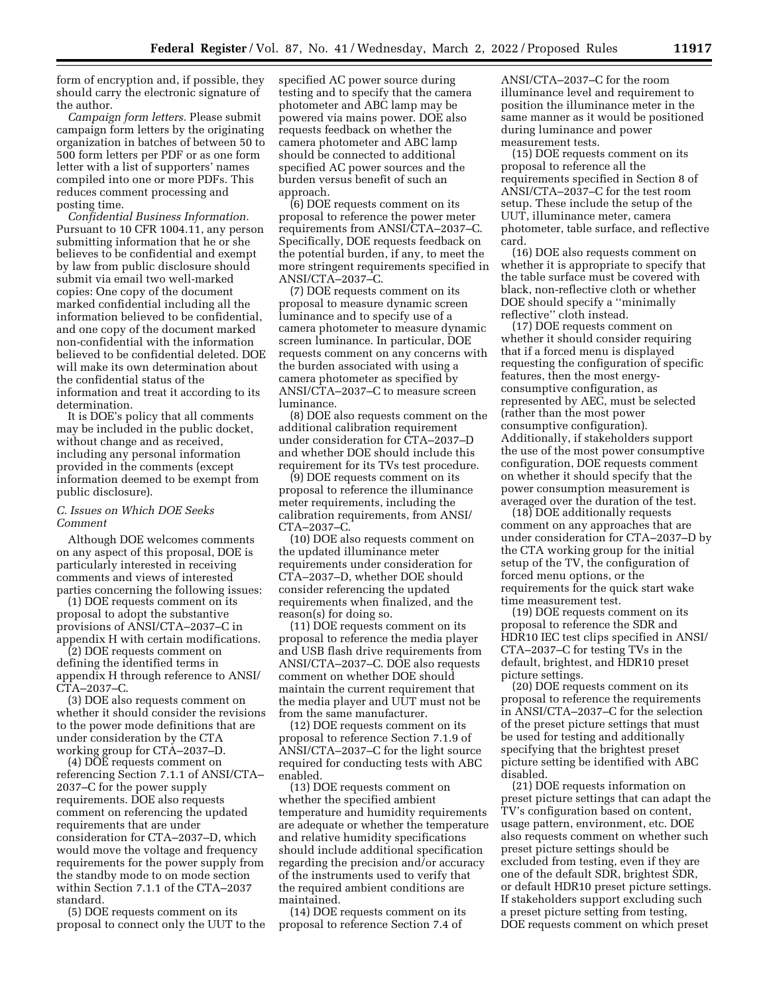form of encryption and, if possible, they should carry the electronic signature of the author.

*Campaign form letters.* Please submit campaign form letters by the originating organization in batches of between 50 to 500 form letters per PDF or as one form letter with a list of supporters' names compiled into one or more PDFs. This reduces comment processing and posting time.

*Confidential Business Information.*  Pursuant to 10 CFR 1004.11, any person submitting information that he or she believes to be confidential and exempt by law from public disclosure should submit via email two well-marked copies: One copy of the document marked confidential including all the information believed to be confidential, and one copy of the document marked non-confidential with the information believed to be confidential deleted. DOE will make its own determination about the confidential status of the information and treat it according to its determination.

It is DOE's policy that all comments may be included in the public docket, without change and as received, including any personal information provided in the comments (except information deemed to be exempt from public disclosure).

# *C. Issues on Which DOE Seeks Comment*

Although DOE welcomes comments on any aspect of this proposal, DOE is particularly interested in receiving comments and views of interested parties concerning the following issues:

(1) DOE requests comment on its proposal to adopt the substantive provisions of ANSI/CTA–2037–C in appendix H with certain modifications.

(2) DOE requests comment on defining the identified terms in appendix H through reference to ANSI/ CTA–2037–C.

(3) DOE also requests comment on whether it should consider the revisions to the power mode definitions that are under consideration by the CTA working group for CTA–2037–D.

(4) DOE requests comment on referencing Section 7.1.1 of ANSI/CTA– 2037–C for the power supply requirements. DOE also requests comment on referencing the updated requirements that are under consideration for CTA–2037–D, which would move the voltage and frequency requirements for the power supply from the standby mode to on mode section within Section 7.1.1 of the CTA–2037 standard.

(5) DOE requests comment on its proposal to connect only the UUT to the

specified AC power source during testing and to specify that the camera photometer and ABC lamp may be powered via mains power. DOE also requests feedback on whether the camera photometer and ABC lamp should be connected to additional specified AC power sources and the burden versus benefit of such an approach.

(6) DOE requests comment on its proposal to reference the power meter requirements from ANSI/CTA–2037–C. Specifically, DOE requests feedback on the potential burden, if any, to meet the more stringent requirements specified in ANSI/CTA–2037–C.

(7) DOE requests comment on its proposal to measure dynamic screen luminance and to specify use of a camera photometer to measure dynamic screen luminance. In particular, DOE requests comment on any concerns with the burden associated with using a camera photometer as specified by ANSI/CTA–2037–C to measure screen luminance.

(8) DOE also requests comment on the additional calibration requirement under consideration for CTA–2037–D and whether DOE should include this requirement for its TVs test procedure.

(9) DOE requests comment on its proposal to reference the illuminance meter requirements, including the calibration requirements, from ANSI/ CTA–2037–C.

(10) DOE also requests comment on the updated illuminance meter requirements under consideration for CTA–2037–D, whether DOE should consider referencing the updated requirements when finalized, and the reason(s) for doing so.

(11) DOE requests comment on its proposal to reference the media player and USB flash drive requirements from ANSI/CTA–2037–C. DOE also requests comment on whether DOE should maintain the current requirement that the media player and UUT must not be from the same manufacturer.

(12) DOE requests comment on its proposal to reference Section 7.1.9 of ANSI/CTA–2037–C for the light source required for conducting tests with ABC enabled.

(13) DOE requests comment on whether the specified ambient temperature and humidity requirements are adequate or whether the temperature and relative humidity specifications should include additional specification regarding the precision and/or accuracy of the instruments used to verify that the required ambient conditions are maintained.

(14) DOE requests comment on its proposal to reference Section 7.4 of

ANSI/CTA–2037–C for the room illuminance level and requirement to position the illuminance meter in the same manner as it would be positioned during luminance and power measurement tests.

(15) DOE requests comment on its proposal to reference all the requirements specified in Section 8 of ANSI/CTA–2037–C for the test room setup. These include the setup of the UUT, illuminance meter, camera photometer, table surface, and reflective card.

(16) DOE also requests comment on whether it is appropriate to specify that the table surface must be covered with black, non-reflective cloth or whether DOE should specify a ''minimally reflective'' cloth instead.

(17) DOE requests comment on whether it should consider requiring that if a forced menu is displayed requesting the configuration of specific features, then the most energyconsumptive configuration, as represented by AEC, must be selected (rather than the most power consumptive configuration). Additionally, if stakeholders support the use of the most power consumptive configuration, DOE requests comment on whether it should specify that the power consumption measurement is averaged over the duration of the test.

(18) DOE additionally requests comment on any approaches that are under consideration for CTA–2037–D by the CTA working group for the initial setup of the TV, the configuration of forced menu options, or the requirements for the quick start wake time measurement test.

(19) DOE requests comment on its proposal to reference the SDR and HDR10 IEC test clips specified in ANSI/ CTA–2037–C for testing TVs in the default, brightest, and HDR10 preset picture settings.

(20) DOE requests comment on its proposal to reference the requirements in ANSI/CTA–2037–C for the selection of the preset picture settings that must be used for testing and additionally specifying that the brightest preset picture setting be identified with ABC disabled.

(21) DOE requests information on preset picture settings that can adapt the TV's configuration based on content, usage pattern, environment, etc. DOE also requests comment on whether such preset picture settings should be excluded from testing, even if they are one of the default SDR, brightest SDR, or default HDR10 preset picture settings. If stakeholders support excluding such a preset picture setting from testing, DOE requests comment on which preset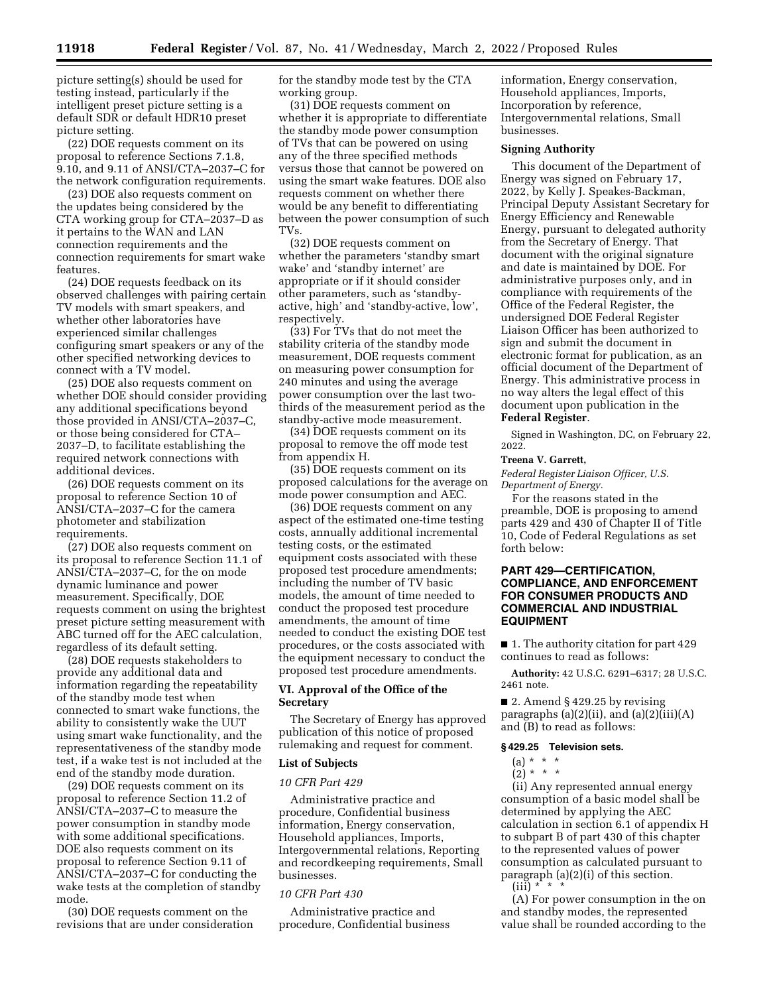picture setting(s) should be used for testing instead, particularly if the intelligent preset picture setting is a default SDR or default HDR10 preset picture setting.

(22) DOE requests comment on its proposal to reference Sections 7.1.8, 9.10, and 9.11 of ANSI/CTA–2037–C for the network configuration requirements.

(23) DOE also requests comment on the updates being considered by the CTA working group for CTA–2037–D as it pertains to the WAN and LAN connection requirements and the connection requirements for smart wake features.

(24) DOE requests feedback on its observed challenges with pairing certain TV models with smart speakers, and whether other laboratories have experienced similar challenges configuring smart speakers or any of the other specified networking devices to connect with a TV model.

(25) DOE also requests comment on whether DOE should consider providing any additional specifications beyond those provided in ANSI/CTA–2037–C, or those being considered for CTA– 2037–D, to facilitate establishing the required network connections with additional devices.

(26) DOE requests comment on its proposal to reference Section 10 of ANSI/CTA–2037–C for the camera photometer and stabilization requirements.

(27) DOE also requests comment on its proposal to reference Section 11.1 of ANSI/CTA–2037–C, for the on mode dynamic luminance and power measurement. Specifically, DOE requests comment on using the brightest preset picture setting measurement with ABC turned off for the AEC calculation, regardless of its default setting.

(28) DOE requests stakeholders to provide any additional data and information regarding the repeatability of the standby mode test when connected to smart wake functions, the ability to consistently wake the UUT using smart wake functionality, and the representativeness of the standby mode test, if a wake test is not included at the end of the standby mode duration.

(29) DOE requests comment on its proposal to reference Section 11.2 of ANSI/CTA–2037–C to measure the power consumption in standby mode with some additional specifications. DOE also requests comment on its proposal to reference Section 9.11 of ANSI/CTA–2037–C for conducting the wake tests at the completion of standby mode.

(30) DOE requests comment on the revisions that are under consideration for the standby mode test by the CTA working group.

(31) DOE requests comment on whether it is appropriate to differentiate the standby mode power consumption of TVs that can be powered on using any of the three specified methods versus those that cannot be powered on using the smart wake features. DOE also requests comment on whether there would be any benefit to differentiating between the power consumption of such TVs.

(32) DOE requests comment on whether the parameters 'standby smart wake' and 'standby internet' are appropriate or if it should consider other parameters, such as 'standbyactive, high' and 'standby-active, low', respectively.

(33) For TVs that do not meet the stability criteria of the standby mode measurement, DOE requests comment on measuring power consumption for 240 minutes and using the average power consumption over the last twothirds of the measurement period as the standby-active mode measurement.

(34) DOE requests comment on its proposal to remove the off mode test from appendix H.

(35) DOE requests comment on its proposed calculations for the average on mode power consumption and AEC.

(36) DOE requests comment on any aspect of the estimated one-time testing costs, annually additional incremental testing costs, or the estimated equipment costs associated with these proposed test procedure amendments; including the number of TV basic models, the amount of time needed to conduct the proposed test procedure amendments, the amount of time needed to conduct the existing DOE test procedures, or the costs associated with the equipment necessary to conduct the proposed test procedure amendments.

## **VI. Approval of the Office of the Secretary**

The Secretary of Energy has approved publication of this notice of proposed rulemaking and request for comment.

### **List of Subjects**

## *10 CFR Part 429*

Administrative practice and procedure, Confidential business information, Energy conservation, Household appliances, Imports, Intergovernmental relations, Reporting and recordkeeping requirements, Small businesses.

## *10 CFR Part 430*

Administrative practice and procedure, Confidential business information, Energy conservation, Household appliances, Imports, Incorporation by reference, Intergovernmental relations, Small businesses.

### **Signing Authority**

This document of the Department of Energy was signed on February 17, 2022, by Kelly J. Speakes-Backman, Principal Deputy Assistant Secretary for Energy Efficiency and Renewable Energy, pursuant to delegated authority from the Secretary of Energy. That document with the original signature and date is maintained by DOE. For administrative purposes only, and in compliance with requirements of the Office of the Federal Register, the undersigned DOE Federal Register Liaison Officer has been authorized to sign and submit the document in electronic format for publication, as an official document of the Department of Energy. This administrative process in no way alters the legal effect of this document upon publication in the **Federal Register**.

Signed in Washington, DC, on February 22, 2022.

## **Treena V. Garrett,**

*Federal Register Liaison Officer, U.S. Department of Energy.* 

For the reasons stated in the preamble, DOE is proposing to amend parts 429 and 430 of Chapter II of Title 10, Code of Federal Regulations as set forth below:

# **PART 429—CERTIFICATION, COMPLIANCE, AND ENFORCEMENT FOR CONSUMER PRODUCTS AND COMMERCIAL AND INDUSTRIAL EQUIPMENT**

■ 1. The authority citation for part 429 continues to read as follows:

**Authority:** 42 U.S.C. 6291–6317; 28 U.S.C. 2461 note.

■ 2. Amend § 429.25 by revising paragraphs (a) $(2)$ (ii), and (a) $(2)$ (iii) $(A)$ and (B) to read as follows:

## **§ 429.25 Television sets.**

# (a) \* \* \*

 $(2) * * * *$ 

(ii) Any represented annual energy consumption of a basic model shall be determined by applying the AEC calculation in section 6.1 of appendix H to subpart B of part 430 of this chapter to the represented values of power consumption as calculated pursuant to paragraph (a)(2)(i) of this section.  $(iii) * K$ 

(A) For power consumption in the on and standby modes, the represented value shall be rounded according to the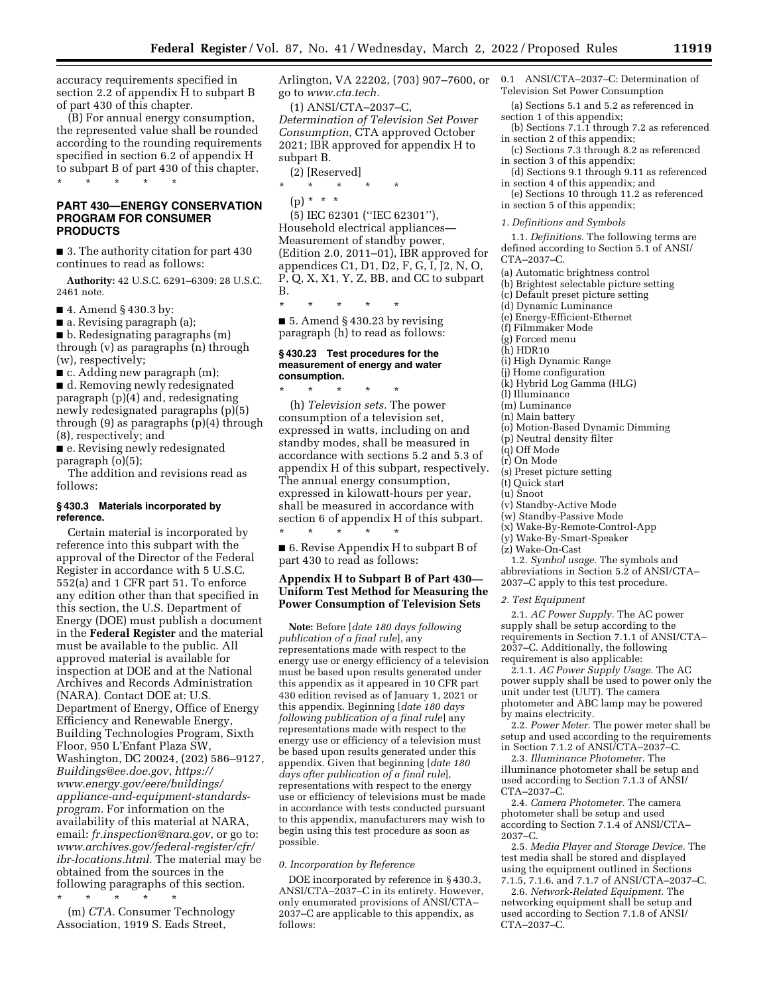accuracy requirements specified in section 2.2 of appendix H to subpart B of part 430 of this chapter.

(B) For annual energy consumption, the represented value shall be rounded according to the rounding requirements specified in section 6.2 of appendix H to subpart B of part 430 of this chapter. \* \* \* \* \*

# **PART 430—ENERGY CONSERVATION PROGRAM FOR CONSUMER PRODUCTS**

■ 3. The authority citation for part 430 continues to read as follows:

**Authority:** 42 U.S.C. 6291–6309; 28 U.S.C. 2461 note.

■ 4. Amend § 430.3 by:

■ a. Revising paragraph (a);

■ b. Redesignating paragraphs (m) through (v) as paragraphs (n) through (w), respectively;

■ c. Adding new paragraph (m);

■ d. Removing newly redesignated paragraph (p)(4) and, redesignating newly redesignated paragraphs (p)(5) through (9) as paragraphs (p)(4) through (8), respectively; and

■ e. Revising newly redesignated paragraph (o)(5);

The addition and revisions read as follows:

### **§ 430.3 Materials incorporated by reference.**

Certain material is incorporated by reference into this subpart with the approval of the Director of the Federal Register in accordance with 5 U.S.C. 552(a) and 1 CFR part 51. To enforce any edition other than that specified in this section, the U.S. Department of Energy (DOE) must publish a document in the **Federal Register** and the material must be available to the public. All approved material is available for inspection at DOE and at the National Archives and Records Administration (NARA). Contact DOE at: U.S. Department of Energy, Office of Energy Efficiency and Renewable Energy, Building Technologies Program, Sixth Floor, 950 L'Enfant Plaza SW, Washington, DC 20024, (202) 586–9127, *[Buildings@ee.doe.gov](mailto:Buildings@ee.doe.gov)*, *[https://](https://www.energy.gov/eere/buildings/appliance-and-equipment-standards-program) [www.energy.gov/eere/buildings/](https://www.energy.gov/eere/buildings/appliance-and-equipment-standards-program)  [appliance-and-equipment-standards](https://www.energy.gov/eere/buildings/appliance-and-equipment-standards-program)[program.](https://www.energy.gov/eere/buildings/appliance-and-equipment-standards-program)* For information on the availability of this material at NARA, email: *[fr.inspection@nara.gov,](mailto:fr.inspection@nara.gov)* or go to: *[www.archives.gov/federal-register/cfr/](http://www.archives.gov/federal-register/cfr/ibr-locations.html)  [ibr-locations.html.](http://www.archives.gov/federal-register/cfr/ibr-locations.html)* The material may be obtained from the sources in the following paragraphs of this section. \* \* \* \* \*

(m) *CTA.* Consumer Technology Association, 1919 S. Eads Street,

Arlington, VA 22202, (703) 907–7600, or go to *[www.cta.tech.](http://www.cta.tech)* 

(1) ANSI/CTA–2037–C, *Determination of Television Set Power Consumption,* CTA approved October 2021; IBR approved for appendix H to subpart B.

(2) [Reserved]

\* \* \* \* \*

(p) \* \* \*

(5) IEC 62301 (''IEC 62301''), Household electrical appliances— Measurement of standby power, (Edition 2.0, 2011–01), IBR approved for appendices C1, D1, D2, F, G, I, J2, N, O, P, Q, X, X1, Y, Z, BB, and CC to subpart B.

\* \* \* \* \*

■ 5. Amend § 430.23 by revising paragraph (h) to read as follows:

### **§ 430.23 Test procedures for the measurement of energy and water consumption.**

\* \* \* \* \* (h) *Television sets.* The power consumption of a television set, expressed in watts, including on and standby modes, shall be measured in accordance with sections 5.2 and 5.3 of appendix H of this subpart, respectively. The annual energy consumption, expressed in kilowatt-hours per year, shall be measured in accordance with section 6 of appendix H of this subpart. \* \* \* \* \*

■ 6. Revise Appendix H to subpart B of part 430 to read as follows:

## **Appendix H to Subpart B of Part 430— Uniform Test Method for Measuring the Power Consumption of Television Sets**

**Note:** Before [*date 180 days following publication of a final rule*], any representations made with respect to the energy use or energy efficiency of a television must be based upon results generated under this appendix as it appeared in 10 CFR part 430 edition revised as of January 1, 2021 or this appendix. Beginning [*date 180 days following publication of a final rule*] any representations made with respect to the energy use or efficiency of a television must be based upon results generated under this appendix. Given that beginning [*date 180 days after publication of a final rule*], representations with respect to the energy use or efficiency of televisions must be made in accordance with tests conducted pursuant to this appendix, manufacturers may wish to begin using this test procedure as soon as possible.

### *0. Incorporation by Reference*

DOE incorporated by reference in § 430.3, ANSI/CTA–2037–C in its entirety. However, only enumerated provisions of ANSI/CTA– 2037–C are applicable to this appendix, as follows:

- 0.1 ANSI/CTA–2037–C: Determination of Television Set Power Consumption
- (a) Sections 5.1 and 5.2 as referenced in section 1 of this appendix;
- (b) Sections 7.1.1 through 7.2 as referenced in section 2 of this appendix;
- (c) Sections 7.3 through 8.2 as referenced in section 3 of this appendix;
- (d) Sections 9.1 through 9.11 as referenced in section 4 of this appendix; and
- (e) Sections 10 through 11.2 as referenced in section 5 of this appendix;

*1. Definitions and Symbols* 

1.1. *Definitions.* The following terms are defined according to Section 5.1 of ANSI/ CTA–2037–C.

- 
- (a) Automatic brightness control
- (b) Brightest selectable picture setting (c) Default preset picture setting
- 
- (d) Dynamic Luminance
- (e) Energy-Efficient-Ethernet (f) Filmmaker Mode
- (g) Forced menu
- (h) HDR10
- (i) High Dynamic Range
- (j) Home configuration
- (k) Hybrid Log Gamma (HLG)
- (l) Illuminance
- (m) Luminance
- (n) Main battery
- (o) Motion-Based Dynamic Dimming
- (p) Neutral density filter
- (q) Off Mode
- (r) On Mode
- (s) Preset picture setting
- (t) Quick start
- (u) Snoot
- (v) Standby-Active Mode
- (w) Standby-Passive Mode
- (x) Wake-By-Remote-Control-App
- (y) Wake-By-Smart-Speaker
- (z) Wake-On-Cast
- 1.2. *Symbol usage.* The symbols and abbreviations in Section 5.2 of ANSI/CTA– 2037–C apply to this test procedure.

*2. Test Equipment* 

2.1. *AC Power Supply.* The AC power supply shall be setup according to the requirements in Section 7.1.1 of ANSI/CTA– 2037–C. Additionally, the following requirement is also applicable:

2.1.1. *AC Power Supply Usage.* The AC power supply shall be used to power only the unit under test (UUT). The camera photometer and ABC lamp may be powered by mains electricity.

2.2. *Power Meter.* The power meter shall be setup and used according to the requirements in Section 7.1.2 of ANSI/CTA–2037–C.

2.3. *Illuminance Photometer.* The illuminance photometer shall be setup and used according to Section 7.1.3 of ANSI/ CTA–2037–C.

2.4. *Camera Photometer.* The camera photometer shall be setup and used according to Section 7.1.4 of ANSI/CTA– 2037–C.

2.5. *Media Player and Storage Device.* The test media shall be stored and displayed using the equipment outlined in Sections 7.1.5, 7.1.6. and 7.1.7 of ANSI/CTA–2037–C.

2.6. *Network-Related Equipment.* The networking equipment shall be setup and used according to Section 7.1.8 of ANSI/ CTA–2037–C.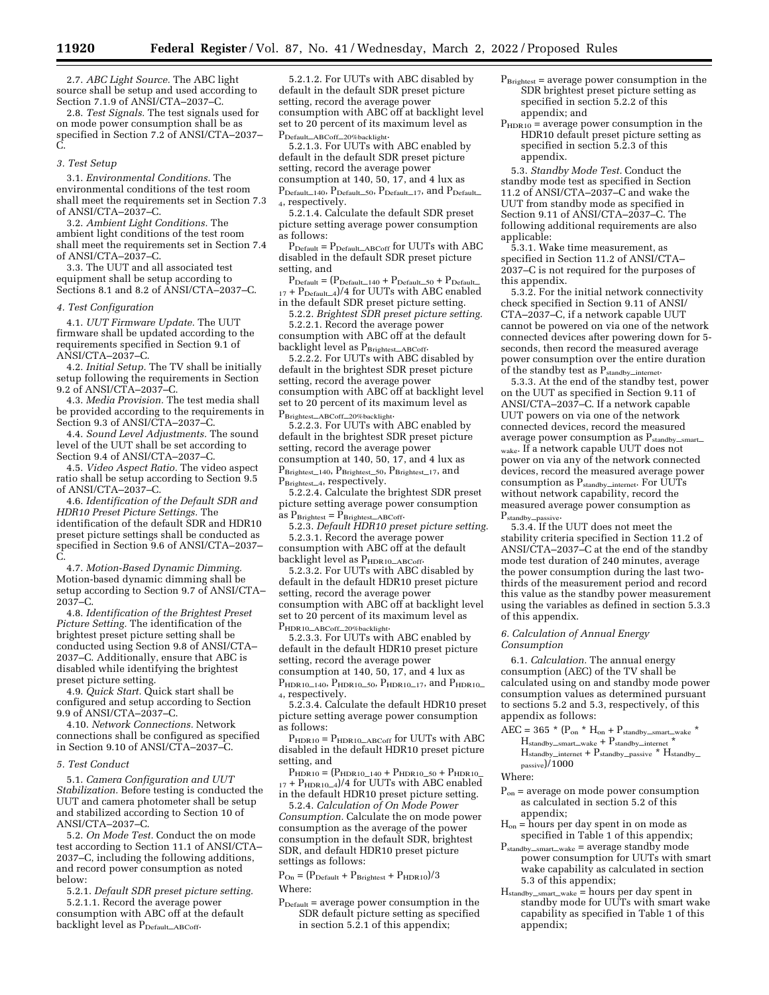2.7. *ABC Light Source.* The ABC light source shall be setup and used according to Section 7.1.9 of ANSI/CTA–2037–C.

2.8. *Test Signals.* The test signals used for on mode power consumption shall be as specified in Section 7.2 of ANSI/CTA–2037– C.

#### *3. Test Setup*

3.1. *Environmental Conditions.* The environmental conditions of the test room shall meet the requirements set in Section 7.3 of ANSI/CTA–2037–C.

3.2. *Ambient Light Conditions.* The ambient light conditions of the test room shall meet the requirements set in Section 7.4 of ANSI/CTA–2037–C.

3.3. The UUT and all associated test equipment shall be setup according to Sections 8.1 and 8.2 of ANSI/CTA–2037–C.

#### *4. Test Configuration*

4.1. *UUT Firmware Update.* The UUT firmware shall be updated according to the requirements specified in Section 9.1 of ANSI/CTA–2037–C.

4.2. *Initial Setup.* The TV shall be initially setup following the requirements in Section 9.2 of ANSI/CTA–2037–C.

4.3. *Media Provision.* The test media shall be provided according to the requirements in Section 9.3 of ANSI/CTA–2037–C.

4.4. *Sound Level Adjustments.* The sound level of the UUT shall be set according to Section 9.4 of ANSI/CTA–2037–C.

4.5. *Video Aspect Ratio.* The video aspect ratio shall be setup according to Section 9.5 of ANSI/CTA–2037–C.

4.6. *Identification of the Default SDR and HDR10 Preset Picture Settings.* The identification of the default SDR and HDR10 preset picture settings shall be conducted as specified in Section 9.6 of ANSI/CTA–2037– C.

4.7. *Motion-Based Dynamic Dimming.*  Motion-based dynamic dimming shall be setup according to Section 9.7 of ANSI/CTA–  $2037 - C$ .

4.8. *Identification of the Brightest Preset Picture Setting.* The identification of the brightest preset picture setting shall be conducted using Section 9.8 of ANSI/CTA– 2037–C. Additionally, ensure that ABC is disabled while identifying the brightest preset picture setting.

4.9. *Quick Start.* Quick start shall be configured and setup according to Section 9.9 of ANSI/CTA–2037–C.

4.10. *Network Connections.* Network connections shall be configured as specified in Section 9.10 of ANSI/CTA–2037–C.

#### *5. Test Conduct*

5.1. *Camera Configuration and UUT Stabilization.* Before testing is conducted the UUT and camera photometer shall be setup and stabilized according to Section 10 of ANSI/CTA–2037–C.

5.2. *On Mode Test.* Conduct the on mode test according to Section 11.1 of ANSI/CTA– 2037–C, including the following additions, and record power consumption as noted below:

5.2.1. *Default SDR preset picture setting.*  5.2.1.1. Record the average power

consumption with ABC off at the default backlight level as P<sub>Default</sub>\_ABCoff.

5.2.1.2. For UUTs with ABC disabled by default in the default SDR preset picture setting, record the average power consumption with ABC off at backlight level set to 20 percent of its maximum level as PDefault\_ABCoff\_20%backlight.

5.2.1.3. For UUTs with ABC enabled by default in the default SDR preset picture setting, record the average power consumption at 140, 50,  $17$ , and 4 lux as PDefault\_140, PDefault\_50, PDefault\_17, and PDefault\_ 4, respectively.

5.2.1.4. Calculate the default SDR preset picture setting average power consumption as follows:

 $\mathbf{P}_{\text{Default}} = \mathbf{P}_{\text{Default}\_\text{ABCoff}}$  for UUTs with ABC disabled in the default SDR preset picture setting, and

 $\mathbf{P}_{\text{Default}} = (\mathbf{P}_{\text{Default}\_\text{140}} + \mathbf{P}_{\text{Default}\_\text{50}} + \mathbf{P}_{\text{Default}}$ 17 + P<sub>Default\_4</sub>)/4 for UUTs with ABC enabled in the default SDR preset picture setting.

5.2.2. *Brightest SDR preset picture setting.* 

5.2.2.1. Record the average power consumption with ABC off at the default backlight level as P<sub>Brightest</sub>\_ABCoff.

5.2.2.2. For UUTs with ABC disabled by default in the brightest SDR preset picture setting, record the average power consumption with ABC off at backlight level set to 20 percent of its maximum level as PBrightest\_ABCoff\_20%backlight.

5.2.2.3. For UUTs with ABC enabled by default in the brightest SDR preset picture setting, record the average power consumption at 140, 50, 17, and 4 lux as  $\mathrm{P}_{\mathrm{Brightest}\_140},$   $\mathrm{P}_{\mathrm{Brightest}\_50},$   $\mathrm{P}_{\mathrm{Brightest}\_17},$  and PBrightest\_4, respectively.

5.2.2.4. Calculate the brightest SDR preset picture setting average power consumption as  $P_{Brightest} = P_{Brightest \_\text{ABCoff}}$ .

5.2.3. *Default HDR10 preset picture setting.*  5.2.3.1. Record the average power consumption with ABC off at the default backlight level as P<sub>HDR10</sub>\_ABCoff.

5.2.3.2. For UUTs with ABC disabled by default in the default HDR10 preset picture setting, record the average power consumption with ABC off at backlight level set to 20 percent of its maximum level as PHDR10\_ABCoff\_20%backlight.

5.2.3.3. For UUTs with ABC enabled by default in the default HDR10 preset picture setting, record the average power consumption at 140, 50, 17, and 4 lux as  $P_{\text{HDR10\_140}}$ ,  $P_{\text{HDR10\_50}}$ ,  $P_{\text{HDR10\_17}}$ , and  $P_{\text{HDR10\_}}$ 4, respectively.

5.2.3.4. Calculate the default HDR10 preset picture setting average power consumption as follows:

PHDR10 = PHDR10\_ABCoff for UUTs with ABC disabled in the default HDR10 preset picture setting, and

 $P_{HDR10} = (P_{HDR10-140} + P_{HDR10-50} + P_{HDR10-}$  $_{17}$  +  $P_{\text{HDR10\_4}}$ /4 for UUTs with ABC enabled in the default HDR10 preset picture setting.

5.2.4. *Calculation of On Mode Power Consumption.* Calculate the on mode power consumption as the average of the power consumption in the default SDR, brightest SDR, and default HDR10 preset picture settings as follows:

 $\mathrm{P_{On}} = (\mathrm{P_{Default}} + \mathrm{P_{Brightest}} + \mathrm{P_{HDR10}})/3$ Where:

 $P_{\text{Default}} = \text{average power consumption in the}$ SDR default picture setting as specified in section  $5.\overline{2}.1$  of this appendix;

- PBrightest = average power consumption in the SDR brightest preset picture setting as specified in section 5.2.2 of this appendix; and
- $P_{HDR10}$  = average power consumption in the HDR10 default preset picture setting as specified in section 5.2.3 of this appendix.

5.3. *Standby Mode Test.* Conduct the standby mode test as specified in Section 11.2 of ANSI/CTA–2037–C and wake the UUT from standby mode as specified in Section 9.11 of ANSI/CTA–2037–C. The following additional requirements are also applicable:

5.3.1. Wake time measurement, as specified in Section 11.2 of ANSI/CTA– 2037–C is not required for the purposes of this appendix.

5.3.2. For the initial network connectivity check specified in Section 9.11 of ANSI/ CTA–2037–C, if a network capable UUT cannot be powered on via one of the network connected devices after powering down for 5 seconds, then record the measured average power consumption over the entire duration of the standby test as P<sub>standby</sub>\_internet.

5.3.3. At the end of the standby test, power on the UUT as specified in Section 9.11 of ANSI/CTA–2037–C. If a network capable UUT powers on via one of the network connected devices, record the measured average power consumption as  $P_{standard}$ wake. If a network capable UUT does not power on via any of the network connected devices, record the measured average power consumption as  $P_{\text{standby}\_internet}$ . For UUTs without network capability, record the measured average power consumption as Pstandby\_passive.

5.3.4. If the UUT does not meet the stability criteria specified in Section 11.2 of ANSI/CTA–2037–C at the end of the standby mode test duration of 240 minutes, average the power consumption during the last twothirds of the measurement period and record this value as the standby power measurement using the variables as defined in section 5.3.3 of this appendix.

### *6. Calculation of Annual Energy Consumption*

6.1. *Calculation.* The annual energy consumption (AEC) of the TV shall be calculated using on and standby mode power consumption values as determined pursuant to sections 5.2 and 5.3, respectively, of this appendix as follows:

 $AEC = 365 * (P_{on} * H_{on} + P_{standby\_smart\_wake} *$  $H_{\text{standby\_smart\_wake}}$  +  $P_{\text{standby\_internet}}$  \*  $H_{\text{standby}\_ \text{internet}} + P_{\text{standby}\_ \text{passive}} * H_{\text{standby}\_$ passive)/1000

#### Where:

- $P_{on}$  = average on mode power consumption as calculated in section 5.2 of this appendix;
- $H_{on}$  = hours per day spent in on mode as specified in Table 1 of this appendix;
- $P_{\text{standby\_smart\_wake}} = \text{average stand} \widehat{\text{by}} \text{ mode}$ power consumption for UUTs with smart wake capability as calculated in section 5.3 of this appendix;
- $H_{\text{standby\_smart\_wake}} = \text{hours per day spent in}$ standby mode for UUTs with smart wake capability as specified in Table 1 of this appendix;